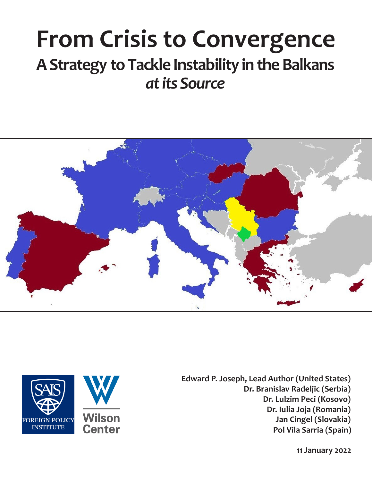# **From Crisis to Convergence A Strategy to Tackle Instability in the Balkans** *at its Source*





**Edward P. Joseph, Lead Author (United States) Dr. Branislav Radeljic (Serbia) Dr. Lulzim Peci (Kosovo) Dr. Iulia Joja (Romania) Jan Cingel (Slovakia) Pol Vila Sarria (Spain)**

**11 January 2022**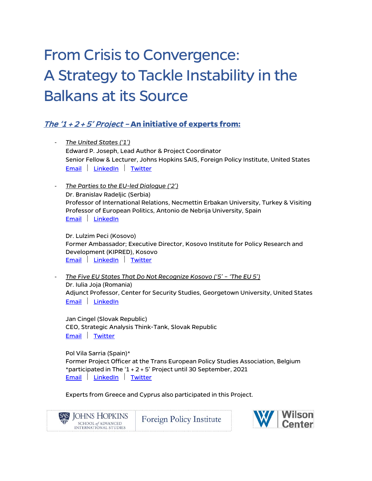# From Crisis to Convergence: A Strategy to Tackle Instability in the Balkans at its Source

### The '1 + 2 + 5' Project – **An initiative of experts from:**

- *The United States ('1')* Edward P. Joseph, Lead Author & Project Coordinator Senior Fellow & Lecturer, Johns Hopkins SAIS, Foreign Policy Institute, United States [Email](mailto:ejoseph@jhu.edu) | [LinkedIn](https://www.linkedin.com/in/edwardpjoseph) | [Twitter](https://twitter.com/edwardpjoseph)
- *The Parties to the EU-led Dialogue ('2')* Dr. Branislav Radeljic (Serbia) Professor of International Relations, Necmettin Erbakan University, Turkey & Visiting Professor of European Politics, Antonio de Nebrija University, Spain [Email](mailto:Branislav.Radeljic@gmail.com) | [LinkedIn](https://www.linkedin.com/in/branislavradeljic)

Dr. Lulzim Peci (Kosovo) Former Ambassador; Executive Director, Kosovo Institute for Policy Research and Development (KIPRED), Kosovo [Email](mailto:lulzim.peci@kipred.org) | [LinkedIn](https://www.linkedin.com/in/lulzim-peci-86127ab) | [Twitter](https://twitter.com/lulzimpeci)

- *The Five EU States That Do Not Recognize Kosovo ('5' – 'The EU 5')* Dr. Iulia Joja (Romania) Adjunct Professor, Center for Security Studies, Georgetown University, United States [Email](mailto:ij77@georgetown.edu) [LinkedIn](https://www.linkedin.com/in/dr-iulia-sabina-joja-093490aa/)

Jan Cingel (Slovak Republic) CEO, Strategic Analysis Think-Tank, Slovak Republic [Email](mailto:jan.cingel@strategicanalysis.sk) | [Twitter](https://twitter.com/jancingel)

SAIS JOHNS HOPKINS

SCHOOL of ADVANCED INTERNATIONAL STUDIES

Pol Vila Sarria (Spain)\* Former Project Officer at the Trans European Policy Studies Association, Belgium \*participated in The  $(1 + 2 + 5)$  Project until 30 September, 2021 [Email](mailto:p.vilasarria@gmail.com) | [LinkedIn](https://es.linkedin.com/in/pol-vila-sarri%C3%A1-057187155) | [Twitter](https://twitter.com/polsarria)

**Foreign Policy Institute** 

Experts from Greece and Cyprus also participated in this Project.

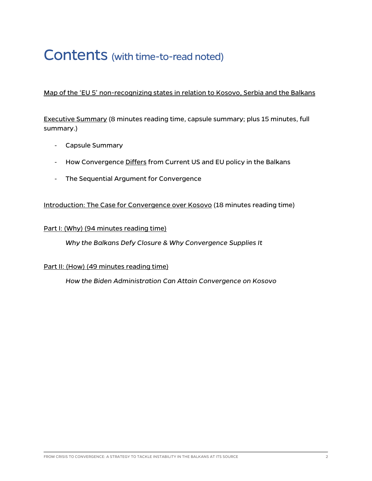## Contents (with time-to-read noted)

#### Map of the 'EU 5' non-recognizing states in relation to Kosovo, Serbia and the Balkans

Executive Summary (8 minutes reading time, capsule summary; plus 15 minutes, full summary.)

- Capsule Summary
- How Convergence Differs from Current US and EU policy in the Balkans
- The Sequential Argument for Convergence

#### Introduction: The Case for Convergence over Kosovo (18 minutes reading time)

#### Part I: (Why) (94 minutes reading time)

*Why the Balkans Defy Closure & Why Convergence Supplies It* 

#### Part II: (How) (49 minutes reading time)

*How the Biden Administration Can Attain Convergence on Kosovo*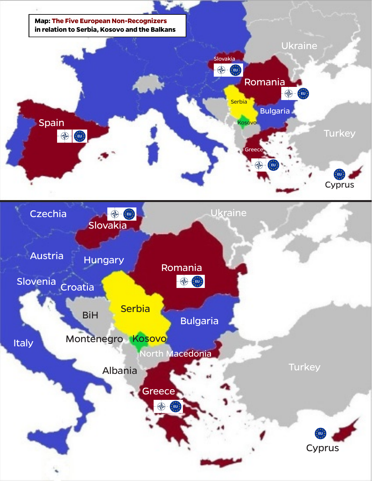

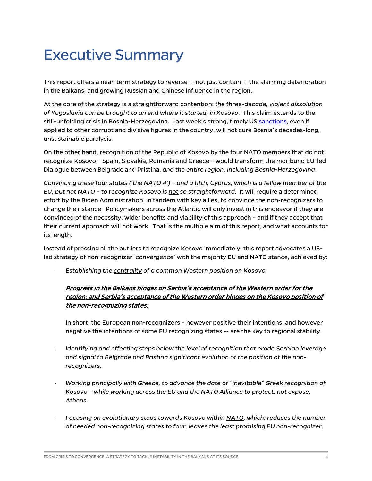## Executive Summary

This report offers a near-term strategy to reverse -- not just contain -- the alarming deterioration in the Balkans, and growing Russian and Chinese influence in the region.

At the core of the strategy is a straightforward contention: *the three-decade, violent dissolution of Yugoslavia can be brought to an end where it started, in Kosovo.* This claim extends to the still-unfolding crisis in Bosnia-Herzegovina. Last week's strong, timely US [sanctions,](https://home.treasury.gov/news/press-releases/jy0549) even if applied to other corrupt and divisive figures in the country, will not cure Bosnia's decades-long, unsustainable paralysis.

On the other hand, recognition of the Republic of Kosovo by the four NATO members that do not recognize Kosovo – Spain, Slovakia, Romania and Greece – would transform the moribund EU-led Dialogue between Belgrade and Pristina, *and the entire region, including Bosnia-Herzegovina*.

*Convincing these four states ('the NATO 4') – and a fifth, Cyprus, which is a fellow member of the EU, but not NATO – to recognize Kosovo is not so straightforward.* It will require a determined effort by the Biden Administration, in tandem with key allies, to convince the non-recognizers to change their stance. Policymakers across the Atlantic will only invest in this endeavor if they are convinced of the necessity, wider benefits and viability of this approach – and if they accept that their current approach will not work. That is the multiple aim of this report, and what accounts for its length.

Instead of pressing all the outliers to recognize Kosovo immediately, this report advocates a USled strategy of non-recognizer *'convergence'* with the majority EU and NATO stance, achieved by:

- *Establishing the centrality of a common Western position on Kosovo:*

#### Progress in the Balkans hinges on Serbia's acceptance of the Western order for the region; and Serbia's acceptance of the Western order hinges on the Kosovo position of the non-recognizing states.

In short, the European non-recognizers – however positive their intentions, and however negative the intentions of some EU recognizing states -- are the key to regional stability.

- *Identifying and effecting steps below the level of recognition that erode Serbian leverage and signal to Belgrade and Pristina significant evolution of the position of the nonrecognizers.*
- *Working principally with Greece, to advance the date of "inevitable" Greek recognition of Kosovo – while working across the EU and the NATO Alliance to protect, not expose, Athens.*
- *Focusing on evolutionary steps towards Kosovo within NATO, which: reduces the number of needed non-recognizing states to four; leaves the least promising EU non-recognizer,*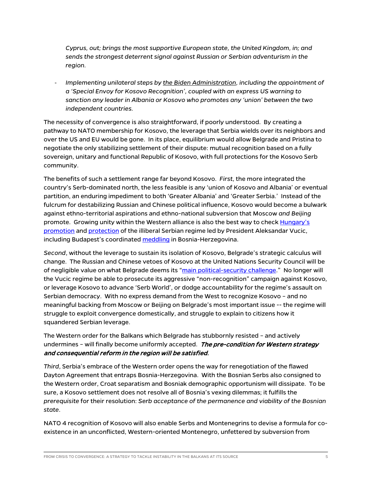*Cyprus, out; brings the most supportive European state, the United Kingdom, in; and sends the strongest deterrent signal against Russian or Serbian adventurism in the region.*

- *Implementing unilateral steps by the Biden Administration, including the appointment of a 'Special Envoy for Kosovo Recognition', coupled with an express US warning to sanction any leader in Albania or Kosovo who promotes any 'union' between the two independent countries.*

The necessity of convergence is also straightforward, if poorly understood. By creating a pathway to NATO membership for Kosovo, the leverage that Serbia wields over its neighbors and over the US and EU would be gone. In its place, equilibrium would allow Belgrade and Pristina to negotiate the only stabilizing settlement of their dispute: mutual recognition based on a fully sovereign, unitary and functional Republic of Kosovo, with full protections for the Kosovo Serb community.

The benefits of such a settlement range far beyond Kosovo. *First*, the more integrated the country's Serb-dominated north, the less feasible is any 'union of Kosovo and Albania' or eventual partition, an enduring impediment to both 'Greater Albania' and 'Greater Serbia.' Instead of the fulcrum for destabilizing Russian and Chinese political influence, Kosovo would become a bulwark against ethno-territorial aspirations and ethno-national subversion that Moscow *and Beijing* promote. Growing unity within the Western alliance is also the best way to check [Hungary's](https://www.euractiv.com/section/enlargement/opinion/commission-compromising-rule-of-law-standards-in-the-interest-of-orban-vucic-axis/) [promotion](https://balkaninsight.com/2021/07/08/eu-needs-serbia-key-to-western-balkans-orban-says/) an[d protection](https://www.politico.eu/article/oliver-varhelyi-eu-commissioner-enlargement-western-balkans-serbia-human-rights-democracy-rule-of-law/) of the illiberal Serbian regime led by President Aleksandar Vucic, including Budapest's coordinate[d meddling](https://balkaninsight.com/2021/12/21/orban-hungary-gives-e100-million-support-to-bosnian-serbs/) in Bosnia-Herzegovina.

*Second*, without the leverage to sustain its isolation of Kosovo, Belgrade's strategic calculus will change. The Russian and Chinese vetoes of Kosovo at the United Nations Security Council will be of negligible value on what Belgrade deems its ["main political-security challenge.](https://rs.n1info.com/english/news/belgrade-to-athens-kosovo-main-political-security-challenge/)" No longer will the Vucic regime be able to prosecute its aggressive "non-recognition" campaign against Kosovo, or leverage Kosovo to advance 'Serb World', or dodge accountability for the regime's assault on Serbian democracy. With no express demand from the West to recognize Kosovo – and no meaningful backing from Moscow or Beijing on Belgrade's most important issue -- the regime will struggle to exploit convergence domestically, and struggle to explain to citizens how it squandered Serbian leverage.

The Western order for the Balkans which Belgrade has stubbornly resisted – and actively undermines – will finally become uniformly accepted. The pre-condition for Western strategy and consequential reform in the region will be satisfied.

*Third*, Serbia's embrace of the Western order opens the way for renegotiation of the flawed Dayton Agreement that entraps Bosnia-Herzegovina. With the Bosnian Serbs also consigned to the Western order, Croat separatism and Bosniak demographic opportunism will dissipate. To be sure, a Kosovo settlement does not resolve all of Bosnia's vexing dilemmas; it fulfills the *prerequisite* for their resolution: *Serb acceptance of the permanence and viability of the Bosnian state*.

NATO 4 recognition of Kosovo will also enable Serbs and Montenegrins to devise a formula for coexistence in an unconflicted, Western-oriented Montenegro, unfettered by subversion from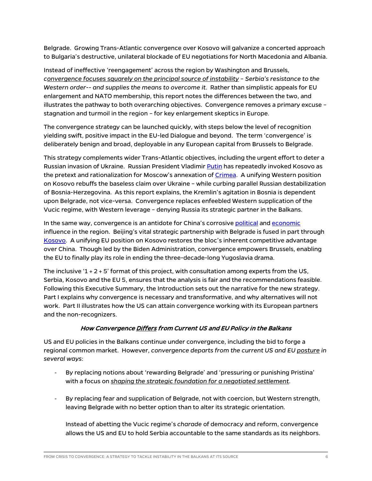Belgrade. Growing Trans-Atlantic convergence over Kosovo will galvanize a concerted approach to Bulgaria's destructive, unilateral blockade of EU negotiations for North Macedonia and Albania.

Instead of ineffective 'reengagement' across the region by Washington and Brussels, *convergence focuses squarely on the principal source of instability – Serbia's resistance to the Western order-- and supplies the means to overcome it*. Rather than simplistic appeals for EU enlargement and NATO membership, this report notes the differences between the two, and illustrates the pathway to both overarching objectives. Convergence removes a primary excuse – stagnation and turmoil in the region – for key enlargement skeptics in Europe.

The convergence strategy can be launched quickly, with steps below the level of recognition yielding swift, positive impact in the EU-led Dialogue and beyond. The term 'convergence' is deliberately benign and broad, deployable in any European capital from Brussels to Belgrade.

This strategy complements wider Trans-Atlantic objectives, including the urgent effort to deter a Russian invasion of Ukraine. Russian President Vladimi[r Putin](https://balkaninsight.com/2014/03/18/crimea-secession-just-like-kosovo-putin/) has repeatedly invoked Kosovo as the pretext and rationalization for Moscow's annexation of [Crimea.](http://en.kremlin.ru/events/president/news/page/220) A unifying Western position on Kosovo rebuffs the baseless claim over Ukraine – while curbing parallel Russian destabilization of Bosnia-Herzegovina. As this report explains, the Kremlin's agitation in Bosnia is dependent upon Belgrade, not vice-versa. Convergence replaces enfeebled Western supplication of the Vucic regime, with Western leverage – denying Russia its strategic partner in the Balkans.

In the same way, convergence is an antidote for China's corrosive [political](https://www.rferl.org/a/un-bosnia-serbia-russia-china-us-schmidt-resolution-eufor-peacekeepers/31545060.html) and [economic](https://balkaninsight.com/2021/12/15/china-in-the-balkans-controversy-and-cost/) influence in the region. Beijing's vital strategic partnership with Belgrade is fused in part through [Kosovo.](https://www.evropaelire.org/a/kriza-ne-kufirin-kosove-serbi/31483822.html) A unifying EU position on Kosovo restores the bloc's inherent competitive advantage over China. Though led by the Biden Administration, convergence empowers Brussels, enabling the EU to finally play its role in ending the three-decade-long Yugoslavia drama.

The inclusive  $1 + 2 + 5$ ' format of this project, with consultation among experts from the US, Serbia, Kosovo and the EU 5, ensures that the analysis is fair and the recommendations feasible. Following this Executive Summary, the Introduction sets out the narrative for the new strategy. Part I explains why convergence is necessary and transformative, and why alternatives will not work. Part II illustrates how the US can attain convergence working with its European partners and the non-recognizers.

#### How Convergence Differs from Current US and EU Policy in the Balkans

US and EU policies in the Balkans continue under convergence, including the bid to forge a regional common market. However, *convergence departs from the current US and EU posture in several ways*:

- By replacing notions about 'rewarding Belgrade' and 'pressuring or punishing Pristina' with a focus on *shaping the strategic foundation for a negotiated settlement*.
- By replacing fear and supplication of Belgrade, not with coercion, but Western strength, leaving Belgrade with no better option than to alter its strategic orientation.

Instead of abetting the Vucic regime's *charade* of democracy and reform, convergence allows the US and EU to hold Serbia accountable to the same standards as its neighbors.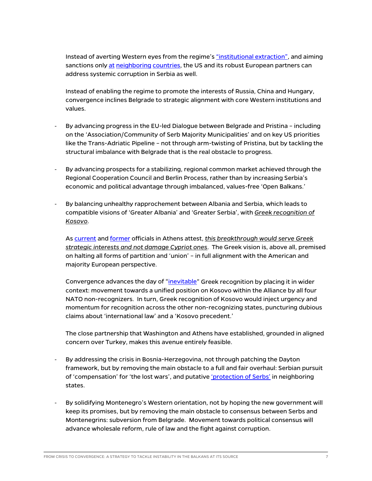Instead of averting Western eyes from the regime'[s "institutional extraction",](https://www.tandfonline.com/doi/abs/10.1080/14683857.2019.1672929) and aiming sanctions only [at](https://www.state.gov/u-s-government-takes-action-against-current-and-former-bosnia-and-herzegovina-officials-due-to-involvement-in-significant-corruption-and-destabilizing-activities/) [neighboring](https://www.state.gov/public-designation-of-albanian-sali-berisha-due-to-involvement-in-significant-corruption/) [countries,](https://home.treasury.gov/news/press-releases/jy0519) the US and its robust European partners can address systemic corruption in Serbia as well.

Instead of enabling the regime to promote the interests of Russia, China and Hungary, convergence inclines Belgrade to strategic alignment with core Western institutions and values.

- By advancing progress in the EU-led Dialogue between Belgrade and Pristina including on the 'Association/Community of Serb Majority Municipalities' and on key US priorities like the Trans-Adriatic Pipeline – not through arm-twisting of Pristina, but by tackling the structural imbalance with Belgrade that is the real obstacle to progress.
- By advancing prospects for a stabilizing, regional common market achieved through the Regional Cooperation Council and Berlin Process, rather than by increasing Serbia's economic and political advantage through imbalanced, values-free 'Open Balkans.'
- By balancing unhealthy rapprochement between Albania and Serbia, which leads to compatible visions of 'Greater Albania' and 'Greater Serbia', with *Greek recognition of Kosovo*.

A[s current](https://www.mfa.gr/en/current-affairs/statements-speeches/interview-of-minister-of-foreign-affairs-nikos-dendias-in-the-newspaper-realnews-with-journalist-giorgos-siadimas-04072021.html) and [former](https://www.kathimerini.gr/politics/561506680/i-ellada-pro-ton-pylon-tis-dimokratias-toy-kosovoy/) officials in Athens attest, *this breakthrough would serve Greek strategic interests and not damage Cypriot ones*. The Greek vision is, above all, premised on halting all forms of partition and 'union' – in full alignment with the American and majority European perspective.

Convergence advances the day of ["inevitable"](https://www.b92.net/eng/news/politics.php?yyyy=2021&mm=09&dd=24&nav_id=111810) Greek recognition by placing it in wider context: movement towards a unified position on Kosovo within the Alliance by all four NATO non-recognizers. In turn, Greek recognition of Kosovo would inject urgency and momentum for recognition across the other non-recognizing states, puncturing dubious claims about 'international law' and a 'Kosovo precedent.'

The close partnership that Washington and Athens have established, grounded in aligned concern over Turkey, makes this avenue entirely feasible.

- By addressing the crisis in Bosnia-Herzegovina, not through patching the Dayton framework, but by removing the main obstacle to a full and fair overhaul: Serbian pursuit of 'compensation' for 'the lost wars', and putative ['protection of Serbs'](https://rs.n1info.com/english/news/vucic-our-oath-is-to-protect-serbs-everywhere-dodik-our-country-is-serbia/) in neighboring states.
- By solidifying Montenegro's Western orientation, not by hoping the new government will keep its promises, but by removing the main obstacle to consensus between Serbs and Montenegrins: subversion from Belgrade. Movement towards political consensus will advance wholesale reform, rule of law and the fight against corruption.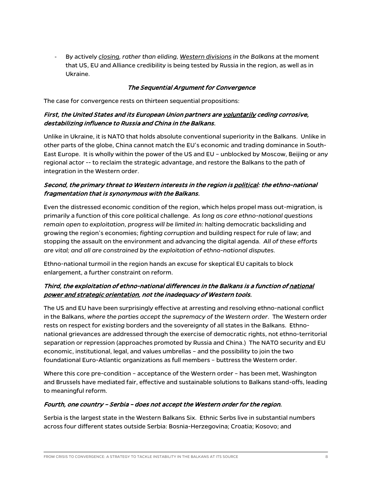- By actively *closing, rather than eliding, Western divisions in the Balkans* at the moment that US, EU and Alliance credibility is being tested by Russia in the region, as well as in Ukraine.

#### The Sequential Argument for Convergence

The case for convergence rests on thirteen sequential propositions:

#### First, the United States and its European Union partners are voluntarily ceding corrosive, destabilizing influence to Russia and China in the Balkans.

Unlike in Ukraine, it is NATO that holds absolute conventional superiority in the Balkans. Unlike in other parts of the globe, China cannot match the EU's economic and trading dominance in South-East Europe. It is wholly within the power of the US and EU – unblocked by Moscow, Beijing or any regional actor -- to reclaim the strategic advantage, and restore the Balkans to the path of integration in the Western order.

#### Second, the primary threat to Western interests in the region is political: the ethno-national fragmentation that is synonymous with the Balkans.

Even the distressed economic condition of the region, which helps propel mass out-migration, is primarily a function of this core political challenge. *As long as core ethno-national questions remain open to exploitation, progress will be limited in:* halting democratic backsliding and growing the region's economies; *fighting corruption* and building respect for rule of law; and stopping the assault on the environment and advancing the digital agenda. *All of these efforts are vital; and all are constrained by the exploitation of ethno-national disputes.*

Ethno-national turmoil in the region hands an excuse for skeptical EU capitals to block enlargement, a further constraint on reform.

#### Third, the exploitation of ethno-national differences in the Balkans is a function of national power and strategic orientation, not the inadequacy of Western tools.

The US and EU have been surprisingly effective at arresting and resolving ethno-national conflict in the Balkans, *where the parties accept the supremacy of the Western order*. The Western order rests on respect for *existing* borders and the sovereignty of all states in the Balkans. Ethnonational grievances are addressed through the exercise of democratic rights, not ethno-territorial separation or repression (approaches promoted by Russia and China.) The NATO security and EU economic, institutional, legal, and values umbrellas – and the possibility to join the two foundational Euro-Atlantic organizations as full members – buttress the Western order.

Where this core pre-condition – acceptance of the Western order – has been met, Washington and Brussels have mediated fair, effective and sustainable solutions to Balkans stand-offs, leading to meaningful reform.

#### Fourth, one country – Serbia – does not accept the Western order for the region.

Serbia is the largest state in the Western Balkans Six. Ethnic Serbs live in substantial numbers across four different states outside Serbia: Bosnia-Herzegovina; Croatia; Kosovo; and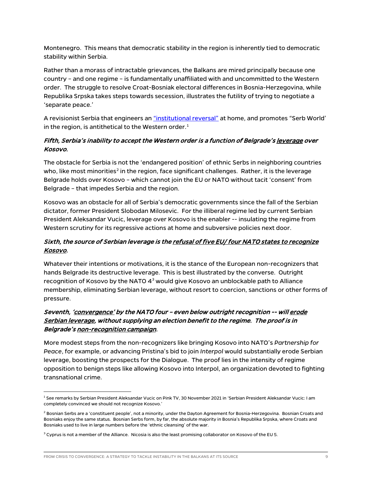Montenegro. This means that democratic stability in the region is inherently tied to democratic stability within Serbia.

Rather than a morass of intractable grievances, the Balkans are mired principally because one country – and one regime – is fundamentally unaffiliated with and uncommitted to the Western order. The struggle to resolve Croat-Bosniak electoral differences in Bosnia-Herzegovina, while Republika Srpska takes steps towards secession, illustrates the futility of trying to negotiate a 'separate peace.'

A revisionist Serbia that engineers a[n "institutional reversal"](https://www.tandfonline.com/doi/abs/10.1080/14683857.2019.1672929) at home, and promotes "Serb World' in the region, is antithetical to the Western order. $^1$  $^1$ 

#### Fifth, Serbia's inability to accept the Western order is a function of Belgrade's <u>leverage</u> over Kosovo.

The obstacle for Serbia is not the 'endangered position' of ethnic Serbs in neighboring countries who, like most minorities<sup>[2](#page-9-1)</sup> in the region, face significant challenges. Rather, it is the leverage Belgrade holds over Kosovo – which cannot join the EU or NATO without tacit 'consent' from Belgrade – that impedes Serbia and the region.

Kosovo was an obstacle for all of Serbia's democratic governments since the fall of the Serbian dictator, former President Slobodan Milosevic. For the illiberal regime led by current Serbian President Aleksandar Vucic, leverage over Kosovo is the enabler -- insulating the regime from Western scrutiny for its regressive actions at home and subversive policies next door.

#### Sixth, the source of Serbian leverage is the refusal of five EU/ four NATO states to recognize Kosovo.

Whatever their intentions or motivations, it is the stance of the European non-recognizers that hands Belgrade its destructive leverage. This is best illustrated by the converse. Outright recognition of Kosovo by the NATO  $4<sup>3</sup>$  $4<sup>3</sup>$  $4<sup>3</sup>$  would give Kosovo an unblockable path to Alliance membership, eliminating Serbian leverage, without resort to coercion, sanctions or other forms of pressure.

#### Seventh, 'convergence' by the NATO four - even below outright recognition -- will erode Serbian leverage, without supplying an election benefit to the regime. The proof is in Belgrade's non-recognition campaign.

More modest steps from the non-recognizers like bringing Kosovo into NATO's *Partnership for Peace*, for example, or advancing Pristina's bid to join *Interpol* would substantially erode Serbian leverage, boosting the prospects for the Dialogue. The proof lies in the intensity of regime opposition to benign steps like allowing Kosovo into Interpol, an organization devoted to fighting transnational crime.

<span id="page-9-0"></span><sup>1</sup> See remarks by Serbian President Aleksandar Vucic on Pink TV, 30 November 2021 in 'Serbian President Aleksandar Vucic: I am completely convinced we should not recognize Kosovo.'

<span id="page-9-1"></span><sup>&</sup>lt;sup>2</sup> Bosnian Serbs are a 'constituent people', not a minority, under the Dayton Agreement for Bosnia-Herzegovina. Bosnian Croats and Bosniaks enjoy the same status. Bosnian Serbs form, by far, the absolute majority in Bosnia's Republika Srpska, where Croats and Bosniaks used to live in large numbers before the 'ethnic cleansing' of the war.

<span id="page-9-2"></span> $3$  Cyprus is not a member of the Alliance. Nicosia is also the least promising collaborator on Kosovo of the EU 5.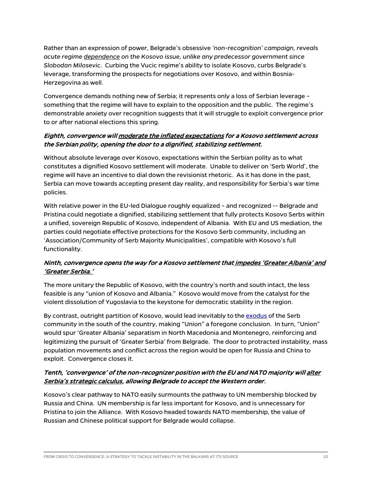Rather than an expression of power, Belgrade's obsessive *'non-recognition' campaign, reveals acute regime dependence on the Kosovo issue, unlike any predecessor government since Slobodan Milosevic*. Curbing the Vucic regime's ability to isolate Kosovo, curbs Belgrade's leverage, transforming the prospects for negotiations over Kosovo, and within Bosnia-Herzegovina as well.

Convergence demands nothing new of Serbia; it represents only a loss of Serbian leverage – something that the regime will have to explain to the opposition and the public. The regime's demonstrable anxiety over recognition suggests that it will struggle to exploit convergence prior to or after national elections this spring.

#### Eighth, convergence will moderate the inflated expectations for a Kosovo settlement across the Serbian polity, opening the door to a dignified, stabilizing settlement.

Without absolute leverage over Kosovo, expectations within the Serbian polity as to what constitutes a dignified Kosovo settlement will moderate. Unable to deliver on 'Serb World', the regime will have an incentive to dial down the revisionist rhetoric. As it has done in the past, Serbia can move towards accepting present day reality, and responsibility for Serbia's war time policies.

With relative power in the EU-led Dialogue roughly equalized – and recognized -- Belgrade and Pristina could negotiate a dignified, stabilizing settlement that fully protects Kosovo Serbs within a unified, sovereign Republic of Kosovo, independent of Albania. With EU and US mediation, the parties could negotiate effective protections for the Kosovo Serb community, including an 'Association/Community of Serb Majority Municipalities', compatible with Kosovo's full functionality.

#### Ninth, convergence opens the way for a Kosovo settlement that impedes 'Greater Albania' and 'Greater Serbia.'

The more unitary the Republic of Kosovo, with the country's north and south intact, the less feasible is any "union of Kosovo and Albania." Kosovo would move from the catalyst for the violent dissolution of Yugoslavia to the keystone for democratic stability in the region.

By contrast, outright partition of Kosovo, would lead inevitably to the [exodus](https://balkaninsight.com/2018/08/15/kosovo-serb-priest-under-fire-for-opposing-partition-08-14-2018/) of the Serb community in the south of the country, making "Union" a foregone conclusion. In turn, "Union" would spur 'Greater Albania' separatism in North Macedonia and Montenegro, reinforcing and legitimizing the pursuit of 'Greater Serbia' from Belgrade. The door to protracted instability, mass population movements and conflict across the region would be open for Russia and China to exploit. Convergence closes it.

#### Tenth, 'convergence' of the non-recognizer position with the EU and NATO majority will alter Serbia's strategic calculus, allowing Belgrade to accept the Western order.

Kosovo's clear pathway to NATO easily surmounts the pathway to UN membership blocked by Russia and China. UN membership is far less important for Kosovo, and is unnecessary for Pristina to join the Alliance. With Kosovo headed towards NATO membership, the value of Russian and Chinese political support for Belgrade would collapse.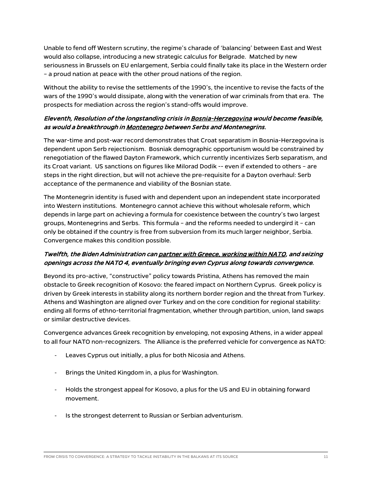Unable to fend off Western scrutiny, the regime's charade of 'balancing' between East and West would also collapse, introducing a new strategic calculus for Belgrade. Matched by new seriousness in Brussels on EU enlargement, Serbia could finally take its place in the Western order – a proud nation at peace with the other proud nations of the region.

Without the ability to revise the settlements of the 1990's, the incentive to revise the facts of the wars of the 1990's would dissipate, along with the veneration of war criminals from that era. The prospects for mediation across the region's stand-offs would improve.

#### Eleventh, Resolution of the longstanding crisis in Bosnia-Herzegovina would become feasible, as would a breakthrough in Montenegro between Serbs and Montenegrins.

The war-time and post-war record demonstrates that Croat separatism in Bosnia-Herzegovina is dependent upon Serb rejectionism. Bosniak demographic opportunism would be constrained by renegotiation of the flawed Dayton Framework, which currently incentivizes Serb separatism, and its Croat variant. US sanctions on figures like Milorad Dodik -- even if extended to others – are steps in the right direction, but will not achieve the pre-requisite for a Dayton overhaul: Serb acceptance of the permanence and viability of the Bosnian state.

The Montenegrin identity is fused with and dependent upon an independent state incorporated into Western institutions. Montenegro cannot achieve this without wholesale reform, which depends in large part on achieving a formula for coexistence between the country's two largest groups, Montenegrins and Serbs. This formula – and the reforms needed to undergird it – can only be obtained if the country is free from subversion from its much larger neighbor, Serbia. Convergence makes this condition possible.

#### Twelfth, the Biden Administration can partner with Greece, working within NATO, and seizing openings across the NATO 4, eventually bringing even Cyprus along towards convergence.

Beyond its pro-active, "constructive" policy towards Pristina, Athens has removed the main obstacle to Greek recognition of Kosovo: the feared impact on Northern Cyprus. Greek policy is driven by Greek interests in stability along its northern border region and the threat from Turkey. Athens and Washington are aligned over Turkey and on the core condition for regional stability: ending all forms of ethno-territorial fragmentation, whether through partition, union, land swaps or similar destructive devices.

Convergence advances Greek recognition by enveloping, not exposing Athens, in a wider appeal to all four NATO non-recognizers. The Alliance is the preferred vehicle for convergence as NATO:

- Leaves Cyprus out initially, a plus for both Nicosia and Athens.
- Brings the United Kingdom in, a plus for Washington.
- Holds the strongest appeal for Kosovo, a plus for the US and EU in obtaining forward movement.
- Is the strongest deterrent to Russian or Serbian adventurism.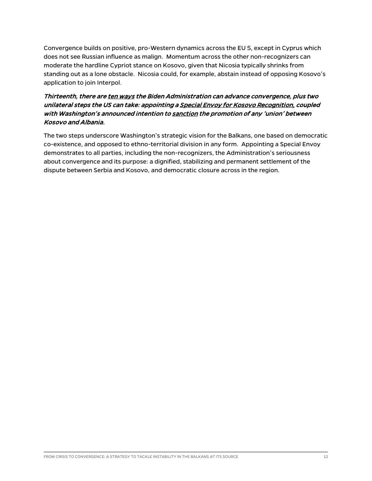Convergence builds on positive, pro-Western dynamics across the EU 5, except in Cyprus which does not see Russian influence as malign. Momentum across the other non-recognizers can moderate the hardline Cypriot stance on Kosovo, given that Nicosia typically shrinks from standing out as a lone obstacle. Nicosia could, for example, abstain instead of opposing Kosovo's application to join Interpol.

#### Thirteenth, there are ten ways the Biden Administration can advance convergence, plus two unilateral steps the US can take: appointing a Special Envoy for Kosovo Recognition, coupled with Washington's announced intention to sanction the promotion of any 'union' between Kosovo and Albania.

The two steps underscore Washington's strategic vision for the Balkans, one based on democratic co-existence, and opposed to ethno-territorial division in any form. Appointing a Special Envoy demonstrates to all parties, including the non-recognizers, the Administration's seriousness about convergence and its purpose: a dignified, stabilizing and permanent settlement of the dispute between Serbia and Kosovo, and democratic closure across in the region.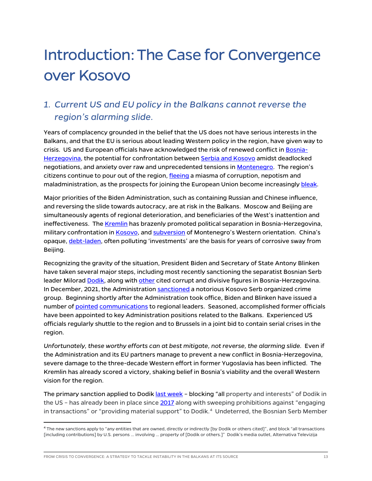## Introduction: The Case for Convergence over Kosovo

## *1. Current US and EU policy in the Balkans cannot reverse the region's alarming slide.*

Years of complacency grounded in the belief that the US does not have serious interests in the Balkans, and that the EU is serious about leading Western policy in the region, have given way to crisis. US and European officials have acknowledged the risk of renewed conflict in [Bosnia-](https://www.theguardian.com/world/2021/nov/02/bosnia-is-in-danger-of-breaking-up-warns-eus-top-official-in-the-state)[Herzegovina,](https://www.theguardian.com/world/2021/nov/02/bosnia-is-in-danger-of-breaking-up-warns-eus-top-official-in-the-state) the potential for confrontation between [Serbia and Kosovo](https://www.b92.net/eng/news/politics.php?yyyy=2021&mm=09&dd=25&nav_id=111817) amidst deadlocked negotiations, and anxiety over raw and unprecedented tensions in [Montenegro.](https://www.reuters.com/world/europe/montenegro-police-fire-teargas-protesters-incensed-over-clerics-enthronement-2021-09-05/) The region's citizens continue to pour out of the region[, fleeing](https://www.economist.com/the-world-ahead/2020/11/17/emigration-and-low-birth-rates-are-affecting-the-balkans) a miasma of corruption, nepotism and maladministration, as the prospects for joining the European Union become increasingl[y bleak.](https://carnegieeurope.eu/strategiceurope/84049)

Major priorities of the Biden Administration, such as containing Russian and Chinese influence, and reversing the slide towards autocracy, are at risk in the Balkans. Moscow and Beijing are simultaneously agents of regional deterioration, and beneficiaries of the West's inattention and ineffectiveness. Th[e Kremlin](https://www.bloomberg.com/news/articles/2021-12-03/putin-backs-bosnian-serbs-against-liberal-west-dodik-says) has brazenly promoted political separation in Bosnia-Herzegovina, military confrontation i[n Kosovo,](https://www.euractiv.com/section/politics/short_news/northern-kosovo-situation-sparks-international-response/) and [subversion](https://www.rand.org/content/dam/rand/pubs/perspectives/PE300/PE331/RAND_PE331.pdf) of Montenegro's Western orientation. China's opaque, [debt-laden,](https://balkaninsight.com/2021/12/15/china-in-the-balkans-controversy-and-cost/) often polluting 'investments' are the basis for years of corrosive sway from Beijing.

Recognizing the gravity of the situation, President Biden and Secretary of State Antony Blinken have taken several major steps, including most recently sanctioning the separatist Bosnian Serb leader Milora[d Dodik,](https://home.treasury.gov/news/press-releases/jy0549) along wit[h other](https://www.state.gov/u-s-government-takes-action-against-current-and-former-bosnia-and-herzegovina-officials-due-to-involvement-in-significant-corruption-and-destabilizing-activities/) cited corrupt and divisive figures in Bosnia-Herzegovina. In December, 2021, the Administratio[n sanctioned](https://home.treasury.gov/news/press-releases/jy0519) a notorious Kosovo Serb organized crime group. Beginning shortly after the Administration took office, Biden and Blinken have issued a number of [pointed](https://www.rtklive.com/en/news-single.php?ID=18637) [communications](https://www.rferl.org/a/bosnia-serb-blinken-/31565317.html) to regional leaders. Seasoned, accomplished former officials have been appointed to key Administration positions related to the Balkans. Experienced US officials regularly shuttle to the region and to Brussels in a joint bid to contain serial crises in the region.

*Unfortunately, these worthy efforts can at best mitigate, not reverse, the alarming slide.* Even if the Administration and its EU partners manage to prevent a new conflict in Bosnia-Herzegovina, severe damage to the three-decade Western effort in former Yugoslavia has been inflicted. The Kremlin has already scored a victory, shaking belief in Bosnia's viability and the overall Western vision for the region.

The primary sanction applied to Dodik [last week](https://home.treasury.gov/news/press-releases/jy0549) - blocking "all property and interests" of Dodik in the US – has already been in place sinc[e 2017](https://www.treasury.gov/press-center/press-releases/Pages/jl0708.aspx) along with sweeping prohibitions against "engaging in transactions" or "providing material support" to Dodik. [4](#page-13-0) Undeterred, the Bosnian Serb Member

FROM CRISIS TO CONVERGENCE: A STRATEGY TO TACKLE INSTABILITY IN THE BALKANS AT ITS SOURCE 13 AND THE SALKANS AT ITS SOURCE

<span id="page-13-0"></span><sup>4</sup> The new sanctions apply to "any entities that are owned, directly or indirectly [by Dodik or others cited]", and block "all transactions [including contributions] by U.S. persons … involving … property of [Dodik or others.]" Dodik's media outlet, Alternativa Televizija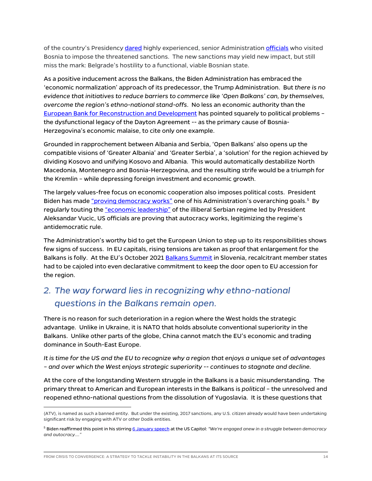of the country's Presidenc[y dared](https://www.theguardian.com/world/2021/nov/29/bosnian-serb-leader-putin-and-china-will-help-if-west-imposes-sanctions) highly experienced, senior Administration [officials](https://apnews.com/article/europe-united-states-6a816115372b79596c7b1b7c14931c1b) who visited Bosnia to impose the threatened sanctions. The new sanctions may yield new impact, but still miss the mark: Belgrade's hostility to a functional, viable Bosnian state.

As a positive inducement across the Balkans, the Biden Administration has embraced the 'economic normalization' approach of its predecessor, the Trump Administration. But *there is no evidence that initiatives to reduce barriers to commerce like 'Open Balkans' can, by themselves, overcome the region's ethno-national stand-offs*. No less an economic authority than the [European Bank for Reconstruction and Development](https://www.ebrd.com/publications/country-diagnostics) has pointed squarely to political problems – the dysfunctional legacy of the Dayton Agreement -- as the primary cause of Bosnia-Herzegovina's economic malaise, to cite only one example.

Grounded in rapprochement between Albania and Serbia, 'Open Balkans' also opens up the compatible visions of 'Greater Albania' and 'Greater Serbia', a 'solution' for the region achieved by dividing Kosovo and unifying Kosovo and Albania. This would automatically destabilize North Macedonia, Montenegro and Bosnia-Herzegovina, and the resulting strife would be a triumph for the Kremlin – while depressing foreign investment and economic growth.

The largely values-free focus on economic cooperation also imposes political costs. President Biden has made ["proving democracy works"](https://www.nytimes.com/2021/03/26/us/politics/biden-china-democracy.html) one of his Administration's overarching goals.<sup>[5](#page-14-0)</sup> By regularly touting th[e "economic leadership"](https://www.rtklive.com/en/news-single.php?ID=19004) of the illiberal Serbian regime led by President Aleksandar Vucic, US officials are proving that autocracy works, legitimizing the regime's antidemocratic rule.

The Administration's worthy bid to get the European Union to step up to its responsibilities shows few signs of success. In EU capitals, rising tensions are taken as proof that enlargement for the Balkans is folly. At the EU's October 2021 [Balkans Summit](https://www.neweurope.eu/article/enlargement-eus-turgid-brdo-declaration-seen-as-a-fail/) in Slovenia, recalcitrant member states had to be cajoled into even declarative commitment to keep the door open to EU accession for the region.

## *2. The way forward lies in recognizing why ethno-national questions in the Balkans remain open.*

There is no reason for such deterioration in a region where the West holds the strategic advantage. Unlike in Ukraine, it is NATO that holds absolute conventional superiority in the Balkans. Unlike other parts of the globe, China cannot match the EU's economic and trading dominance in South-East Europe.

*It is time for the US and the EU to recognize why a region that enjoys a unique set of advantages – and over which the West enjoys strategic superiority -- continues to stagnate and decline.*

At the core of the longstanding Western struggle in the Balkans is a basic misunderstanding. The primary threat to American and European interests in the Balkans is *political* – the unresolved and reopened ethno-national questions from the dissolution of Yugoslavia. It is these questions that

<sup>(</sup>ATV), is named as such a banned entity. But under the existing, 2017 sanctions, any U.S. citizen already would have been undertaking significant risk by engaging with ATV or other Dodik entities.

<span id="page-14-0"></span><sup>5</sup> Biden reaffirmed this point in his stirrin[g 6 January speech](https://www.usatoday.com/story/news/politics/2022/01/06/biden-jan-6-capitol-riot-speech-transcript/9115459002/) at the US Capitol: *"We're engaged anew in a struggle between democracy and autocracy…."*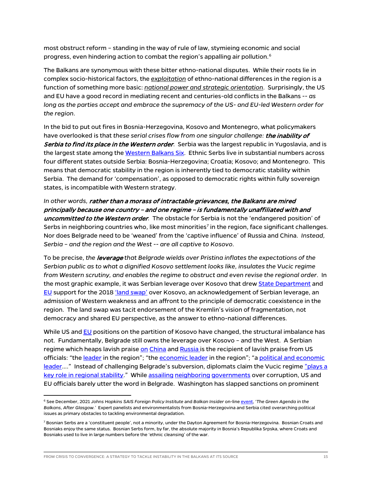most obstruct reform – standing in the way of rule of law, stymieing economic and social progress, even hindering action to combat the region's appalling air pollution. $^6$  $^6$ 

The Balkans are synonymous with these bitter ethno-national disputes. While their roots lie in complex socio-historical factors, the *exploitation* of ethno-national differences in the region is a function of something more basic: *national power and strategic orientation*. Surprisingly, the US and EU have a good record in mediating recent and centuries-old conflicts in the Balkans -- *as long as the parties accept and embrace the supremacy of the US- and EU-led Western order for the region*.

In the bid to put out fires in Bosnia-Herzegovina, Kosovo and Montenegro, what policymakers have overlooked is that *these serial crises flow from one singular challenge:* the inability of Serbia to find its place in the Western order. Serbia was the largest republic in Yugoslavia, and is the largest state among th[e Western Balkans Six.](https://clustercollaboration.eu/international-cooperation/western-balkans) Ethnic Serbs live in substantial numbers across four different states outside Serbia: Bosnia-Herzegovina; Croatia; Kosovo; and Montenegro. This means that democratic stability in the region is inherently tied to democratic stability within Serbia. The demand for 'compensation', as opposed to democratic rights within fully sovereign states, is incompatible with Western strategy.

*In other words,* rather than a morass of intractable grievances, the Balkans are mired principally because one country – and one regime – is fundamentally unaffiliated with and uncommitted to the Western order*.* The obstacle for Serbia is not the 'endangered position' of Serbs in neighboring countries who, like most minorities<sup>[7](#page-15-1)</sup> in the region, face significant challenges. Nor does Belgrade need to be 'weaned' from the 'captive influence' of Russia and China. *Instead, Serbia – and the region and the West -- are all captive to Kosovo*.

To be precise, *the* leverage *that Belgrade wields over Pristina inflates the expectations of the Serbian public as to what a dignified Kosovo settlement looks like, insulates the Vucic regime from Western scrutiny, and enables the regime to obstruct and even revise the regional order*. In the most graphic example, it was Serbian leverage over Kosovo that dre[w State Department](https://euobserver.com/enlargement/147484) and [EU](https://www.politico.eu/article/federica-mogherini-kosovo-serbia-defends-border-change-talks/) support for the 2018 ['land swap'](https://www.theguardian.com/commentisfree/2018/oct/17/kosovo-serbia-land-swap-ethnic-cleansing) over Kosovo, an acknowledgement of Serbian leverage, an admission of Western weakness and an affront to the principle of democratic coexistence in the region. The land swap was tacit endorsement of the Kremlin's vision of fragmentation, not democracy and shared EU perspective, as the answer to ethno-national differences.

While US an[d EU](https://rs.n1info.com/english/news/eus-lajcak-land-swap-between-kosovo-and-serbia-would-be-hazardous/) positions on the partition of Kosovo have changed, the structural imbalance has not. Fundamentally, Belgrade still owns the leverage over Kosovo – and the West. A Serbian regime which heaps lavish prais[e on](https://www.rferl.org/a/chinese-signage-in-serbia-sparks-eu-ire/30637889.html) [China](https://www.bloomberg.com/news/articles/2021-05-26/-comrade-xi-statue-serbia-wants-to-thank-its-friends-in-china) and [Russia i](https://exit.al/en/2021/10/07/vucic-praises-russias-support-at-eu-western-balkans-summit/)s the recipient of lavish praise from US officials: "the [leader](https://tekdeeps.com/godfrey-the-united-states-will-support-the-dialogue-between-belgrade-and-pristina-in-all-ways/) in the region"; "th[e economic leader](https://www.rtklive.com/en/news-single.php?ID=19004) in the region"; "a political and economic leader...." Instead of challenging Belgrade's subversion, diplomats claim the Vucic regime "plays a [key role in regional stability.](https://rs.n1info.com/english/news/a564653-us-wants-a-modern-democratic-serbia-ambassador-godfrey-says/)" Whil[e assailing](https://www.cnn.com/videos/tv/2021/12/17/amanpour-bosnia-serb-vote-us-envoy-gabriel-escobar.cnn) [neighboring](https://www.state.gov/public-designation-of-albanian-sali-berisha-due-to-involvement-in-significant-corruption/) [governments](https://mobile.twitter.com/usambalbania/status/1310878846095446016) over corruption, US and EU officials barely utter the word in Belgrade. Washington has slapped sanctions on prominent

<span id="page-15-0"></span><sup>6</sup> See December, 2021 *Johns Hopkins SAIS Foreign Policy Institute* and *Balkan Insider* on-line [event,](https://www.youtube.com/user/SAISevents/videos) '*The Green Agenda in the Balkans, After Glasgow.'* Expert panelists and environmentalists from Bosnia-Herzegovina and Serbia cited overarching political issues as primary obstacles to tackling environmental degradation.

<span id="page-15-1"></span><sup>&</sup>lt;sup>7</sup> Bosnian Serbs are a 'constituent people', not a minority, under the Dayton Agreement for Bosnia-Herzegovina. Bosnian Croats and Bosniaks enjoy the same status. Bosnian Serbs form, by far, the absolute majority in Bosnia's Republika Srpska, where Croats and Bosniaks used to live in large numbers before the 'ethnic cleansing' of the war.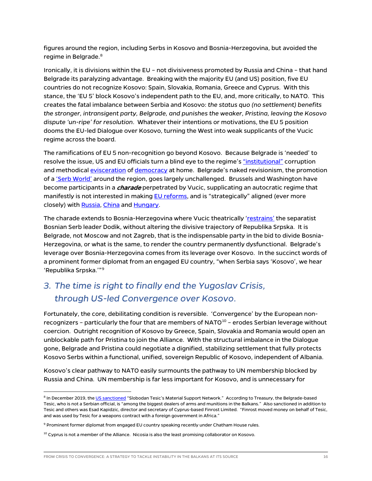figures around the region, including Serbs in Kosovo and Bosnia-Herzegovina, but avoided the regime in Belgrade.<sup>[8](#page-16-0)</sup>

Ironically, it is divisions within the EU – not divisiveness promoted by Russia and China – that hand Belgrade its paralyzing advantage. Breaking with the majority EU (and US) position, five EU countries do not recognize Kosovo: Spain, Slovakia, Romania, Greece and Cyprus. With this stance, the 'EU 5' block Kosovo's independent path to the EU, and, more critically, to NATO. This creates the fatal imbalance between Serbia and Kosovo: *the status quo (no settlement) benefits the stronger, intransigent party, Belgrade, and punishes the weaker, Pristina, leaving the Kosovo dispute 'un-ripe' for resolution*. Whatever their intentions or motivations, the EU 5 position dooms the EU-led Dialogue over Kosovo, turning the West into weak supplicants of the Vucic regime across the board.

The ramifications of EU 5 non-recognition go beyond Kosovo. Because Belgrade is 'needed' to resolve the issue, US and EU officials turn a blind eye to the regime's ["institutional"](https://www.tandfonline.com/doi/abs/10.1080/14683857.2019.1672929) corruption and methodica[l evisceration](https://freedomhouse.org/country/serbia/freedom-world/2021) of [democracy](https://rs.n1info.com/english/news/journalists-local-media-in-serbia-work-in-dire-environment-people-without-news/) at home. Belgrade's naked revisionism, the promotion of a ['Serb World'](https://europeanwesternbalkans.com/2021/07/20/call-of-minister-vulin-for-the-creation-of-the-serbian-world-provokes-condemnations/) around the region, goes largely unchallenged. Brussels and Washington have become participants in a *charade* perpetrated by Vucic, supplicating an autocratic regime that manifestly is not interested in makin[g EU reforms,](https://www.euractiv.com/section/enlargement/opinion/commission-compromising-rule-of-law-standards-in-the-interest-of-orban-vucic-axis/) and is "strategically" aligned (ever more closely) with [Russia,](https://www.ekapija.com/en/news/3510875/brnabic-new-agreement-on-strategic-cooperation-with-russia-and-signing-of-takeover) [China](https://www.mfa.gov.rs/en/press-service/statements/steel-friendship-and-strategic-partnership-between-serbia-and-china) and [Hungary.](https://www.mfa.gov.rs/en/press-service/news/strategic-partnership-agreement-signed-between-serbia-and-hungary)

The charade extends to Bosnia-Herzegovina where Vucic theatrically ['restrains'](https://www.intellinews.com/serbia-slaps-down-republika-srpska-s-secessionist-aspirations-190494/) the separatist Bosnian Serb leader Dodik, without altering the divisive trajectory of Republika Srpska. It is Belgrade, not Moscow and not Zagreb, that is the indispensable party in the bid to divide Bosnia-Herzegovina, or what is the same, to render the country permanently dysfunctional. Belgrade's leverage over Bosnia-Herzegovina comes from its leverage over Kosovo. In the succinct words of a prominent former diplomat from an engaged EU country, "when Serbia says 'Kosovo', we hear 'Republika Srpska.'"[9](#page-16-1)

## *3. The time is right to finally end the Yugoslav Crisis, through US-led Convergence over Kosovo*.

Fortunately, the core, debilitating condition is reversible. 'Convergence' by the European nonrecognizers – particularly the four that are members of NATO $10 - 10$  $10 - 10$  erodes Serbian leverage without coercion. Outright recognition of Kosovo by Greece, Spain, Slovakia and Romania would open an unblockable path for Pristina to join the Alliance. With the structural imbalance in the Dialogue gone, Belgrade and Pristina could negotiate a dignified, stabilizing settlement that fully protects Kosovo Serbs within a functional, unified, sovereign Republic of Kosovo, independent of Albania.

Kosovo's clear pathway to NATO easily surmounts the pathway to UN membership blocked by Russia and China. UN membership is far less important for Kosovo, and is unnecessary for

<span id="page-16-0"></span><sup>&</sup>lt;sup>8</sup> In December 2019, th[e US sanctioned](https://home.treasury.gov/news/press-releases/sm849) "Slobodan Tesic's Material Support Network." According to Treasury, the Belgrade-based Tesic, who is not a Serbian official, is "among the biggest dealers of arms and munitions in the Balkans." Also sanctioned in addition to Tesic and others was Esad Kapidzic, director and secretary of Cyprus-based Finrost Limited. "Finrost moved money on behalf of Tesic, and was used by Tesic for a weapons contract with a foreign government in Africa."

<span id="page-16-1"></span><sup>&</sup>lt;sup>9</sup> Prominent former diplomat from engaged EU country speaking recently under Chatham House rules.

<span id="page-16-2"></span> $10$  Cyprus is not a member of the Alliance. Nicosia is also the least promising collaborator on Kosovo.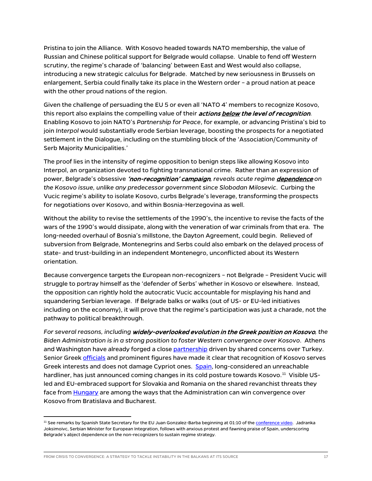Pristina to join the Alliance. With Kosovo headed towards NATO membership, the value of Russian and Chinese political support for Belgrade would collapse. Unable to fend off Western scrutiny, the regime's charade of 'balancing' between East and West would also collapse, introducing a new strategic calculus for Belgrade. Matched by new seriousness in Brussels on enlargement, Serbia could finally take its place in the Western order – a proud nation at peace with the other proud nations of the region.

Given the challenge of persuading the EU 5 or even all 'NATO 4' members to recognize Kosovo, this report also explains the compelling value of their *actions below the level of recognition*. Enabling Kosovo to join NATO's *Partnership for Peace*, for example, or advancing Pristina's bid to join *Interpol* would substantially erode Serbian leverage, boosting the prospects for a negotiated settlement in the Dialogue, including on the stumbling block of the 'Association/Community of Serb Majority Municipalities.'

The proof lies in the intensity of regime opposition to benign steps like allowing Kosovo into Interpol, an organization devoted to fighting transnational crime. Rather than an expression of power, Belgrade's obsessive 'non-recognition' campaign*, reveals acute regime* dependence *on the Kosovo issue, unlike any predecessor government since Slobodan Milosevic*. Curbing the Vucic regime's ability to isolate Kosovo, curbs Belgrade's leverage, transforming the prospects for negotiations over Kosovo, and within Bosnia-Herzegovina as well.

Without the ability to revise the settlements of the 1990's, the incentive to revise the facts of the wars of the 1990's would dissipate, along with the veneration of war criminals from that era. The long-needed overhaul of Bosnia's millstone, the Dayton Agreement, could begin. Relieved of subversion from Belgrade, Montenegrins and Serbs could also embark on the delayed process of state- and trust-building in an independent Montenegro, unconflicted about its Western orientation.

Because convergence targets the European non-recognizers – not Belgrade – President Vucic will struggle to portray himself as the 'defender of Serbs' whether in Kosovo or elsewhere. Instead, the opposition can rightly hold the autocratic Vucic accountable for misplaying his hand and squandering Serbian leverage. If Belgrade balks or walks (out of US- or EU-led initiatives including on the economy), it will prove that the regime's participation was just a charade, not the pathway to political breakthrough.

*For several reasons, including* widely-overlooked evolution in the Greek position on Kosovo*, the Biden Administration is in a strong position to foster Western convergence over Kosovo*. Athens and Washington have already forged a clos[e partnership](https://www.state.gov/joint-statement-on-third-united-states-greece-strategic-dialogue/) driven by shared concerns over Turkey. Senior Gree[k officials](https://www.mfa.gr/en/current-affairs/statements-speeches/interview-of-minister-of-foreign-affairs-nikos-dendias-in-the-newspaper-realnews-with-journalist-giorgos-siadimas-04072021.html) and prominent figures have made it clear that recognition of Kosovo serves Greek interests and does not damage Cypriot ones. [Spain,](http://www.realinstitutoelcano.org/wps/portal/rielcano_en/event?WCM_GLOBAL_CONTEXT=/elcano/elcano_in/calendar/activities/roundtable-the-eus-next-enlargement-propstects-and-pitfalls) long-considered an unreachable hardliner, has just announced coming changes in its cold posture towards Kosovo.<sup>11</sup> Visible USled and EU-embraced support for Slovakia and Romania on the shared revanchist threats they face fro[m Hungary](https://www.washingtonpost.com/opinions/2020/06/03/how-viktor-orban-turned-century-hungarian-history-into-secret-weapon/) are among the ways that the Administration can win convergence over Kosovo from Bratislava and Bucharest.

<span id="page-17-0"></span><sup>&</sup>lt;sup>11</sup> See remarks by Spanish State Secretary for the EU Juan Gonzalez-Barba beginning at 01:10 of th[e conference video.](http://www.realinstitutoelcano.org/wps/portal/rielcano_en/event?WCM_GLOBAL_CONTEXT=/elcano/elcano_in/calendar/activities/roundtable-the-eus-next-enlargement-propstects-and-pitfalls) Jadranka Joksimoivc, Serbian Minister for European Integration, follows with anxious protest and fawning praise of Spain, underscoring Belgrade's abject dependence on the non-recognizers to sustain regime strategy.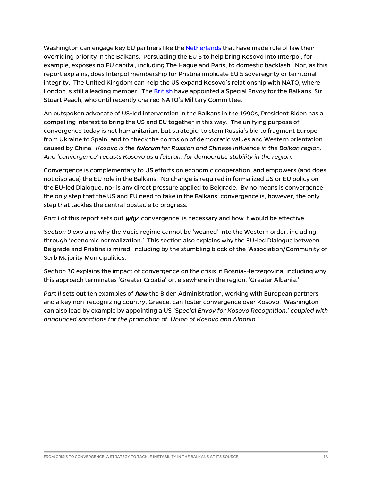Washington can engage key EU partners like th[e Netherlands](https://europeanwesternbalkans.com/2020/01/09/blok-netherlands-ready-to-assist-rule-of-law-reforms-in-albania-and-north-macedonia/) that have made rule of law their overriding priority in the Balkans. Persuading the EU 5 to help bring Kosovo into Interpol, for example, exposes no EU capital, including The Hague and Paris, to domestic backlash. Nor, as this report explains, does Interpol membership for Pristina implicate EU 5 sovereignty or territorial integrity. The United Kingdom can help the US expand Kosovo's relationship with NATO, where London is still a leading member. Th[e British](https://www.gov.uk/government/news/uk-announces-new-special-envoy-to-the-western-balkans) have appointed a Special Envoy for the Balkans, Sir Stuart Peach, who until recently chaired NATO's Military Committee.

An outspoken advocate of US-led intervention in the Balkans in the 1990s, President Biden has a compelling interest to bring the US and EU together in this way. The unifying purpose of convergence today is not humanitarian, but strategic: to stem Russia's bid to fragment Europe from Ukraine to Spain; and to check the corrosion of democratic values and Western orientation caused by China. *Kosovo is the* fulcrum *for Russian and Chinese influence in the Balkan region*. *And 'convergence' recasts Kosovo as a fulcrum for democratic stability in the region.*

Convergence is complementary to US efforts on economic cooperation, and empowers (and does not displace) the EU role in the Balkans. No change is required in formalized US or EU policy on the EU-led Dialogue, nor is any direct pressure applied to Belgrade. By no means is convergence the only step that the US and EU need to take in the Balkans; convergence is, however, the only step that tackles the central obstacle to progress.

Part I of this report sets out *why* 'convergence' is necessary and how it would be effective.

*Section 9* explains why the Vucic regime cannot be 'weaned' into the Western order, including through 'economic normalization.' This section also explains why the EU-led Dialogue between Belgrade and Pristina is mired, including by the stumbling block of the 'Association/Community of Serb Majority Municipalities.'

*Section 10* explains the impact of convergence on the crisis in Bosnia-Herzegovina, including why this approach terminates 'Greater Croatia' or, elsewhere in the region, 'Greater Albania.'

Part II sets out ten examples of *how* the Biden Administration, working with European partners and a key non-recognizing country, Greece, can foster convergence over Kosovo. Washington can also lead by example by appointing a US *'Special Envoy for Kosovo Recognition,' coupled with announced sanctions for the promotion of 'Union of Kosovo and Albania.'*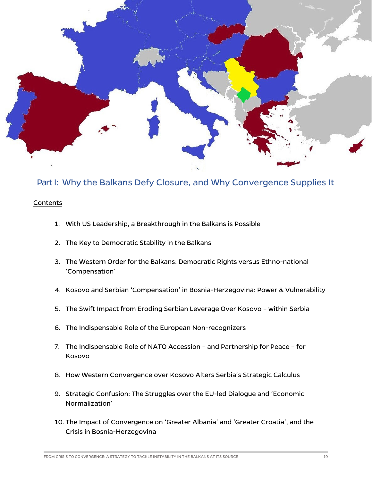

### Part I: Why the Balkans Defy Closure, and Why Convergence Supplies It

#### Contents

- 1. With US Leadership, a Breakthrough in the Balkans is Possible
- 2. The Key to Democratic Stability in the Balkans
- 3. The Western Order for the Balkans: Democratic Rights versus Ethno-national 'Compensation'
- 4. Kosovo and Serbian 'Compensation' in Bosnia-Herzegovina: Power & Vulnerability
- 5. The Swift Impact from Eroding Serbian Leverage Over Kosovo within Serbia
- 6. The Indispensable Role of the European Non-recognizers
- 7. The Indispensable Role of NATO Accession and Partnership for Peace for Kosovo
- 8. How Western Convergence over Kosovo Alters Serbia's Strategic Calculus
- 9. Strategic Confusion: The Struggles over the EU-led Dialogue and 'Economic Normalization'
- 10. The Impact of Convergence on 'Greater Albania' and 'Greater Croatia', and the Crisis in Bosnia-Herzegovina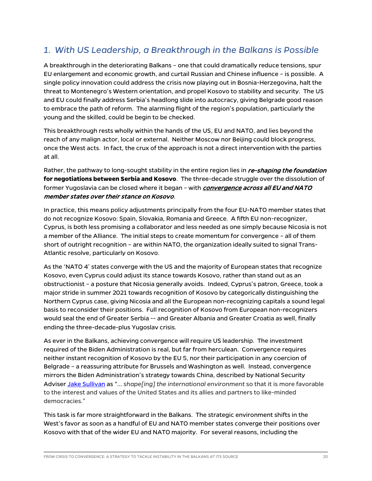## *1. With US Leadership, a Breakthrough in the Balkans is Possible*

A breakthrough in the deteriorating Balkans – one that could dramatically reduce tensions, spur EU enlargement and economic growth, and curtail Russian and Chinese influence – is possible. A single policy innovation could address the crisis now playing out in Bosnia-Herzegovina, halt the threat to Montenegro's Western orientation, and propel Kosovo to stability and security. The US and EU could finally address Serbia's headlong slide into autocracy, giving Belgrade good reason to embrace the path of reform. The alarming flight of the region's population, particularly the young and the skilled, could be begin to be checked.

This breakthrough rests wholly within the hands of the US, EU and NATO, and lies beyond the reach of any malign actor, local or external. Neither Moscow nor Beijing could block progress, once the West acts. In fact, the crux of the approach is not a direct intervention with the parties at all.

Rather, the pathway to long-sought stability in the entire region lies in re-shaping the foundation **for negotiations between Serbia and Kosovo**. The three-decade struggle over the dissolution of former Yugoslavia can be closed where it began – with *convergence across all EU and NATO* member states over their stance on Kosovo.

In practice, this means policy adjustments principally from the four EU-NATO member states that do not recognize Kosovo: Spain, Slovakia, Romania and Greece. A fifth EU non-recognizer, Cyprus, is both less promising a collaborator and less needed as one simply because Nicosia is not a member of the Alliance. The initial steps to create momentum for convergence – all of them short of outright recognition – are within NATO, the organization ideally suited to signal Trans-Atlantic resolve, particularly on Kosovo.

As the 'NATO 4' states converge with the US and the majority of European states that recognize Kosovo, even Cyprus could adjust its stance towards Kosovo, rather than stand out as an obstructionist – a posture that Nicosia generally avoids. Indeed, Cyprus's patron, Greece, took a major stride in summer 2021 towards recognition of Kosovo by categorically distinguishing the Northern Cyprus case, giving Nicosia and all the European non-recognizing capitals a sound legal basis to reconsider their positions. Full recognition of Kosovo from European non-recognizers would seal the end of Greater Serbia -- and Greater Albania and Greater Croatia as well, finally ending the three-decade-plus Yugoslav crisis.

As ever in the Balkans, achieving convergence will require US leadership. The investment required of the Biden Administration is real, but far from herculean. Convergence requires neither instant recognition of Kosovo by the EU 5, nor their participation in any coercion of Belgrade – a reassuring attribute for Brussels and Washington as well. Instead, convergence mirrors the Biden Administration's strategy towards China, described by National Security Adviser [Jake Sullivan](https://www.washingtonpost.com/opinions/2021/11/11/united-states-china-climate-agreement-challenges-competition/) as "… *shape[ing] the international environment* so that it is more favorable to the interest and values of the United States and its allies and partners to like-minded democracies."

This task is far more straightforward in the Balkans. The strategic environment shifts in the West's favor as soon as a handful of EU and NATO member states converge their positions over Kosovo with that of the wider EU and NATO majority. For several reasons, including the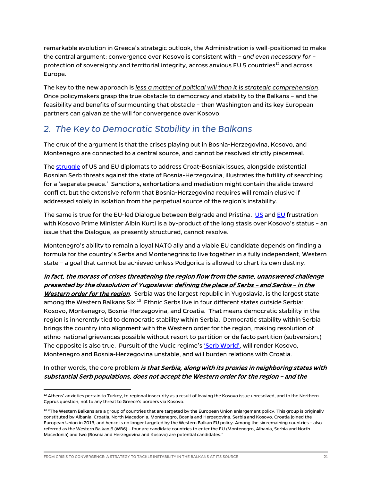remarkable evolution in Greece's strategic outlook, the Administration is well-positioned to make the central argument: convergence over Kosovo is consistent with – *and even necessary for* – protection of sovereignty and territorial integrity, across anxious EU 5 countries<sup>[12](#page-21-0)</sup> and across Europe.

The key to the new approach is *less a matter of political will than it is strategic comprehension*. Once policymakers grasp the true obstacle to democracy and stability to the Balkans – and the feasibility and benefits of surmounting that obstacle – then Washington and its key European partners can galvanize the will for convergence over Kosovo.

## *2. The Key to Democratic Stability in the Balkans*

The crux of the argument is that the crises playing out in Bosnia-Herzegovina, Kosovo, and Montenegro are connected to a central source, and cannot be resolved strictly piecemeal.

The [struggle](https://www.euractiv.com/section/politics/short_news/eu-and-us-envoy-for-electoral-law-reform-cancel-visit-to-bih/) of US and EU diplomats to address Croat-Bosniak issues, alongside existential Bosnian Serb threats against the state of Bosnia-Herzegovina, illustrates the futility of searching for a 'separate peace.' Sanctions, exhortations and mediation might contain the slide toward conflict, but the extensive reform that Bosnia-Herzegovina requires will remain elusive if addressed solely in isolation from the perpetual source of the region's instability.

The same is true for the EU-led Dialogue between Belgrade and Pristina. [US](https://balkaninsight.com/2021/11/16/kosovos-kurti-has-hill-to-climb-in-us-relations-experts-warn/) and [EU](https://rs.n1info.com/english/news/eus-borrel-to-kosovos-kurti-agreement-on-csm-vital/) frustration with Kosovo Prime Minister Albin Kurti is a by-product of the long stasis over Kosovo's status – an issue that the Dialogue, as presently structured, cannot resolve.

Montenegro's ability to remain a loyal NATO ally and a viable EU candidate depends on finding a formula for the country's Serbs and Montenegrins to live together in a fully independent, Western state – a goal that cannot be achieved unless Podgorica is allowed to chart its own destiny.

#### In fact, the morass of crises threatening the region flow from the same, unanswered challenge presented by the dissolution of Yugoslavia: defining the place of Serbs – and Serbia – in the

Western order for the region. Serbia was the largest republic in Yugoslavia, is the largest state among the Western Balkans Six.<sup>[13](#page-21-1)</sup> Ethnic Serbs live in four different states outside Serbia: Kosovo, Montenegro, Bosnia-Herzegovina, and Croatia. That means democratic stability in the region is inherently tied to democratic stability within Serbia. Democratic stability within Serbia brings the country into alignment with the Western order for the region, making resolution of ethno-national grievances possible without resort to partition or de facto partition (subversion.) The opposite is also true. Pursuit of the Vucic regime'[s 'Serb World',](https://europeanwesternbalkans.com/2021/07/20/call-of-minister-vulin-for-the-creation-of-the-serbian-world-provokes-condemnations/) will render Kosovo, Montenegro and Bosnia-Herzegovina unstable, and will burden relations with Croatia.

In other words, the core problem is that Serbia, along with its proxies in neighboring states with substantial Serb populations, does not accept the Western order for the region – and the

FROM CRISIS TO CONVERGENCE: A STRATEGY TO TACKLE INSTABILITY IN THE BALKANS AT ITS SOURCE **1999 THE SALL ASSAULT** 

<span id="page-21-0"></span> $12$  Athens' anxieties pertain to Turkey, to regional insecurity as a result of leaving the Kosovo issue unresolved, and to the Northern Cyprus question, not to any threat to Greece's borders via Kosovo.

<span id="page-21-1"></span><sup>&</sup>lt;sup>13</sup> "The Western Balkans are a group of countries that are targeted by the European Union enlargement policy. This group is originally constituted by Albania, Croatia, North Macedonia, Montenegro, Bosnia and Herzegovina, Serbia and Kosovo. Croatia joined the European Union in 2013, and hence is no longer targeted by the Western Balkan EU policy. Among the six remaining countries – also referred as th[e Western Balkan 6](https://clustercollaboration.eu/international-cooperation/western-balkans) (WB6) - four are candidate countries to enter the EU (Montenegro, Albania, Serbia and North Macedonia) and two (Bosnia and Herzegovina and Kosovo) are potential candidates."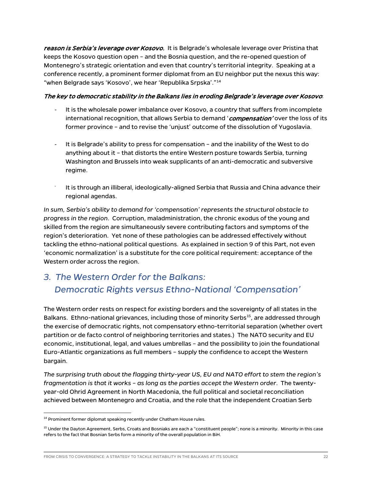reason is Serbia's leverage over Kosovo. It is Belgrade's wholesale leverage over Pristina that keeps the Kosovo question open – and the Bosnia question, and the re-opened question of Montenegro's strategic orientation and even that country's territorial integrity. Speaking at a conference recently, a prominent former diplomat from an EU neighbor put the nexus this way: "when Belgrade says 'Kosovo', we hear 'Republika Srpska'."[14](#page-22-0)

#### The key to democratic stability in the Balkans lies in eroding Belgrade's leverage over Kosovo:

- It is the wholesale power imbalance over Kosovo, a country that suffers from incomplete international recognition, that allows Serbia to demand 'compensation' over the loss of its former province – and to revise the 'unjust' outcome of the dissolution of Yugoslavia.
- It is Belgrade's ability to press for compensation and the inability of the West to do anything about it – that distorts the entire Western posture towards Serbia, turning Washington and Brussels into weak supplicants of an anti-democratic and subversive regime.
- It is through an illiberal, ideologically-aligned Serbia that Russia and China advance their regional agendas.

*In sum, Serbia's ability to demand for 'compensation' represents the structural obstacle to progress in the region*. Corruption, maladministration, the chronic exodus of the young and skilled from the region are simultaneously severe contributing factors and symptoms of the region's deterioration. Yet none of these pathologies can be addressed effectively without tackling the ethno-national political questions. As explained in section 9 of this Part, not even 'economic normalization' is a substitute for the core political requirement: acceptance of the Western order across the region.

## *3. The Western Order for the Balkans: Democratic Rights versus Ethno-National 'Compensation'*

The Western order rests on respect for *existing* borders and the sovereignty of all states in the Balkans. Ethno-national grievances, including those of minority Serbs<sup>15</sup>, are addressed through the exercise of democratic rights, not compensatory ethno-territorial separation (whether overt partition or de facto control of neighboring territories and states.) The NATO security and EU economic, institutional, legal, and values umbrellas – and the possibility to join the foundational Euro-Atlantic organizations as full members – supply the confidence to accept the Western bargain.

*The surprising truth about the flagging thirty-year US, EU and NATO effort to stem the region's fragmentation is that it works – as long as the parties accept the Western order*. The twentyyear-old Ohrid Agreement in North Macedonia, the full political and societal reconciliation achieved between Montenegro and Croatia, and the role that the independent Croatian Serb

<span id="page-22-0"></span><sup>&</sup>lt;sup>14</sup> Prominent former diplomat speaking recently under Chatham House rules.

<span id="page-22-1"></span><sup>&</sup>lt;sup>15</sup> Under the Dayton Agreement, Serbs, Croats and Bosniaks are each a "constituent people"; none is a minority. Minority in this case refers to the fact that Bosnian Serbs form a minority of the overall population in BiH.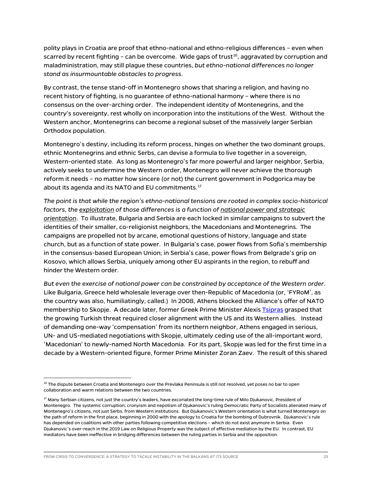polity plays in Croatia are proof that ethno-national and ethno-religious differences – even when scarred by recent fighting – can be overcome. Wide gaps of trust<sup>16</sup>, aggravated by corruption and maladministration, may still plague these countries, *but ethno-national differences no longer stand as insurmountable obstacles to progress*.

By contrast, the tense stand-off in Montenegro shows that sharing a religion, and having no recent history of fighting, is no guarantee of ethno-national harmony – where there is no consensus on the over-arching order. The independent identity of Montenegrins, and the country's sovereignty, rest wholly on incorporation into the institutions of the West. Without the Western anchor, Montenegrins can become a regional subset of the massively larger Serbian Orthodox population.

Montenegro's destiny, including its reform process, hinges on whether the two dominant groups, ethnic Montenegrins and ethnic Serbs, can devise a formula to live together in a sovereign, Western-oriented state. As long as Montenegro's far more powerful and larger neighbor, Serbia, actively seeks to undermine the Western order, Montenegro will never achieve the thorough reform it needs – no matter how sincere (or not) the current government in Podgorica may be about its agenda and its NATO and EU commitments.<sup>[17](#page-23-1)</sup>

*The point is that while the region's ethno-national tensions are rooted in complex socio-historical factors, the exploitation of those differences is a function of national power and strategic orientation*. To illustrate, Bulgaria and Serbia are each locked in similar campaigns to subvert the identities of their smaller, co-religionist neighbors, the Macedonians and Montenegrins. The campaigns are propelled not by arcane, emotional questions of history, language and state church, but as a function of state power. In Bulgaria's case, power flows from Sofia's membership in the consensus-based European Union; in Serbia's case, power flows from Belgrade's grip on Kosovo, which allows Serbia, uniquely among other EU aspirants in the region, to rebuff and hinder the Western order.

*But even the exercise of national power can be constrained by acceptance of the Western order*. Like Bulgaria, Greece held wholesale leverage over then-Republic of Macedonia (or, 'FYRoM', as the country was also, humiliatingly, called.) In 2008, Athens blocked the Alliance's offer of NATO membership to Skopje. A decade later, former Greek Prime Minister Alexi[s Tsipras](https://www.nytimes.com/2018/06/17/world/europe/greece-macedonia-name-dispute.html) grasped that the growing Turkish threat required closer alignment with the US and its Western allies. Instead of demanding one-way 'compensation' from its northern neighbor, Athens engaged in serious, UN- and US-mediated negotiations with Skopje, ultimately ceding use of the all-important word, 'Macedonian' to newly-named North Macedonia. For its part, Skopje was led for the first time in a decade by a Western-oriented figure, former Prime Minister Zoran Zaev. The result of this shared

<span id="page-23-0"></span> $^{16}$  The dispute between Croatia and Montenegro over the Prevlaka Peninsula is still not resolved, yet poses no bar to open collaboration and warm relations between the two countries.

<span id="page-23-1"></span><sup>&</sup>lt;sup>17</sup> Many Serbian citizens, not just the country's leaders, have excoriated the long-time rule of Milo Djukanovic, President of Montenegro. The systemic corruption, cronyism and nepotism of Djukanovic's ruling Democratic Party of Socialists alienated many of Montenegro's citizens, not just Serbs, from Western institutions. But Djukanovic's Western orientation is what turned Montenegro on the path of reform in the first place, beginning in 2000 with the apology to Croatia for the bombing of Dubrovnik. Djukanovic's rule has depended on coalitions with other parties following competitive elections – which do not exist anymore in Serbia. Even Djukanovic's over-reach in the 2019 Law on Religious Property was the subject of effective mediation by the EU. In contrast, EU mediators have been ineffective in bridging differences between the ruling parties in Serbia and the opposition.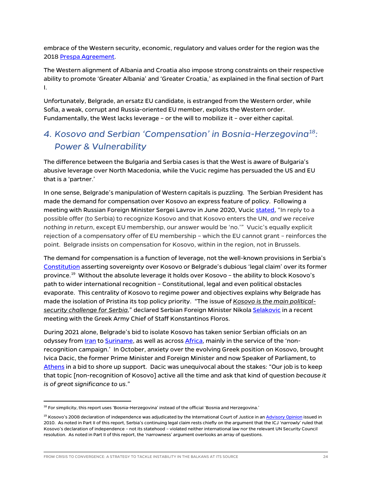embrace of the Western security, economic, regulatory and values order for the region was the 201[8 Prespa Agreement.](https://www.tandfonline.com/doi/abs/10.1080/00396338.2018.1495426)

The Western alignment of Albania and Croatia also impose strong constraints on their respective ability to promote 'Greater Albania' and 'Greater Croatia,' as explained in the final section of Part I.

Unfortunately, Belgrade, an ersatz EU candidate, is estranged from the Western order, while Sofia, a weak, corrupt and Russia-oriented EU member, exploits the Western order. Fundamentally, the West lacks leverage – or the will to mobilize it – over either capital.

## *4. Kosovo and Serbian 'Compensation' in Bosnia-Herzegovina[18](#page-24-0): Power & Vulnerability*

The difference between the Bulgaria and Serbia cases is that the West is aware of Bulgaria's abusive leverage over North Macedonia, while the Vucic regime has persuaded the US and EU that is a 'partner.'

In one sense, Belgrade's manipulation of Western capitals is puzzling. The Serbian President has made the demand for compensation over Kosovo an express feature of policy. Following a meeting with Russian Foreign Minister Sergei Lavrov in June 2020, Vucic [stated,](https://www.reuters.com/article/us-serbia-russia-kosovo/serbia-ready-to-sacrifice-eu-membership-over-kosovo-deal-idUSKBN23P2G0) "In reply to a possible offer (to Serbia) to recognize Kosovo and that Kosovo enters the UN, *and we receive nothing in return*, except EU membership, our answer would be 'no.'" Vucic's equally explicit rejection of a compensatory offer of EU membership – which the EU cannot grant – reinforces the point. Belgrade insists on compensation for Kosovo, within in the region, not in Brussels.

The demand for compensation is a function of leverage, not the well-known provisions in Serbia's [Constitution](https://www.ilo.org/dyn/natlex/docs/ELECTRONIC/74694/119555/F838981147/SRB74694%20Eng.pdf) asserting sovereignty over Kosovo or Belgrade's dubious 'legal claim' over its former province.[19](#page-24-1) Without the absolute leverage it holds over Kosovo – the ability to block Kosovo's path to wider international recognition – Constitutional, legal and even political obstacles evaporate. This centrality of Kosovo to regime power and objectives explains why Belgrade has made the isolation of Pristina its top policy priority. "The issue of *Kosovo is the main politicalsecurity challenge for Serbia*," declared Serbian Foreign Minister Nikol[a Selakovic](https://rs.n1info.com/english/news/belgrade-to-athens-kosovo-main-political-security-challenge/) in a recent meeting with the Greek Army Chief of Staff Konstantinos Floros.

During 2021 alone, Belgrade's bid to isolate Kosovo has taken senior Serbian officials on an odyssey from *Iran* to [Suriname,](https://www.mfa.gov.rs/en/press-service/activities/washington-ambassador-djuric-handed-over-his-credentials-president-suriname) as well as acros[s Africa,](https://www.mfa.gov.rs/en/press-service/statements/selakovic-colleagues-africa-expressed-admiration-and-respect-successes) mainly in the service of the 'nonrecognition campaign.' In October, anxiety over the evolving Greek position on Kosovo, brought Ivica Dacic, the former Prime Minister and Foreign Minister and now Speaker of Parliament, to [Athens](http://www.tanjug.rs/full-view_en.aspx?izb=691936) in a bid to shore up support. Dacic was unequivocal about the stakes: "Our job is to keep that topic [non-recognition of Kosovo] active all the time and ask that kind of question *because it is of great significance to us*."

<span id="page-24-0"></span><sup>&</sup>lt;sup>18</sup> For simplicity, this report uses 'Bosnia-Herzegovina' instead of the official 'Bosnia and Herzegovina.'

<span id="page-24-1"></span><sup>&</sup>lt;sup>19</sup> Kosovo's 2008 declaration of independence was adjudicated by the International Court of Justice in a[n Advisory Opinion](https://www.icj-cij.org/en/case/141) issued in 2010. As noted in Part II of this report, Serbia's continuing legal claim rests chiefly on the argument that the ICJ 'narrowly' ruled that Kosovo's declaration of independence – not its statehood – violated neither international law nor the relevant UN Security Council resolution. As noted in Part II of this report, the 'narrowness' argument overlooks an array of questions.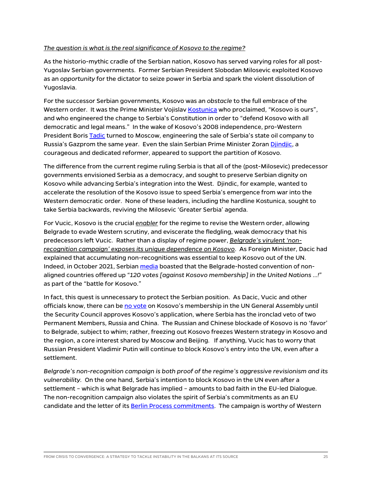#### *The question is what is the real significance of Kosovo to the regime?*

As the historio-mythic cradle of the Serbian nation, Kosovo has served varying roles for all post-Yugoslav Serbian governments. Former Serbian President Slobodan Milosevic exploited Kosovo as an *opportunity* for the dictator to seize power in Serbia and spark the violent dissolution of Yugoslavia.

For the successor Serbian governments, Kosovo was an *obstacle* to the full embrace of the Western order. It was the Prime Minister Vojisla[v Kostunica](https://www.aljazeera.com/news/2006/10/1/serbia-tightens-grip-on-kosovo) who proclaimed, "Kosovo is ours", and who engineered the change to Serbia's Constitution in order to "defend Kosovo with all democratic and legal means." In the wake of Kosovo's 2008 independence, pro-Western President Boris [Tadic](https://balkaninsight.com/2008/12/23/serbs-clinch-better-sale-terms-for-nis/) turned to Moscow, engineering the sale of Serbia's state oil company to Russia's Gazprom the same year. Even the slain Serbian Prime Minister Zora[n Djindjic,](https://www.rferl.org/a/1101935.html) a courageous and dedicated reformer, appeared to support the partition of Kosovo.

The difference from the current regime ruling Serbia is that all of the (post-Milosevic) predecessor governments envisioned Serbia as a democracy, and sought to preserve Serbian dignity on Kosovo while advancing Serbia's integration into the West. Djindic, for example, wanted to accelerate the resolution of the Kosovo issue to speed Serbia's emergence from war into the Western democratic order. None of these leaders, including the hardline Kostunica, sought to take Serbia backwards, reviving the Milosevic 'Greater Serbia' agenda.

For Vucic, Kosovo is the crucial *enabler* for the regime to revise the Western order, allowing Belgrade to evade Western scrutiny, and eviscerate the fledgling, weak democracy that his predecessors left Vucic. Rather than a display of regime power, *Belgrade's virulent 'nonrecognition campaign' exposes its unique dependence on Kosovo*. As Foreign Minister, Dacic had explained that accumulating non-recognitions was essential to keep Kosovo out of the UN. Indeed, in October 2021, Serbia[n media](https://www.blic.rs/vesti/politika/kako-nam-nesvrstani-pomazu-u-borbi-za-kosovo-120-drzava-clanica-je-120-glasova-u-un-a/3k69w7g) boasted that the Belgrade-hosted convention of nonaligned countries offered up "*120 votes [against Kosovo membership] in the United Nations …!*" as part of the "battle for Kosovo."

In fact, this quest is unnecessary to protect the Serbian position. As Dacic, Vucic and other officials know, there can be [no vote](https://www.un.org/en/about-us/about-un-membership) on Kosovo's membership in the UN General Assembly until the Security Council approves Kosovo's application, where Serbia has the ironclad veto of two Permanent Members, Russia and China. The Russian and Chinese blockade of Kosovo is no 'favor' to Belgrade, subject to whim; rather, freezing out Kosovo freezes Western strategy in Kosovo and the region, a core interest shared by Moscow and Beijing. If anything, Vucic has to worry that Russian President Vladimir Putin will continue to block Kosovo's entry into the UN, even after a settlement.

*Belgrade's non-recognition campaign is both proof of the regime's aggressive revisionism and its vulnerability.* On the one hand, Serbia's intention to block Kosovo in the UN even after a settlement – which is what Belgrade has implied – amounts to bad faith in the EU-led Dialogue. The non-recognition campaign also violates the spirit of Serbia's commitments as an EU candidate and the letter of its [Berlin Process](https://berlinprocess.info/wp-content/uploads/2017/11/Regional-Cooperation-and-the-Solution-of-Bilateral-Disputes.pdf) commitments. The campaign is worthy of Western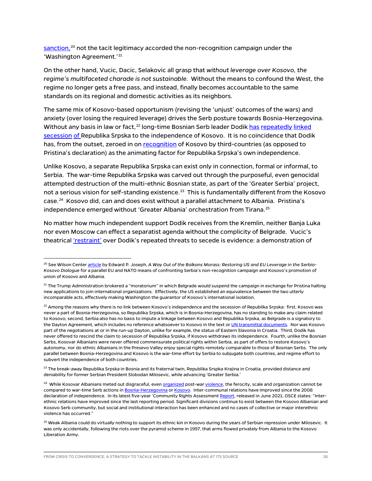[sanction,](https://www.wilsoncenter.org/article/way-out-balkans-morass-restoring-us-and-eu-leverage-serbia-kosovo-dialogue)<sup>[20](#page-26-0)</sup> not the tacit legitimacy accorded the non-recognition campaign under the 'Washington Agreement.'<sup>[21](#page-26-1)</sup>

On the other hand, Vucic, Dacic, Selakovic all grasp that *without leverage over Kosovo, the regime's multifaceted charade is not sustainable.* Without the means to confound the West, the regime no longer gets a free pass, and instead, finally becomes accountable to the same standards on its regional and domestic activities as its neighbors.

The same mix of Kosovo-based opportunism (revising the 'unjust' outcomes of the wars) and anxiety (over losing the required leverage) drives the Serb posture towards Bosnia-Herzegovina. Without any basis in law or fact,<sup>[22](#page-26-2)</sup> long-time Bosnian Serb leader Dodi[k has](https://www.reuters.com/article/latestCrisis/idUSL22859447) [repeatedly](http://www.europeanaffairs.it/eng/2017/11/22/dodik-links-kosovos-independence-with-the-the-serb-republics-independence-kosovo-separated/) [linked](https://balkaninsight.com/2018/08/03/bosnian-serbs-seek-same-un-status-as-kosovo-08-03-2018/) [secession](https://ba.n1info.com/english/news/a388467-dodik-republika-srpska-and-kosovo-want-the-same-thing-independence/) [of R](https://www.reuters.com/article/us-bosnia-serbia-kosovo/bosnian-serbs-ask-vucic-to-tie-their-regions-independence-to-kosovo-talks-idUSKCN24O2KC)epublika Srpska to the independence of Kosovo. It is no coincidence that Dodik has, from the outset, zeroed in o[n recognition](https://web.archive.org/web/20080413235454/http:/www.b92.net/eng/news/region-article.php?yyyy=2008&mm=03&dd=09&nav_id=48307) of Kosovo by third-countries (as opposed to Pristina's declaration) as the animating factor for Republika Srpska's own independence.

Unlike Kosovo, a separate Republika Srpska can exist only in connection, formal or informal, to Serbia. The war-time Republika Srpska was carved out through the purposeful, even genocidal attempted destruction of the multi-ethnic Bosnian state, as part of the 'Greater Serbia' project, not a serious vision for self-standing existence. [23](#page-26-3) This is fundamentally different from the Kosovo case.[24](#page-26-4) Kosovo did, can and does exist without a parallel attachment to Albania. Pristina's independence emerged without 'Greater Albania' orchestration from Tirana.<sup>[25](#page-26-5)</sup>

No matter how much independent support Dodik receives from the Kremlin, neither Banja Luka nor even Moscow can effect a separatist agenda without the complicity of Belgrade. Vucic's theatrical ['restraint'](https://www.intellinews.com/serbia-slaps-down-republika-srpska-s-secessionist-aspirations-190494/) over Dodik's repeated threats to secede is evidence: a demonstration of

<span id="page-26-0"></span><sup>&</sup>lt;sup>20</sup> See Wilson Cente[r article](https://www.wilsoncenter.org/article/way-out-balkans-morass-restoring-us-and-eu-leverage-serbia-kosovo-dialogue) by Edward P. Joseph, A Way Out of the Balkans Morass: Restoring US and EU Leverage in the Serbia-*Kosovo Dialogue* for a parallel EU and NATO means of confronting Serbia's non-recognition campaign and Kosovo's promotion of union of Kosovo and Albania.

<span id="page-26-1"></span> $21$  The Trump Administration brokered a "moratorium" in which Belgrade would suspend the campaign in exchange for Pristina halting new applications to join international organizations. Effectively, the US established an equivalence between the two utterly incomparable acts, effectively making Washington the guarantor of Kosovo's international isolation.

<span id="page-26-2"></span> $^{22}$  Among the reasons why there is no link between Kosovo's independence and the secession of Republika Srpska: first, Kosovo was never a part of Bosnia-Herzegovina, so Republika Srpska, which is in Bosnia-Herzegovina, has no standing to make any claim related to Kosovo; second, Serbia also has no basis to impute a linkage between Kosovo and Republika Srpska, as Belgrade is a signatory to the Dayton Agreement, which includes no reference whatsoever to Kosovo in the text o[r UN transmittal documents.](https://peacemaker.un.org/sites/peacemaker.un.org/files/BA_951121_DaytonAgreement.pdf) Nor was Kosovo part of the negotiations at or in the run-up Dayton, unlike for example, the status of Eastern Slavonia in Croatia. Third, Dodik has never offered to rescind the claim to secession of Republika Srpska, if Kosovo withdraws its independence. Fourth, unlike the Bosnian Serbs, Kosovar Albanians were never offered commensurate political rights within Serbia, as part of offers to restore Kosovo's autonomy, nor do ethnic Albanians in the Presevo Valley enjoy special rights remotely comparable to those of Bosnian Serbs. The only parallel between Bosnia-Herzegovina and Kosovo is the war-time effort by Serbia to subjugate both countries, and regime effort to subvert the independence of both countries.

<span id="page-26-3"></span> $^{23}$ The break-away Republika Srpska in Bosnia and its fraternal twin, Republika Srspka Krajina in Croatia, provided distance and deniability for former Serbian President Slobodan Milosevic, while advancing 'Greater Serbia.'

<span id="page-26-4"></span><sup>&</sup>lt;sup>24</sup> While Kosovar Albanians meted out disgraceful, eve[n organized](https://www.hrw.org/report/2004/07/25/failure-protect/anti-minority-violence-kosovo-march-2004) post-wa[r violence,](https://www.theguardian.com/world/2001/feb/16/balkans) the ferocity, scale and organization cannot be compared to war-time Serb actions i[n Bosnia-Herzegovina](https://www.hrw.org/legacy/summaries/s.bosnia9510.html) o[r Kosovo.](https://www.hrw.org/reports/2001/kosovo/) Inter-communal relations have improved since the 2008 declaration of independence. In its latest five-year 'Community Rights Assessmen[t Report,](https://www.osce.org/files/f/documents/6/f/493675.pdf) released in June 2021, OSCE states: "Interethnic relations have improved since the last reporting period. Significant divisions continue to exist between the Kosovo Albanian and Kosovo Serb community, but social and institutional interaction has been enhanced and no cases of collective or major interethnic violence has occurred."

<span id="page-26-5"></span><sup>&</sup>lt;sup>25</sup> Weak Albania could do virtually nothing to support its ethnic kin in Kosovo during the years of Serbian repression under Milosevic. It was only accidentally, following the riots over the pyramid scheme in 1997, that arms flowed privately from Albania to the Kosovo Liberation Army.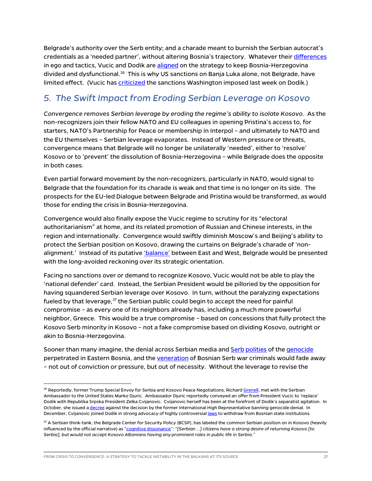Belgrade's authority over the Serb entity; and a charade meant to burnish the Serbian autocrat's credentials as a 'needed partner', without altering Bosnia's trajectory. Whatever their [differences](https://www.euractiv.com/section/politics/short_news/serbian-president-vucic-is-offering-to-help-remove-bih-serb-member-dodik/) in ego and tactics, Vucic and Dodik are [aligned](https://ba.n1info.com/english/news/a406845-dodik-vucic-no-differences-between-serbs-in-bosnia-and-in-serbia/) on the strategy to keep Bosnia-Herzegovina divided and dysfunctional.<sup>[26](#page-27-0)</sup> This is why US sanctions on Banja Luka alone, not Belgrade, have limited effect. (Vucic ha[s criticized](https://rs.n1info.com/english/news/serbian-president-concerned-over-sanctions-against-bosnian-serb-politician/) the sanctions Washington imposed last week on Dodik.)

## *5. The Swift Impact from Eroding Serbian Leverage on Kosovo*

*Convergence removes Serbian leverage by eroding the regime's ability to isolate Kosovo.* As the non-recognizers join their fellow NATO and EU colleagues in opening Pristina's access to, for starters, NATO's Partnership for Peace or membership in Interpol – and ultimately to NATO and the EU themselves – Serbian leverage evaporates. Instead of Western pressure or threats, convergence means that Belgrade will no longer be unilaterally 'needed', either to 'resolve' Kosovo or to 'prevent' the dissolution of Bosnia-Herzegovina – while Belgrade does the opposite in both cases.

Even partial forward movement by the non-recognizers, particularly in NATO, would signal to Belgrade that the foundation for its charade is weak and that time is no longer on its side. The prospects for the EU-led Dialogue between Belgrade and Pristina would be transformed, as would those for ending the crisis in Bosnia-Herzegovina.

Convergence would also finally expose the Vucic regime to scrutiny for its "electoral authoritarianism" at home, and its related promotion of Russian and Chinese interests, in the region and internationally. Convergence would swiftly diminish Moscow's and Beijing's ability to protect the Serbian position on Kosovo, drawing the curtains on Belgrade's charade of 'non-alignment.' Instead of its putative ['balance'](https://www.reuters.com/article/us-serbia-president-interview/serbia-to-keep-balancing-west-russia-and-china-president-says-idUSKBN23I21E) between East and West, Belgrade would be presented with the long-avoided reckoning over its strategic orientation.

Facing no sanctions over or demand to recognize Kosovo, Vucic would not be able to play the 'national defender' card. Instead, the Serbian President would be pilloried by the opposition for having squandered Serbian leverage over Kosovo. In turn, without the paralyzing expectations fueled by that leverage, $^{27}$  $^{27}$  $^{27}$  the Serbian public could begin to accept the need for painful compromise – as every one of its neighbors already has, including a much more powerful neighbor, Greece. This would be a true compromise – based on concessions that fully protect the Kosovo Serb minority in Kosovo – not a fake compromise based on dividing Kosovo, outright or akin to Bosnia-Herzegovina.

Sooner than many imagine, the denial across [Serb](https://exit.al/en/2020/07/10/serbian-mps-leave-kosovo-parliament-during-moment-of-silence-for-srebrenica-genocide/)ian media and Serb [polities](https://www.euractiv.com/section/politics/short_news/montenegrin-minister-who-denied-srebrenica-genocide-dismissed/) of the [genocide](https://www.bbc.com/news/world-europe-58001974) perpetrated in Eastern Bosnia, and th[e veneration](https://www.rferl.org/a/mladic-mural-defaced-restored-belgrade/31562679.html#:%7E:text=A%20mural%20of%20Bosnian%20Serb,only%20to%20be%20quickly%20restored.) of Bosnian Serb war criminals would fade away – not out of conviction or pressure, but out of necessity. Without the leverage to revise the

<span id="page-27-0"></span><sup>&</sup>lt;sup>26</sup> Reportedly, former Trump Special Envoy for Serbia and Kosovo Peace Negotiations, Richard <u>Grenell</u>, met with the Serbian Ambassador to the United States Marko Djuric. Ambassador Djuric reportedly conveyed an offer from President Vucic to 'replace' Dodik with Republika Srpska President Zelka Cvijanovic. Cvijanovic herself has been at the forefront of Dodik's separatist agitation. In October, she issued [a decree](https://balkaninsight.com/2021/10/13/bosnian-serb-decree-rejecting-genocide-denial-law-sparks-uncertainty/) against the decision by the former International High Representative banning genocide denial. In December, Cvijanovic joined Dodik in strong advocacy of highly controversia[l laws](https://www.euronews.com/2021/12/11/bosnian-serb-entity-holds-vote-on-withdrawing-from-central-institutions-in-bosnia) to withdraw from Bosnian state institutions.

<span id="page-27-1"></span> $^{27}$  A Serbian think-tank, the Belgrade Center for Security Policy (BCSP), has labeled the common Serbian position on in Kosovo (heavily influenced by the official narrative) as ["cognitive dissonance"](https://bezbednost.org/en/publication/kosovo-what-do-citizens-know-think-and-feel/): *"[Serbian …] citizens have a strong desire of returning Kosovo [to Serbia], but would not accept Kosovo Albanians having any prominent roles in public life in Serbia."*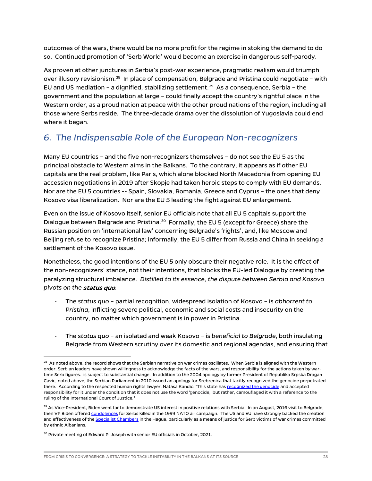outcomes of the wars, there would be no more profit for the regime in stoking the demand to do so. Continued promotion of 'Serb World' would become an exercise in dangerous self-parody.

As proven at other junctures in Serbia's post-war experience, pragmatic realism would triumph over illusory revisionism.[28](#page-28-0) In place of compensation, Belgrade and Pristina could negotiate – with EU and US mediation - a dignified, stabilizing settlement.<sup>[29](#page-28-1)</sup> As a consequence, Serbia - the government and the population at large – could finally accept the country's rightful place in the Western order, as a proud nation at peace with the other proud nations of the region, including all those where Serbs reside. The three-decade drama over the dissolution of Yugoslavia could end where it began.

## *6. The Indispensable Role of the European Non-recognizers*

Many EU countries – and the five non-recognizers themselves – do not see the EU 5 as the principal obstacle to Western aims in the Balkans. To the contrary, it appears as if other EU capitals are the real problem, like Paris, which alone blocked North Macedonia from opening EU accession negotiations in 2019 after Skopje had taken heroic steps to comply with EU demands. Nor are the EU 5 countries -- Spain, Slovakia, Romania, Greece and Cyprus – the ones that deny Kosovo visa liberalization. Nor are the EU 5 leading the fight against EU enlargement.

Even on the issue of Kosovo itself, senior EU officials note that all EU 5 capitals support the Dialogue between Belgrade and Pristina.<sup>[30](#page-28-2)</sup> Formally, the EU 5 (except for Greece) share the Russian position on 'international law' concerning Belgrade's 'rights', and, like Moscow and Beijing refuse to recognize Pristina; informally, the EU 5 differ from Russia and China in seeking a settlement of the Kosovo issue.

Nonetheless, the good intentions of the EU 5 only obscure their negative role. It is the *effect* of the non-recognizers' stance, not their intentions, that blocks the EU-led Dialogue by creating the paralyzing structural imbalance. *Distilled to its essence, the dispute between Serbia and Kosovo pivots on the* status quo:

- The *status quo* partial recognition, widespread isolation of Kosovo is *abhorrent to Pristina*, inflicting severe political, economic and social costs and insecurity on the country, no matter which government is in power in Pristina.
- The *status quo* an isolated and weak Kosovo is *beneficial to Belgrade*, both insulating Belgrade from Western scrutiny over its domestic and regional agendas, and ensuring that

<span id="page-28-0"></span> $^{28}$  As noted above, the record shows that the Serbian narrative on war crimes oscillates. When Serbia is aligned with the Western order, Serbian leaders have shown willingness to acknowledge the facts of the wars, and responsibility for the actions taken by wartime Serb figures. is subject to substantial change. In addition to the 2004 apology by former President of Republika Srpska Dragan Cavic, noted above, the Serbian Parliament in 2010 issued an apology for Srebrenica that tacitly recognized the genocide perpetrated there. According to the respected human rights lawyer, Natasa Kandic: "This state ha[s recognized the genocide](https://www.rferl.org/a/Serbian_Parliaments_Srebrenica_Apology_Hailed_Criticized/1999079.html) and accepted responsibility for it under the condition that it does not use the word 'genocide,' but rather, camouflaged it with a reference to the ruling of the International Court of Justice."

<span id="page-28-1"></span><sup>&</sup>lt;sup>29</sup> As Vice-President, Biden went far to demonstrate US interest in positive relations with Serbia. In an August, 2016 visit to Belgrade, then VP Biden offered *condolences* for Serbs killed in the 1999 NATO air campaign. The US and EU have strongly backed the creation and effectiveness of th[e Specialist Chambers](https://www.scp-ks.org/en) in the Hague, particularly as a means of justice for Serb victims of war crimes committed by ethnic Albanians.

<span id="page-28-2"></span><sup>&</sup>lt;sup>30</sup> Private meeting of Edward P. Joseph with senior EU officials in October, 2021.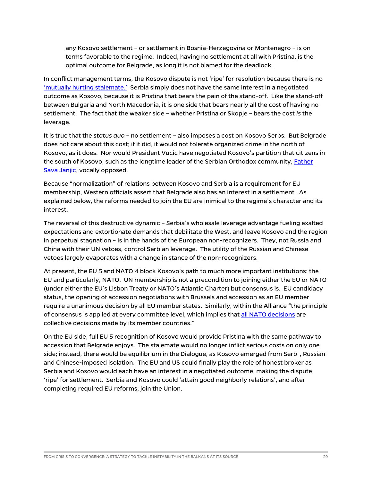any Kosovo settlement – or settlement in Bosnia-Herzegovina or Montenegro – is on terms favorable to the regime. Indeed, having no settlement at all with Pristina, is the optimal outcome for Belgrade, as long it is not blamed for the deadlock.

In conflict management terms, the Kosovo dispute is not 'ripe' for resolution because there is n[o](http://pure.iiasa.ac.at/id/eprint/6073/) ['mutually hurting stalemate.'](http://pure.iiasa.ac.at/id/eprint/6073/) Serbia simply does not have the same interest in a negotiated outcome as Kosovo, because it is Pristina that bears the pain of the stand-off. Like the stand-off between Bulgaria and North Macedonia, it is one side that bears nearly all the cost of having no settlement. The fact that the weaker side – whether Pristina or Skopje – bears the cost *is* the leverage.

It is true that the *status quo* – no settlement – also imposes a cost on Kosovo Serbs. But Belgrade does not care about this cost; if it did, it would not tolerate organized crime in the north of Kosovo, as it does. Nor would President Vucic have negotiated Kosovo's partition that citizens in the south of Kosovo, such as the longtime leader of the Serbian Orthodox community, **Father** [Sava Janjic,](https://balkaninsight.com/2018/08/15/kosovo-serb-priest-under-fire-for-opposing-partition-08-14-2018/) vocally opposed.

Because "normalization" of relations between Kosovo and Serbia is a requirement for EU membership, Western officials assert that Belgrade also has an interest in a settlement. As explained below, the reforms needed to join the EU are inimical to the regime's character and its interest.

The reversal of this destructive dynamic – Serbia's wholesale leverage advantage fueling exalted expectations and extortionate demands that debilitate the West, and leave Kosovo and the region in perpetual stagnation – is in the hands of the European non-recognizers. They, not Russia and China with their UN vetoes, control Serbian leverage. The utility of the Russian and Chinese vetoes largely evaporates with a change in stance of the non-recognizers.

At present, the EU 5 and NATO 4 block Kosovo's path to much more important institutions: the EU and particularly, NATO. UN membership is not a precondition to joining either the EU or NATO (under either the EU's Lisbon Treaty or NATO's Atlantic Charter) but consensus is. EU candidacy status, the opening of accession negotiations with Brussels and accession as an EU member require a unanimous decision by all EU member states. Similarly, within the Alliance "the principle of consensus is applied at every committee level, which implies that [all NATO decisions](https://www.nato.int/cps/en/natolive/topics_49178.htm) are collective decisions made by its member countries."

On the EU side, full EU 5 recognition of Kosovo would provide Pristina with the same pathway to accession that Belgrade enjoys. The stalemate would no longer inflict serious costs on only one side; instead, there would be equilibrium in the Dialogue, as Kosovo emerged from Serb-, Russianand Chinese-imposed isolation. The EU and US could finally play the role of honest broker as Serbia and Kosovo would each have an interest in a negotiated outcome, making the dispute 'ripe' for settlement. Serbia and Kosovo could 'attain good neighborly relations', and after completing required EU reforms, join the Union.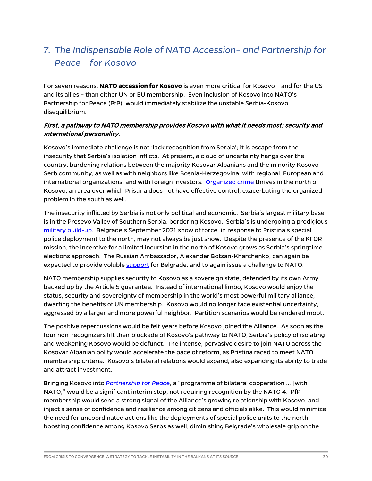## *7. The Indispensable Role of NATO Accession– and Partnership for Peace – for Kosovo*

For seven reasons, **NATO accession for Kosovo** is even more critical for Kosovo – and for the US and its allies – than either UN or EU membership. Even inclusion of Kosovo into NATO's Partnership for Peace (PfP), would immediately stabilize the unstable Serbia-Kosovo disequilibrium.

#### First, a pathway to NATO membership provides Kosovo with what it needs most: security and international personality.

Kosovo's immediate challenge is not 'lack recognition from Serbia'; it is escape from the insecurity that Serbia's isolation inflicts. At present, a cloud of uncertainty hangs over the country, burdening relations between the majority Kosovar Albanians and the minority Kosovo Serb community, as well as with neighbors like Bosnia-Herzegovina, with regional, European and international organizations, and with foreign investors. [Organized crime](https://home.treasury.gov/news/press-releases/jy0519) thrives in the north of Kosovo, an area over which Pristina does not have effective control, exacerbating the organized problem in the south as well.

The insecurity inflicted by Serbia is not only political and economic. Serbia's largest military base is in the Presevo Valley of Southern Serbia, bordering Kosovo. Serbia's is undergoing a prodigious [military build-up.](https://www.economist.com/europe/2021/10/30/serbia-is-on-a-shopping-spree-for-weapons) Belgrade's September 2021 show of force, in response to Pristina's special police deployment to the north, may not always be just show. Despite the presence of the KFOR mission, the incentive for a limited incursion in the north of Kosovo grows as Serbia's springtime elections approach. The Russian Ambassador, Alexander Botsan-Kharchenko, can again be expected to provide voluble [support](https://www.euractiv.com/section/politics/short_news/northern-kosovo-situation-sparks-international-response/) for Belgrade, and to again issue a challenge to NATO.

NATO membership supplies security to Kosovo as a sovereign state, defended by its own Army backed up by the Article 5 guarantee. Instead of international limbo, Kosovo would enjoy the status, security and sovereignty of membership in the world's most powerful military alliance, dwarfing the benefits of UN membership. Kosovo would no longer face existential uncertainty, aggressed by a larger and more powerful neighbor. Partition scenarios would be rendered moot.

The positive repercussions would be felt years before Kosovo joined the Alliance. As soon as the four non-recognizers lift their blockade of Kosovo's pathway to NATO, Serbia's policy of isolating and weakening Kosovo would be defunct. The intense, pervasive desire to join NATO across the Kosovar Albanian polity would accelerate the pace of reform, as Pristina raced to meet NATO membership criteria. Kosovo's bilateral relations would expand, also expanding its ability to trade and attract investment.

Bringing Kosovo into *[Partnership for Peace](https://www.nato.int/cps/en/natohq/topics_50349.htm)*, a "programme of bilateral cooperation … [with] NATO," would be a significant interim step, not requiring recognition by the NATO 4. PfP membership would send a strong signal of the Alliance's growing relationship with Kosovo, and inject a sense of confidence and resilience among citizens and officials alike. This would minimize the need for uncoordinated actions like the deployments of special police units to the north, boosting confidence among Kosovo Serbs as well, diminishing Belgrade's wholesale grip on the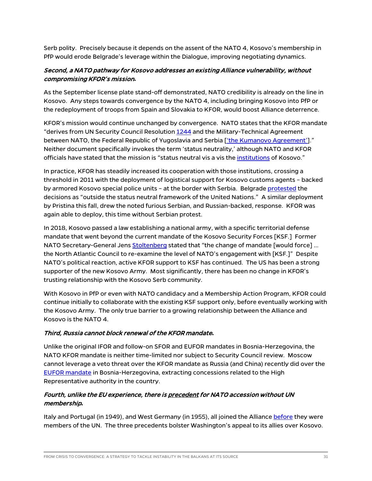Serb polity. Precisely because it depends on the assent of the NATO 4, Kosovo's membership in PfP would erode Belgrade's leverage within the Dialogue, improving negotiating dynamics.

#### Second, a NATO pathway for Kosovo addresses an existing Alliance vulnerability, without compromising KFOR's mission**.**

As the September license plate stand-off demonstrated, NATO credibility is already on the line in Kosovo. Any steps towards convergence by the NATO 4, including bringing Kosovo into PfP or the redeployment of troops from Spain and Slovakia to KFOR, would boost Alliance deterrence.

KFOR's mission would continue unchanged by convergence. NATO states that the KFOR mandate "derives from UN Security Council Resolutio[n 1244](https://peacemaker.un.org/kosovo-resolution1244) and the Military-Technical Agreement between NATO, the Federal Republic of Yugoslavia and Serbia [\['the Kumanovo](https://peacemaker.un.org/kosovoserbia-militarytechnicalagreement99) Agreement']." Neither document specifically invokes the term 'status neutrality,' although NATO and KFOR officials have stated that the mission is "status neutral vis a vis the [institutions](https://jfcnaples.nato.int/kfor/media-center/archive/news/2017/comprehensive-approach-and-unity-of-intent-eu--nato-and-kfor-working-alongside-to-ensure-peace-and-stability-in-kosovo-and-across-the-balkans) of Kosovo."

In practice, KFOR has steadily increased its cooperation with those institutions, crossing a threshold in 2011 with the deployment of logistical support for Kosovo customs agents – backed by armored Kosovo special police units – at the border with Serbia. Belgrad[e protested](https://undocs.org/pdf?symbol=en/S/2011/482) the decisions as "outside the status neutral framework of the United Nations." A similar deployment by Pristina this fall, drew the noted furious Serbian, and Russian-backed, response. KFOR was again able to deploy, this time without Serbian protest.

In 2018, Kosovo passed a law establishing a national army, with a specific territorial defense mandate that went beyond the current mandate of the Kosovo Security Forces [KSF.] Former NATO Secretary-General Jens [Stoltenberg](https://www.clingendael.org/sites/default/files/2020-12/Kosovos_NATO_future_Correct.pdf) stated that "the change of mandate [would force] … the North Atlantic Council to re-examine the level of NATO's engagement with [KSF.]" Despite NATO's political reaction, active KFOR support to KSF has continued. The US has been a strong supporter of the new Kosovo Army. Most significantly, there has been no change in KFOR's trusting relationship with the Kosovo Serb community.

With Kosovo in PfP or even with NATO candidacy and a Membership Action Program, KFOR could continue initially to collaborate with the existing KSF support only, before eventually working with the Kosovo Army. The only true barrier to a growing relationship between the Alliance and Kosovo is the NATO 4.

#### Third, Russia cannot block renewal of the KFOR mandate**.**

Unlike the original IFOR and follow-on SFOR and EUFOR mandates in Bosnia-Herzegovina, the NATO KFOR mandate is neither time-limited nor subject to Security Council review. Moscow cannot leverage a veto threat over the KFOR mandate as Russia (and China) recently did over the [EUFOR mandate](https://www.reuters.com/world/china/un-extends-eu-force-bosnia-after-russia-china-appeased-2021-11-03/) in Bosnia-Herzegovina, extracting concessions related to the High Representative authority in the country.

#### Fourth, unlike the EU experience, there is precedent for NATO accession without UN membership**.**

Italy and Portugal (in 1949), and West Germany (in 1955), all joined the Allianc[e before](http://www.kipred.org/repository/docs/DECONSTRUCTION_OF_THE_IDEA_OF_UNIFICATION_THE_FUTURE_OF_RELATIONS_BETWEEN_KOSOVO_AND_ALBANIA_40775.pdf) they were members of the UN. The three precedents bolster Washington's appeal to its allies over Kosovo.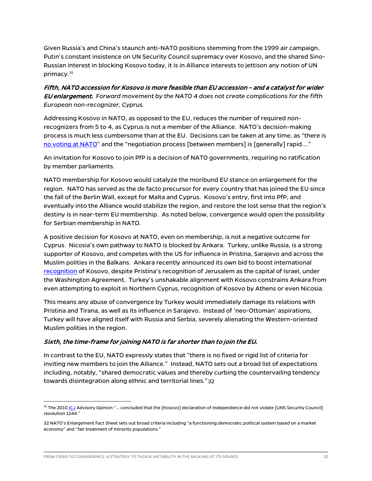Given Russia's and China's staunch anti-NATO positions stemming from the 1999 air campaign, Putin's constant insistence on UN Security Council supremacy over Kosovo, and the shared Sino-Russian interest in blocking Kosovo today, it is in Alliance interests to jettison any notion of UN primacy. [31](#page-32-0) 

Fifth, NATO accession for Kosovo is more feasible than EU accession – and a catalyst for wider EU enlargement**.** *Forward movement by the NATO 4 does not create complications for the fifth European non-recognizer, Cyprus.*

Addressing Kosovo in NATO, as opposed to the EU, reduces the number of required nonrecognizers from 5 to 4, as Cyprus is not a member of the Alliance. NATO's decision-making process is much less cumbersome than at the EU. Decisions can be taken at any time, as "there is [no voting at NATO"](https://www.nato.int/cps/en/natolive/topics_49178.htm) and the "negotiation process [between members] is [generally] rapid…."

An invitation for Kosovo to join PfP is a decision of NATO governments, requiring no ratification by member parliaments.

NATO membership for Kosovo would catalyze the moribund EU stance on enlargement for the region. NATO has served as the de facto precursor for every country that has joined the EU since the fall of the Berlin Wall, except for Malta and Cyprus. Kosovo's entry, first into PfP, and eventually into the Alliance would stabilize the region, and restore the lost sense that the region's destiny is in near-term EU membership. As noted below, convergence would open the possibility for Serbian membership in NATO.

A positive decision for Kosovo at NATO, even on membership, is not a negative outcome for Cyprus. Nicosia's own pathway to NATO is blocked by Ankara. Turkey, unlike Russia, is a strong supporter of Kosovo, and competes with the US for influence in Pristina, Sarajevo and across the Muslim polities in the Balkans. Ankara recently announced its own bid to boost international [recognition](https://exit.al/en/2021/07/20/erdogan-seeks-bidens-collaboration-to-increase-kosovos-international-recognition/) of Kosovo, despite Pristina's recognition of Jerusalem as the capital of Israel, under the Washington Agreement. Turkey's unshakable alignment with Kosovo constrains Ankara from even attempting to exploit in Northern Cyprus, recognition of Kosovo by Athens or even Nicosia.

This means any abuse of convergence by Turkey would immediately damage its relations with Pristina and Tirana, as well as its influence in Sarajevo. Instead of 'neo-Ottoman' aspirations, Turkey will have aligned itself with Russia and Serbia, severely alienating the Western-oriented Muslim polities in the region.

#### Sixth, the time-frame for joining NATO is far shorter than to join the EU**.**

In contrast to the EU, NATO expressly states that "there is no fixed or rigid list of [criteria](https://www.nato.int/cps/en/natohq/official_texts_24733.htm) for inviting new members to join the Alliance." Instead, NATO sets out a broad list of expectations including, notably, "shared democratic values and thereby curbing the countervailing tendency towards disintegration along ethnic and territorial lines."[32](#page-32-1)

<span id="page-32-0"></span><sup>&</sup>lt;sup>31</sup> The 201[0 ICJ](https://www.icj-cij.org/en/case/141) Advisory Opinion "... concluded that the [Kosovo] declaration of independence did not violate [UNS Security Council] resolution 1244."

<span id="page-32-1"></span><sup>32</sup> NATO'[s Enlargement Fact Sheet](https://www.nato.int/nato_static_fl2014/assets/pdf/pdf_2016_07/20160627_1607-factsheet-enlargement-eng.pdf) sets out broad criteria including "a functioning democratic political system based on a market economy" and "fair treatment of minority populations."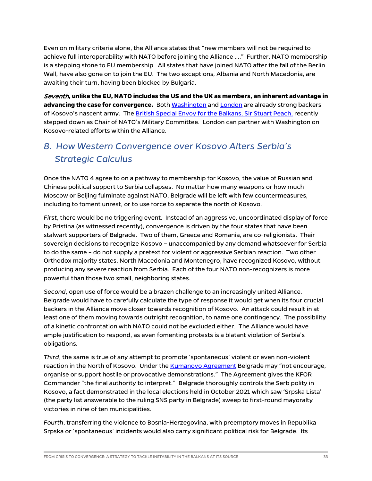Even on military criteria alone, the Alliance states that "new members will not be required to achieve ful[l interoperability](https://www.nato.int/cps/en/natohq/official_texts_24733.htm) with NATO before joining the Alliance …." Further, NATO membership is a stepping stone to EU membership. All states that have joined NATO after the fall of the Berlin Wall, have also gone on to join the EU. The two exceptions, Albania and North Macedonia, are awaiting their turn, having been blocked by Bulgaria.

Seventh**, unlike the EU, NATO includes the US and the UK as members, an inherent advantage in advancing the case for convergence.** Bot[h Washington](https://abcnews.go.com/International/wireStory/us-donates-55-military-vehicles-kosovo-79721064) an[d London](https://rs.n1info.com/english/news/a443455-great-britain-supports-kosovo-in-forming-its-army-advising-it-to-keep-in-touch-with-nato/) are already strong backers of Kosovo's nascent army. The [British Special Envoy for the Balkans, Sir Stuart Peach,](https://www.gov.uk/government/news/uk-announces-new-special-envoy-to-the-western-balkans) recently stepped down as Chair of NATO's Military Committee. London can partner with Washington on Kosovo-related efforts within the Alliance.

## *8. How Western Convergence over Kosovo Alters Serbia's Strategic Calculus*

Once the NATO 4 agree to on a pathway to membership for Kosovo, the value of Russian and Chinese political support to Serbia collapses. No matter how many weapons or how much Moscow or Beijing fulminate against NATO, Belgrade will be left with few countermeasures, including to foment unrest, or to use force to separate the north of Kosovo.

*First*, there would be no triggering event. Instead of an aggressive, uncoordinated display of force by Pristina (as witnessed recently), convergence is driven by the four states that have been stalwart supporters of Belgrade. Two of them, Greece and Romania, are co-religionists. Their sovereign decisions to recognize Kosovo – unaccompanied by any demand whatsoever for Serbia to do the same – do not supply a pretext for violent or aggressive Serbian reaction. Two other Orthodox majority states, North Macedonia and Montenegro, have recognized Kosovo, without producing any severe reaction from Serbia. Each of the four NATO non-recognizers is more powerful than those two small, neighboring states.

*Second*, open use of force would be a brazen challenge to an increasingly united Alliance. Belgrade would have to carefully calculate the type of response it would get when its four crucial backers in the Alliance move closer towards recognition of Kosovo. An attack could result in at least one of them moving towards outright recognition, to name one contingency. The possibility of a kinetic confrontation with NATO could not be excluded either. The Alliance would have ample justification to respond, as even fomenting protests is a blatant violation of Serbia's obligations.

*Third*, the same is true of any attempt to promote 'spontaneous' violent or even non-violent reaction in the North of Kosovo. Under the [Kumanovo Agreement](https://peacemaker.un.org/sites/peacemaker.un.org/files/990615_MilitaryTechnicalAgreementKFORYugoslaviaSerbia.pdf) Belgrade may "not encourage, organise or support hostile or provocative demonstrations." The Agreement gives the KFOR Commander "the final authority to interpret." Belgrade thoroughly controls the Serb polity in Kosovo, a fact demonstrated in the local elections held in October 2021 which saw 'Srpska Lista' (the party list answerable to the ruling SNS party in Belgrade) sweep to first-round mayoralty victories in nine of ten municipalities.

*Fourth*, transferring the violence to Bosnia-Herzegovina, with preemptory moves in Republika Srpska or 'spontaneous' incidents would also carry significant political risk for Belgrade. Its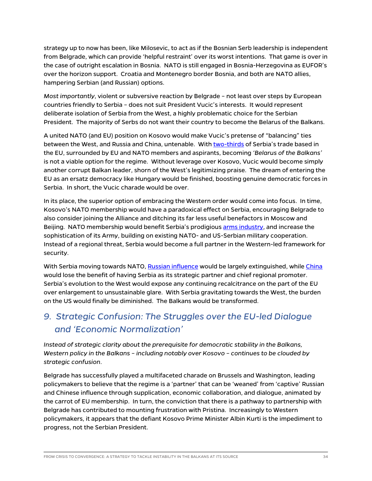strategy up to now has been, like Milosevic, to act as if the Bosnian Serb leadership is independent from Belgrade, which can provide 'helpful restraint' over its worst intentions. That game is over in the case of outright escalation in Bosnia. NATO is still engaged in Bosnia-Herzegovina as EUFOR's over the horizon support. Croatia and Montenegro border Bosnia, and both are NATO allies, hampering Serbian (and Russian) options.

*Most importantly*, violent or subversive reaction by Belgrade – not least over steps by European countries friendly to Serbia – does not suit President Vucic's interests. It would represent deliberate isolation of Serbia from the West, a highly problematic choice for the Serbian President. The majority of Serbs do not want their country to become the Belarus of the Balkans.

A united NATO (and EU) position on Kosovo would make Vucic's pretense of ["balancing"](https://www.reuters.com/article/us-serbia-president-interview/serbia-to-keep-balancing-west-russia-and-china-president-says-idUSKBN23I21E) ties between the West, and Russia and China, untenable. With [two-thirds](https://europa.rs/trade/?lang=en#:%7E:text=The%20EU%20is%20traditionally%20Serbia) of Serbia's trade based in the EU, surrounded by EU and NATO members and aspirants, becoming *'Belarus of the Balkans'* is not a viable option for the regime. Without leverage over Kosovo, Vucic would become simply another corrupt Balkan leader, shorn of the West's legitimizing praise. The dream of entering the EU as an ersatz democracy like Hungary would be finished, boosting genuine democratic forces in Serbia. In short, the Vucic charade would be over.

In its place, the superior option of embracing the Western order would come into focus. In time, Kosovo's NATO membership would have a paradoxical effect on Serbia, encouraging Belgrade to also consider joining the Alliance and ditching its far less useful benefactors in Moscow and Beijing. NATO membership would benefit Serbia's prodigious [arms industry,](https://balkaninsight.com/2018/12/13/serbian-guns-have-consequences-for-balkans-and-beyond-12-12-2018/) and increase the sophistication of its Army, building on existing NATO- and US-Serbian military cooperation. Instead of a regional threat, Serbia would become a full partner in the Western-led framework for security.

With Serbia moving towards NATO, [Russian influence](https://www.ekapija.com/en/news/3510875/brnabic-new-agreement-on-strategic-cooperation-with-russia-and-signing-of-takeover) would be largely extinguished, whil[e China](https://www.mfa.gov.rs/en/press-service/statements/steel-friendship-and-strategic-partnership-between-serbia-and-china) would lose the benefit of having Serbia as its strategic partner and chief regional promoter. Serbia's evolution to the West would expose any continuing recalcitrance on the part of the EU over enlargement to unsustainable glare. With Serbia gravitating towards the West, the burden on the US would finally be diminished. The Balkans would be transformed.

## *9. Strategic Confusion: The Struggles over the EU-led Dialogue and 'Economic Normalization'*

*Instead of strategic clarity about the prerequisite for democratic stability in the Balkans, Western policy in the Balkans – including notably over Kosovo – continues to be clouded by strategic confusion*.

Belgrade has successfully played a multifaceted charade on Brussels and Washington, leading policymakers to believe that the regime is a 'partner' that can be 'weaned' from 'captive' Russian and Chinese influence through supplication, economic collaboration, and dialogue, animated by the carrot of EU membership. In turn, the conviction that there is a pathway to partnership with Belgrade has contributed to mounting frustration with Pristina. Increasingly to Western policymakers, it appears that the defiant Kosovo Prime Minister Albin Kurti is the impediment to progress, not the Serbian President.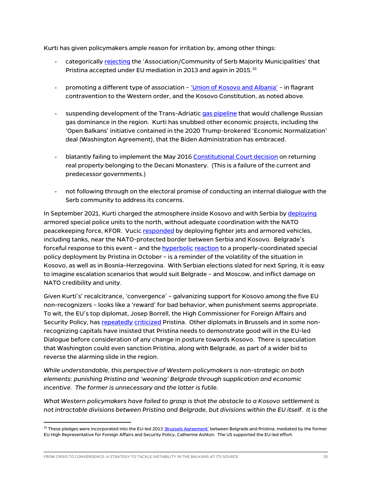Kurti has given policymakers ample reason for irritation by, among other things:

- categorically [rejecting](https://exit.al/en/2021/06/01/kosovo-prime-minister-refuses-association-of-serbian-only-municipalities/) the 'Association/Community of Serb Majority Municipalities' that Pristina accepted under EU mediation in 2013 and again in 2015.<sup>[33](#page-35-0)</sup>
- promoting a different type of association – ['Union of Kosovo and Albania' –](https://politiko.al/english/kosova/kurti-pro-bashkimit-shqiperi-kosove-do-te-votoja-per-po-jane-dy-shtete-po-i448123) in flagrant contravention to the Western order, and the Kosovo Constitution, as noted above.
- suspending development of the Trans-Adriatic [gas pipeline](https://balkangreenenergynews.com/kosovo-shelves-us-backed-gas-pipeline-project/) that would challenge Russian gas dominance in the region. Kurti has snubbed other economic projects, including the 'Open Balkans' initiative contained in the 2020 Trump-brokered 'Economic Normalization' deal (Washington Agreement), that the Biden Administration has embraced.
- blatantly failing to implement the May 2016 [Constitutional Court decision](https://balkaninsight.com/2016/05/26/protest-against-court-s-ruling-on-land-case-in-decani-05-26-2016/) on returning real property belonging to the Decani Monastery. (This is a failure of the current and predecessor governments.)
- not following through on the electoral promise of conducting an internal dialogue with the Serb community to address its concerns.

In September 2021, Kurti charged the atmosphere inside Kosovo and with Serbia by [deploying](https://www.usnews.com/news/business/articles/2021-09-20/kosovo-deploys-police-serbs-protest-amid-border-tension) armored special police units to the north, without adequate coordination with the NATO peacekeeping force, KFOR. Vucic [responded](https://www.b92.net/eng/news/politics.php?yyyy=2021&mm=09&dd=25&nav_id=111817) by deploying fighter jets and armored vehicles, including tanks, near the NATO-protected border between Serbia and Kosovo. Belgrade's forceful response to this event – and the [hyperbolic](https://balkaninsight.com/2021/10/15/kosovo-serb-ministers-sacking-unlikely-despite-krystallnacht-accusation/) [reaction](https://balkaninsight.com/2019/05/28/serbian-forces-on-full-alert-after-kosovo-police-raids/) to a properly-coordinated special policy deployment by Pristina in October – is a reminder of the volatility of the situation in Kosovo, as well as in Bosnia-Herzegovina. With Serbian elections slated for next Spring, it is easy to imagine escalation scenarios that would suit Belgrade – and Moscow, and inflict damage on NATO credibility and unity.

Given Kurti's' recalcitrance, 'convergence' – galvanizing support for Kosovo among the five EU non-recognizers – looks like a 'reward' for bad behavior, when punishment seems appropriate. To wit, the EU's top diplomat, Josep Borrell, the High Commissioner for Foreign Affairs and Security Policy, has [repeatedly](https://prishtinainsight.com/brussels-kosovo-must-implement-deal-on-serbian-association/) [criticized](https://twitter.com/josepborrellf/status/1448246518037745665) Pristina. Other diplomats in Brussels and in some nonrecognizing capitals have insisted that Pristina needs to demonstrate good will in the EU-led Dialogue before consideration of any change in posture towards Kosovo. There is speculation that Washington could even sanction Pristina, along with Belgrade, as part of a wider bid to reverse the alarming slide in the region.

*While understandable, this perspective of Western policymakers is non-strategic on both elements: punishing Pristina and 'weaning' Belgrade through supplication and economic incentive. The former is unnecessary and the latter is futile.*

*What Western policymakers have failed to grasp is that the obstacle to a Kosovo settlement is not intractable divisions between Pristina and Belgrade, but divisions within the EU itself. It is the* 

<span id="page-35-0"></span><sup>&</sup>lt;sup>33</sup> These pledges were incorporated into the EU-led 201[3 'Brussels Agreement'](http://library.fes.de/pdf-files/bueros/belgrad/17009.pdf) between Belgrade and Pristina, mediated by the former EU High Representative for Foreign Affairs and Security Policy, Catherine Ashton. The US supported the EU-led effort.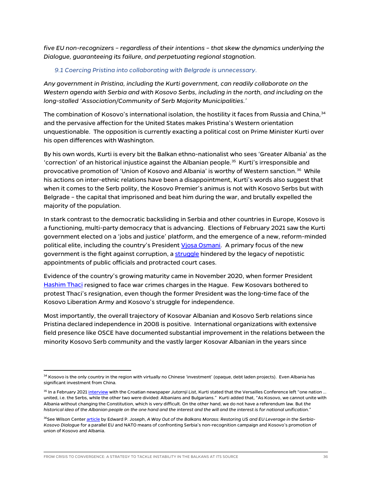*five EU non-recognizers – regardless of their intentions – that skew the dynamics underlying the Dialogue, guaranteeing its failure, and perpetuating regional stagnation.*

#### *9.1 Coercing Pristina into collaborating with Belgrade is unnecessary*.

*Any government in Pristina, including the Kurti government, can readily collaborate on the Western agenda with Serbia and with Kosovo Serbs, including in the north, and including on the long-stalled 'Association/Community of Serb Majority Municipalities.'*

The combination of Kosovo's international isolation, the hostility it faces from Russia and China,<sup>[34](#page-36-0)</sup> and the pervasive affection for the United States makes Pristina's Western orientation unquestionable. The opposition is currently exacting a political cost on Prime Minister Kurti over his open differences with Washington.

By his own words, Kurti is every bit the Balkan ethno-nationalist who sees 'Greater Albania' as the 'correction' of an historical injustice against the Albanian people.<sup>[35](#page-36-1)</sup> Kurti's irresponsible and provocative promotion of 'Union of Kosovo and Albania' is worthy of Western sanction.[36](#page-36-2) While his actions on inter-ethnic relations have been a disappointment, Kurti's words also suggest that when it comes to the Serb polity, the Kosovo Premier's animus is not with Kosovo Serbs but with Belgrade – the capital that imprisoned and beat him during the war, and brutally expelled the majority of the population.

In stark contrast to the democratic backsliding in Serbia and other countries in Europe, Kosovo is a functioning, multi-party democracy that is advancing. Elections of February 2021 saw the Kurti government elected on a 'jobs and justice' platform, and the emergence of a new, reform-minded political elite, including the country's President [Vjosa Osmani.](https://www.youtube.com/watch?v=6z_q-Dp54ZI) A primary focus of the new government is the fight against corruption, a [struggle](https://balkaninsight.com/2021/03/05/kosovos-courts-struggle-to-hold-corrupt-officials-to-account/) hindered by the legacy of nepotistic appointments of public officials and protracted court cases.

Evidence of the country's growing maturity came in November 2020, when former President [Hashim Thaci](https://balkaninsight.com/2020/11/05/kosovo-president-thaci-resigns-to-face-war-crimes-charges/) resigned to face war crimes charges in the Hague. Few Kosovars bothered to protest Thaci's resignation, even though the former President was the long-time face of the Kosovo Liberation Army and Kosovo's struggle for independence.

Most importantly, the overall trajectory of Kosovar Albanian and Kosovo Serb relations since Pristina declared independence in 2008 is positive. International organizations with extensive field presence like OSCE have documented substantial improvement in the relations between the minority Kosovo Serb community and the vastly larger Kosovar Albanian in the years since

<span id="page-36-0"></span><sup>&</sup>lt;sup>34</sup> Kosovo is the only country in the region with virtually no Chinese 'investment' (opaque, debt laden projects). Even Albania has significant investment from China.

<span id="page-36-1"></span><sup>35</sup> In a February 2021 [interview](https://www.jutarnji.hr/vijesti/svijet/umjesto-da-se-od-milosevica-distanciraju-srbi-sada-kazu-dajte-nam-nesto-zauzvrat-15052079) with the Croatian newspaper *Jutarnji List*, Kurti stated that the Versailles Conference left "one nation … united, i.e. the Serbs, while the other two were divided: Albanians and Bulgarians." Kurti added that, "As Kosovo, we cannot unite with Albania without changing the Constitution, which is very difficult. On the other hand, we do not have a referendum law. But *the historical idea of the Albanian people on the one hand and the interest and the will and the interest is for national unification*."

<span id="page-36-2"></span><sup>&</sup>lt;sup>36</sup>See Wilson Center <u>article</u> by Edward P. Joseph, A Way Out of the Balkans Morass: Restoring US and EU Leverage in the Serbia-*Kosovo Dialogue* for a parallel EU and NATO means of confronting Serbia's non-recognition campaign and Kosovo's promotion of union of Kosovo and Albania.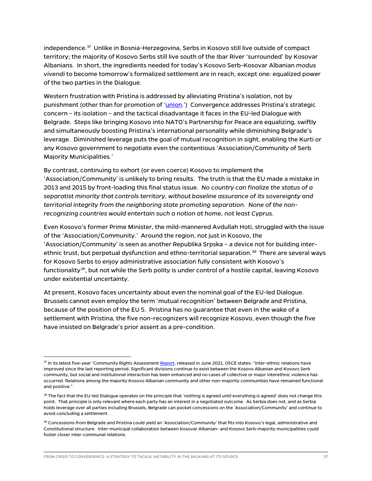independence.[37](#page-37-0) Unlike in Bosnia-Herzegovina, Serbs in Kosovo still live outside of compact territory; the majority of Kosovo Serbs still live south of the Ibar River 'surrounded' by Kosovar Albanians. In short, the ingredients needed for today's Kosovo Serb-Kosovar Albanian *modus vivendi* to become tomorrow's formalized settlement are in reach, except one: equalized power of the two parties in the Dialogue.

Western frustration with Pristina is addressed by alleviating Pristina's isolation, not by punishment (other than for promotion of ['union.](https://www.wilsoncenter.org/article/way-out-balkans-morass-restoring-us-and-eu-leverage-serbia-kosovo-dialogue)') Convergence addresses Pristina's strategic concern – its isolation – and the tactical disadvantage it faces in the EU-led Dialogue with Belgrade. Steps like bringing Kosovo into NATO's Partnership for Peace are equalizing, swiftly and simultaneously boosting Pristina's international personality while diminishing Belgrade's leverage. Diminished leverage puts the goal of mutual recognition in sight, enabling the Kurti or any Kosovo government to negotiate even the contentious 'Association/Community of Serb Majority Municipalities.'

By contrast, continuing to exhort (or even coerce) Kosovo to implement the 'Association/Community' is unlikely to bring results. The truth is that the EU made a mistake in 2013 and 2015 by front-loading this final status issue. *No country can finalize the status of a separatist minority that controls territory, without baseline assurance of its sovereignty and territorial integrity from the neighboring state promoting separation. None of the nonrecognizing countries would entertain such a notion at home, not least Cyprus.*

Even Kosovo's former Prime Minister, the mild-mannered Avdullah Hoti, struggled with the issue of the 'Association/Community.' Around the region, not just in Kosovo, the 'Association/Community' is seen as another Republika Srpska – a device not for building inter-ethnic trust, but perpetual dysfunction and ethno-territorial separation.<sup>[38](#page-37-1)</sup> There are several ways for Kosovo Serbs to enjoy administrative association fully consistent with Kosovo's functionality<sup>[39](#page-37-2)</sup>, but not while the Serb polity is under control of a hostile capital, leaving Kosovo under existential uncertainty.

At present, Kosovo faces uncertainty about even the nominal goal of the EU-led Dialogue. Brussels cannot even employ the term 'mutual recognition' between Belgrade and Pristina, because of the position of the EU 5. Pristina has no guarantee that even in the wake of a settlement with Pristina, the five non-recognizers will recognize Kosovo, even though the five have insisted on Belgrade's prior assent as a pre-condition.

<span id="page-37-0"></span><sup>&</sup>lt;sup>37</sup> In its latest five-year 'Community Rights Assessmen[t Report,](https://www.osce.org/files/f/documents/6/f/493675.pdf) released in June 2021, OSCE states: "Inter-ethnic relations have improved since the last reporting period. Significant divisions continue to exist between the Kosovo Albanian and Kosovo Serb community, but social and institutional interaction has been enhanced and no cases of collective or major interethnic violence has occurred. Relations among the majority Kosovo Albanian community and other non-majority communities have remained functional and positive."

<span id="page-37-1"></span><sup>&</sup>lt;sup>38</sup> The fact that the EU-led Dialogue operates on the principle that 'nothing is agreed until everything is agreed' does not change this point. That principle is only relevant where each party has an interest in a negotiated outcome. As Serbia does not, and as Serbia holds leverage over all parties including Brussels, Belgrade can pocket concessions on the 'Association/Community' and continue to avoid concluding a settlement.

<span id="page-37-2"></span><sup>&</sup>lt;sup>39</sup> Concessions from Belgrade and Pristina could yield an 'Association/Community' that fits into Kosovo's legal, administrative and Constitutional structure. Inter-municipal collaboration between Kosovar Albanian- and Kosovo Serb-majority municipalities could foster closer inter-communal relations.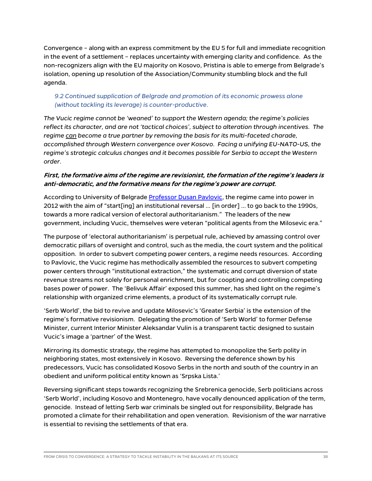Convergence – along with an express commitment by the EU 5 for full and immediate recognition in the event of a settlement – replaces uncertainty with emerging clarity and confidence. As the non-recognizers align with the EU majority on Kosovo, Pristina is able to emerge from Belgrade's isolation, opening up resolution of the Association/Community stumbling block and the full agenda.

#### *9.2 Continued supplication of Belgrade and promotion of its economic prowess alone (without tackling its leverage) is counter-productive*.

*The Vucic regime cannot be 'weaned' to support the Western agenda; the regime's policies reflect its character, and are not 'tactical choices', subject to alteration through incentives. The regime can become a true partner by removing the basis for its multi-faceted charade, accomplished through Western convergence over Kosovo. Facing a unifying EU-NATO-US, the regime's strategic calculus changes and it becomes possible for Serbia to accept the Western order.*

#### First, the formative aims of the regime are revisionist, the formation of the regime's leaders is anti-democratic, and the formative means for the regime's power are corrupt.

According to University of Belgrade [Professor](https://www.tandfonline.com/doi/abs/10.1080/14683857.2019.1672929) Dusan Pavlovic, the regime came into power in 2012 with the aim of "start[ing] an institutional reversal … [in order] … to go back to the 1990s, towards a more radical version of electoral authoritarianism." The leaders of the new government, including Vucic, themselves were veteran "political agents from the Milosevic era."

The purpose of 'electoral authoritarianism' is perpetual rule, achieved by amassing control over democratic pillars of oversight and control, such as the media, the court system and the political opposition. In order to subvert competing power centers, a regime needs resources. According to Pavlovic, the Vucic regime has methodically assembled the resources to subvert competing power centers through "institutional extraction," the systematic and corrupt diversion of state revenue streams not solely for personal enrichment, but for coopting and controlling competing bases power of power. The 'Belivuk Affair' exposed this summer, has shed light on the regime's relationship with organized crime elements, a product of its systematically corrupt rule.

'Serb World', the bid to revive and update Milosevic's 'Greater Serbia' is the extension of the regime's formative revisionism. Delegating the promotion of 'Serb World' to former Defense Minister, current Interior Minister Aleksandar Vulin is a transparent tactic designed to sustain Vucic's image a 'partner' of the West.

Mirroring its domestic strategy, the regime has attempted to monopolize the Serb polity in neighboring states, most extensively in Kosovo. Reversing the deference shown by his predecessors, Vucic has consolidated Kosovo Serbs in the north and south of the country in an obedient and uniform political entity known as 'Srpska Lista.'

Reversing significant steps towards recognizing the Srebrenica genocide, Serb politicians across 'Serb World', including Kosovo and Montenegro, have vocally denounced application of the term, genocide. Instead of letting Serb war criminals be singled out for responsibility, Belgrade has promoted a climate for their rehabilitation and open veneration. Revisionism of the war narrative is essential to revising the settlements of that era.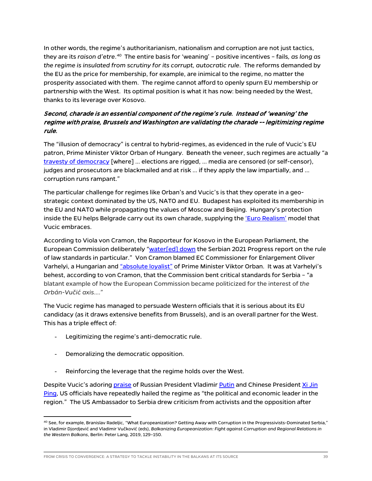In other words, the regime's authoritarianism, nationalism and corruption are not just tactics, they are its raison d'etre.<sup>[40](#page-39-0)</sup> The entire basis for 'weaning' – positive incentives – fails, as long as *the regime is insulated from scrutiny for its corrupt, autocratic rule*. The reforms demanded by the EU as the price for membership, for example, are inimical to the regime, no matter the prosperity associated with them. The regime cannot afford to openly spurn EU membership or partnership with the West. Its optimal position is what it has now: being needed by the West, thanks to its leverage over Kosovo.

#### Second, charade is an essential component of the regime's rule. Instead of 'weaning' the regime with praise, Brussels and Washington are validating the charade -- legitimizing regime rule.

The "illusion of democracy" is central to hybrid-regimes, as evidenced in the rule of Vucic's EU patron, Prime Minister Viktor Orban of Hungary. Beneath the veneer, such regimes are actually "a [travesty of democracy](https://www.tandfonline.com/doi/abs/10.1080/14683857.2019.1672929) [where] … elections are rigged, … media are censored (or self-censor), judges and prosecutors are blackmailed and at risk … if they apply the law impartially, and … corruption runs rampant."

The particular challenge for regimes like Orban's and Vucic's is that they operate in a geostrategic context dominated by the US, NATO and EU. Budapest has exploited its membership in the EU and NATO while propagating the values of Moscow and Beijing. Hungary's protection inside the EU helps Belgrade carry out its own charade, supplying the ['Euro Realism'](https://www.reuters.com/article/us-serbia-president-interview/serbia-to-keep-balancing-west-russia-and-china-president-says-idUSKBN23I21E) model that Vucic embraces.

According to Viola von Cramon, the Rapporteur for Kosovo in the European Parliament, the European Commission deliberately ["water\[ed\] down](https://www.euractiv.com/section/enlargement/opinion/commission-compromising-rule-of-law-standards-in-the-interest-of-orban-vucic-axis/) the Serbian 2021 Progress report on the rule of law standards in particular." Von Cramon blamed EC Commissioner for Enlargement Oliver Varhelyi, a Hungarian an[d "absolute loyalist"](https://eu.boell.org/en/2019/10/08/wrong-man-wrong-place) of Prime Minister Viktor Orban. It was at Varhelyi's behest, according to von Cramon, that the Commission bent critical standards for Serbia – "a blatant example of how the European Commission became politicized for the interest of *the Orbán-Vučić axis*…."

The Vucic regime has managed to persuade Western officials that it is serious about its EU candidacy (as it draws extensive benefits from Brussels), and is an overall partner for the West. This has a triple effect of:

- Legitimizing the regime's anti-democratic rule.
- Demoralizing the democratic opposition.
- Reinforcing the leverage that the regime holds over the West.

Despite Vucic's adoring [praise](https://news.cgtn.com/news/2020-03-22/Serbian-president-kisses-Chinese-flag-as-support-team-arrives--P3FlpiEMBa/index.html) of Russian President Vladimi[r Putin](https://exit.al/en/2021/10/07/vucic-praises-russias-support-at-eu-western-balkans-summit/) and Chinese President Xi Jin [Ping,](https://www.rferl.org/a/chinese-signage-in-serbia-sparks-eu-ire/30637889.html) US officials have repeatedly hailed the regime as "the political and economic leader in the region." The US Ambassador to Serbia drew criticism from activists and the opposition after

<span id="page-39-0"></span> $^{40}$  See, for example, Branislav Radeljic, "What Europeanization? Getting Away with Corruption in the Progressivists-Dominated Serbia," in Vladimir Djordjević and Vladimir Vučković (eds), *Balkanizing Europeanization: Fight against Corruption and Regional Relations in the Western Balkans*, Berlin: Peter Lang, 2019, 129–150.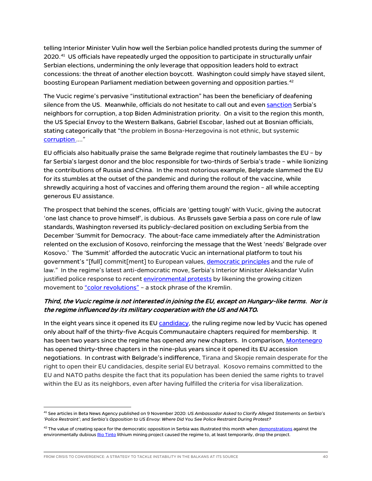telling Interior Minister Vulin how well the Serbian police handled protests during the summer of 2020.<sup>[41](#page-40-0)</sup> US officials have repeatedly urged the opposition to participate in structurally unfair Serbian elections, undermining the only leverage that opposition leaders hold to extract concessions: the threat of another election boycott. Washington could simply have stayed silent, boosting European Parliament mediation between governing and opposition parties. [42](#page-40-1)

The Vucic regime's pervasive "institutional extraction" has been the beneficiary of deafening silence from the US. Meanwhile, officials do not hesitate to call out and even [sanction](https://www.voanews.com/a/europe_us-sanction-former-albanian-pm-sends-message-raises-questions/6206085.html) Serbia's neighbors for corruption, a top Biden Administration priority. On a visit to the region this month, the US Special Envoy to the Western Balkans, Gabriel Escobar, lashed out at Bosnian officials, stating categorically that "the problem in Bosna-Herzegovina is not ethnic, but systemic [corruption](https://ba.n1info.com/vijesti/escobar-za-hinu-hrvati-se-moraju-osjecati-ugodno-bez-toga-dayton-nece-uspjeti/) …."

EU officials also habitually praise the same Belgrade regime that routinely lambastes the EU – by far Serbia's largest donor and the bloc responsible for two-thirds of Serbia's trade – while lionizing the contributions of Russia and China. In the most notorious example, Belgrade slammed the EU for its stumbles at the outset of the pandemic and during the rollout of the vaccine, while shrewdly acquiring a host of vaccines and offering them around the region – all while accepting generous EU assistance.

The prospect that behind the scenes, officials are 'getting tough' with Vucic, giving the autocrat 'one last chance to prove himself', is dubious. As Brussels gave Serbia a pass on core rule of law standards, Washington reversed its publicly-declared position on excluding Serbia from the December 'Summit for Democracy. The about-face came immediately after the Administration relented on the exclusion of Kosovo, reinforcing the message that the West 'needs' Belgrade over Kosovo.' The 'Summit' afforded the autocratic Vucic an international platform to tout his government's "[full] commit[ment] to European values[, democratic principles](https://www.b92.net/eng/news/politics.php?yyyy=2021&mm=12&dd=09&nav_id=112489) and the rule of law." In the regime's latest anti-democratic move, Serbia's Interior Minister Aleksandar Vulin justified police response to recen[t environmental protests](https://www.axios.com/environmental-protest-serbia-lithium-mining-pollution-0c751af9-5f0e-45b7-8e13-bd03722ad1b9.html) by likening the growing citizen movement to ["color revolutions"](https://rs.n1info.com/english/news/serbias-int-min-we-avoided-coloured-revolution-trap/) - a stock phrase of the Kremlin.

#### Third, the Vucic regime is not interested in joining the EU, except on Hungary-like terms. Nor is the regime influenced by its military cooperation with the US and NATO**.**

In the eight years since it opened its EU [candidacy,](https://ec.europa.eu/neighbourhood-enlargement/serbia-report-2021_en) the ruling regime now led by Vucic has opened only about half of the thirty-five Acquis Communautaire chapters required for membership. It has been two years since the regime has opened any new chapters. In comparison, [Montenegro](https://ec.europa.eu/neighbourhood-enlargement/montenegro-report-2021_en) has opened thirty-three chapters in the nine-plus years since it opened its EU accession negotiations. In contrast with Belgrade's indifference, Tirana and Skopje remain desperate for the right to open their EU candidacies, despite serial EU betrayal. Kosovo remains committed to the EU and NATO paths despite the fact that its population has been denied the same rights to travel within the EU as its neighbors, even after having fulfilled the criteria for visa liberalization.

<span id="page-40-0"></span><sup>41</sup> See articles in Beta News Agency published on 9 November 2020: *US Ambassador Asked to Clarify Alleged Statements on Serbia's 'Police Restraint'*; and *Serbia's Opposition to US Envoy: Where Did You See Police Restraint During Protest?*

<span id="page-40-1"></span><sup>&</sup>lt;sup>42</sup> The value of creating space for the democratic opposition in Serbia was illustrated this month whe[n demonstrations](https://www.theguardian.com/world/2021/dec/05/rio-tinto-lithium-mine-thousands-of-protesters-block-roads-across-serbia) against the environmentally dubiou[s Rio Tinto](https://www.startribune.com/serbia-moves-to-defuse-protests-over-rio-tinto-lithium-mine/600125007/) lithium mining project caused the regime to, at least temporarily, drop the project.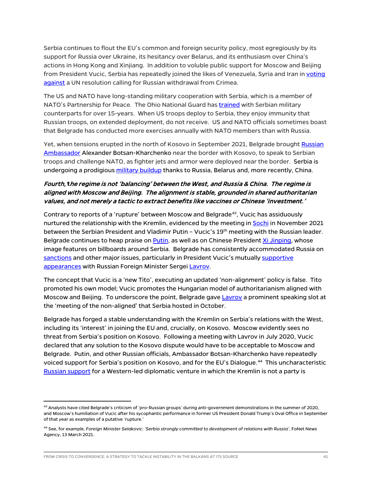Serbia continues to flout the EU's common and foreign security policy, most egregiously by its support for Russia over Ukraine, its hesitancy over Belarus, and its enthusiasm over China's actions in Hong Kong and Xinjiang. In addition to voluble public support for Moscow and Beijing from President Vucic, Serbia has repeatedly joined the likes of Venezuela, Syria and Iran i[n voting](https://balkaninsight.com/2020/12/08/serbia-backs-russia-again-in-un-vote-on-crimea/) against a UN resolution calling for Russian withdrawal from Crimea.

The US and NATO have long-standing military cooperation with Serbia, which is a member of NATO's Partnership for Peace. The Ohio National Guard ha[s trained](https://www.state.gov/u-s-relations-with-serbia/) with Serbian military counterparts for over 15-years. When US troops deploy to Serbia, they enjoy immunity that Russian troops, on extended deployment, do not receive. US and NATO officials sometimes boast that Belgrade has conducted more exercises annually with NATO members than with Russia.

Yet, when tensions erupted in the north of Kosovo in September 2021, Belgrade brought [Russian](https://www.theguardian.com/world/2021/oct/02/tensions-rise-at-kosovo-serbia-border-as-number-plate-row-escalates)  [Ambassador](https://www.theguardian.com/world/2021/oct/02/tensions-rise-at-kosovo-serbia-border-as-number-plate-row-escalates) Alexander Botsan-Kharchenko near the border with Kosovo, to speak to Serbian troops and challenge NATO, as fighter jets and armor were deployed near the border. Serbia is undergoing a prodigiou[s military buildup](https://www.economist.com/europe/2021/10/30/serbia-is-on-a-shopping-spree-for-weapons) thanks to Russia, Belarus and, more recently, China.

#### Fourth, **t**he regime is not 'balancing' between the West, and Russia & China. The regime is aligned with Moscow and Beijing. The alignment is stable, grounded in shared authoritarian values, and not merely a tactic to extract benefits like vaccines or Chinese 'investment.'

Contrary to reports of a 'rupture' between Moscow and Belgrade<sup>[43](#page-41-0)</sup>, Vucic has assiduously nurtured the relationship with the Kremlin, evidenced by the meeting in [Sochi](https://rs.n1info.com/english/news/serbias-vucic-talks-with-putin-about-gas-kremlin-about-kosovo-and-bih/) in November 2021 between the Serbian President and Vladimir Putin - Vucic's 19<sup>th</sup> meeting with the Russian leader. Belgrade continues to heap praise o[n Putin,](https://exit.al/en/2021/10/07/vucic-praises-russias-support-at-eu-western-balkans-summit/) as well as on Chinese Presiden[t Xi Jinping,](https://apnews.com/article/europe-xi-jinping-serbia-coronavirus-pandemic-aleksandar-vucic-d80f48c1fd69c819715ba3a17c7fc208) whose image features on billboards around Serbia. Belgrade has consistently accommodated Russia on [sanctions](https://apnews.com/article/russia-serbia-europe-government-and-politics-3bae844d1f7c483be0109eeaac00ba15) and other major issues, particularly in President Vucic's mutually [supportive](https://www.youtube.com/watch?v=WIxaUYqAhuY) [appearances](https://www.youtube.com/watch?v=YVrbMcKBDSI) with Russian Foreign Minister Sergei [Lavrov.](https://www.euractiv.com/section/politics/short_news/lavrov-says-serbia-and-russia-have-a-confidential-dialogue/)

The concept that Vucic is a 'new Tito', executing an updated 'non-alignment' policy is false. Tito promoted his own model; Vucic promotes the Hungarian model of authoritarianism aligned with Moscow and Beijing. To underscore the point, Belgrade gav[e Lavrov](https://tass.com/politics/1347753) a prominent speaking slot at the 'meeting of the non-aligned' that Serbia hosted in October.

Belgrade has forged a stable understanding with the Kremlin on Serbia's relations with the West, including its 'interest' in joining the EU and, crucially, on Kosovo. Moscow evidently sees no threat from Serbia's position on Kosovo. Following a meeting with Lavrov in July 2020, Vucic declared that any solution to the Kosovo dispute would have to be acceptable to Moscow and Belgrade. Putin, and other Russian officials, Ambassador Botsan-Kharchenko have repeatedly voiced support for Serbia's position on Kosovo, and for the EU's Dialogue.[44](#page-41-1) This uncharacteristic [Russian support](http://www.xinhuanet.com/english/europe/2020-06/19/c_139149938.htm) for a Western-led diplomatic venture in which the Kremlin is not a party is

<span id="page-41-0"></span> $^{43}$  Analysts have cited Belgrade's criticism of 'pro-Russian groups' during anti-government demonstrations in the summer of 2020, and Moscow's humiliation of Vucic after his sycophantic performance in former US President Donald Trump's Oval Office in September of that year as examples of a putative 'rupture.'

<span id="page-41-1"></span><sup>44</sup> See, for example, *Foreign Minister Selakovic: 'Serbia strongly committed to development of relations with Russia'*, FoNet News Agency, 13 March 2021.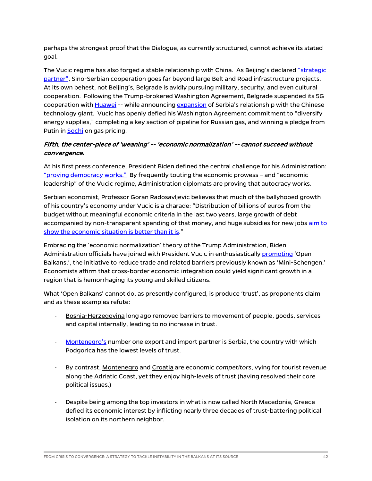perhaps the strongest proof that the Dialogue, as currently structured, cannot achieve its stated goal.

The Vucic regime has also forged a stable relationship with China. As Beijing's declared "strategic [partner",](https://www.mfa.gov.rs/en/press-service/statements/steel-friendship-and-strategic-partnership-between-serbia-and-china) Sino-Serbian cooperation goes far beyond large Belt and Road infrastructure projects. At its own behest, not Beijing's, Belgrade is avidly pursuing military, security, and even cultural cooperation. Following the Trump-brokered Washington Agreement, Belgrade suspended its 5G cooperation with [Huawei](https://exit.al/en/2020/09/16/serbia-opens-huawei-tech-center-days-after-pledging-to-ban-untrusted-vendors/) -- while announcing [expansion](https://e.huawei.com/cz/news/ebg/2020/serbia-office-egovernment-agreement) of Serbia's relationship with the Chinese technology giant. Vucic has openly defied his Washington Agreement commitment to "diversify energy supplies," completing a key section of pipeline for Russian gas, and winning a pledge from Putin i[n Sochi](https://rs.n1info.com/english/news/serbias-vucic-talks-with-putin-about-gas-kremlin-about-kosovo-and-bih/) on gas pricing.

#### Fifth, the center-piece of 'weaning' -- 'economic normalization' -- cannot succeed without convergence**.**

At his first press conference, President Biden defined the central challenge for his Administration: ["proving democracy works."](https://www.nytimes.com/2021/03/26/us/politics/biden-china-democracy.html) By frequently touting the economic prowess – and "economic leadership" of the Vucic regime, Administration diplomats are proving that autocracy works.

Serbian economist, Professor Goran Radosavljevic believes that much of the ballyhooed growth of his country's economy under Vucic is a charade: "Distribution of billions of euros from the budget without meaningful economic criteria in the last two years, large growth of debt accompanied by non-transparent spending of that money, and huge subsidies for new jobs aim to [show the economic situation is better than it is.](https://novimagazin.rs/iz-nedeljnika-nm/254737-intervju-goran-radosavljevic-pod-vucicem-srbija-zaostaje)"

Embracing the 'economic normalization' theory of the Trump Administration, Biden Administration officials have joined with President Vucic in enthusiasticall[y promoting](https://europeanwesternbalkans.com/2021/08/13/state-department-us-wholeheartedly-supports-regional-economic-integration-in-the-balkans/) 'Open Balkans,', the initiative to reduce trade and related barriers previously known as 'Mini-Schengen.' Economists affirm that cross-border economic integration could yield significant growth in a region that is hemorrhaging its young and skilled citizens.

What 'Open Balkans' cannot do, as presently configured, is produce 'trust', as proponents claim and as these examples refute:

- Bosnia-Herzegovina long ago removed barriers to movement of people, goods, services and capital internally, leading to no increase in trust.
- [Montenegro's](https://oec.world/en/profile/bilateral-country/srb/partner/mne#:%7E:text=During%202019%2C%20Serbia%20had%20a,%2C%20and%20Foodstuffs%20(%2411M).) number one export and import partner is Serbia, the country with which Podgorica has the lowest levels of trust.
- By contrast, Montenegro and *Croatia* are economic *competitors*, vying for tourist revenue along the Adriatic Coast, yet they enjoy high-levels of trust (having resolved their core political issues.)
- Despite being among the top investors in what is now called North Macedonia, Greece defied its economic interest by inflicting nearly three decades of trust-battering political isolation on its northern neighbor.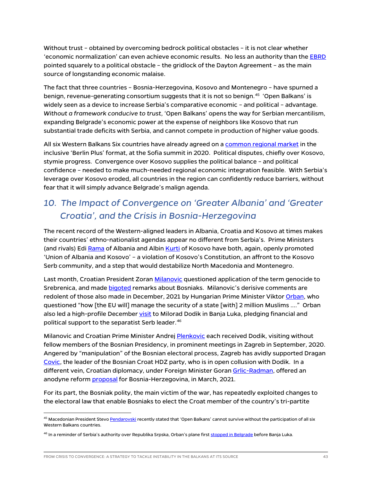Without trust – obtained by overcoming bedrock political obstacles – it is not clear whether 'economic normalization' can even achieve economic results. No less an authority than the [EBRD](https://www.ebrd.com/publications/country-diagnostics) pointed squarely to a political obstacle – the gridlock of the Dayton Agreement – as the main source of longstanding economic malaise.

The fact that three countries – Bosnia-Herzegovina, Kosovo and Montenegro – have spurned a benign, revenue-generating consortium suggests that it is not so benign.<sup>[45](#page-43-0)</sup> 'Open Balkans' is widely seen as a device to increase Serbia's comparative economic – and political – advantage. *Without a framework conducive to trust*, 'Open Balkans' opens the way for Serbian mercantilism, expanding Belgrade's economic power at the expense of neighbors like Kosovo that run substantial trade deficits with Serbia, and cannot compete in production of higher value goods.

All six Western Balkans Six countries have already agreed on a [common regional market](https://www.rcc.int/docs/544/declaration-on-common-regional-market) in the inclusive 'Berlin Plus' format, at the Sofia summit in 2020. Political disputes, chiefly over Kosovo, stymie progress. Convergence over Kosovo supplies the political balance – and political confidence – needed to make much-needed regional economic integration feasible. With Serbia's leverage over Kosovo eroded, all countries in the region can confidently reduce barriers, without fear that it will simply advance Belgrade's malign agenda.

## *10. The Impact of Convergence on 'Greater Albania' and 'Greater Croatia', and the Crisis in Bosnia-Herzegovina*

The recent record of the Western-aligned leaders in Albania, Croatia and Kosovo at times makes their countries' ethno-nationalist agendas appear no different from Serbia's. Prime Ministers (and rivals) Ed[i Rama](https://exit.al/en/2021/11/26/albanian-prime-minister-says-he-would-vote-for-unification-with-kosovo/) of Albania and Albi[n Kurti](https://politiko.al/english/kosova/kurti-pro-bashkimit-shqiperi-kosove-do-te-votoja-per-po-jane-dy-shtete-po-i448123) of Kosovo have both, again, openly promoted 'Union of Albania and Kosovo' – a violation of Kosovo's Constitution, an affront to the Kosovo Serb community, and a step that would destabilize North Macedonia and Montenegro.

Last month, Croatian President Zoran [Milanovic](https://www.aa.com.tr/en/europe/croatian-president-makes-controversial-statements-on-srebrenica-genocide/2442617) questioned application of the term genocide to Srebrenica, and made [bigoted](https://www.fena.news/bih/sda-milanovics-statement-is-cultural-racism-and-insult-for-everyone-in-bih/) remarks about Bosniaks. Milanovic's derisive comments are redolent of those also made in December, 2021 by Hungarian Prime Minister Vikto[r Orban,](https://abcnews.go.com/Business/wireStory/hungarys-pm-denounced-bosnia-anti-muslim-rhetoric-81895817) who questioned "how [the EU will] manage the security of a state [with] 2 million Muslims …." Orban also led a high-profile December [visit](https://balkaninsight.com/2021/12/21/orban-hungary-gives-e100-million-support-to-bosnian-serbs/) to Milorad Dodik in Banja Luka, pledging financial and political support to the separatist Serb leader.<sup>[46](#page-43-1)</sup>

Milanovic and Croatian Prime Minister Andrej [Plenkovic](https://balkaninsight.com/2020/09/17/croatian-leaders-criticised-for-inviting-dodik-to-zagreb/) each received Dodik, visiting without fellow members of the Bosnian Presidency, in prominent meetings in Zagreb in September, 2020. Angered by "manipulation" of the Bosnian electoral process, Zagreb has avidly supported Dragan [Covic,](https://www.euractiv.com/section/politics/short_news/dodik-and-covic-attack-inzko-at-un-security-council/) the leader of the Bosnian Croat HDZ party, who is in open collusion with Dodik. In a different vein, Croatian diplomacy, under Foreign Minister Gora[n Grlic-Radman,](https://hr.n1info.com/english/news/croatian-fm-says-non-paper-on-bosnia-was-well-accepted-among-eu-ministers/) offered an anodyne reform *proposal* for Bosnia-Herzegovina, in March, 2021.

For its part, the Bosniak polity, the main victim of the war, has repeatedly exploited changes to the electoral law that enable Bosniaks to elect the Croat member of the country's tri-partite

<span id="page-43-0"></span><sup>&</sup>lt;sup>45</sup> Macedonian President Stevo <u>Pendarovski</u> recently stated that 'Open Balkans' cannot survive without the participation of all six Western Balkans countries.

<span id="page-43-1"></span><sup>&</sup>lt;sup>46</sup> In a reminder of Serbia's authority over Republika Srpska, Orban's plane first <u>stopped in Belgrade</u> before Banja Luka.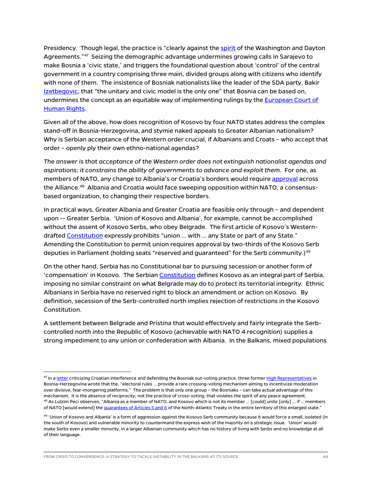Presidency. Though legal, the practice is "clearly against the [spirit](https://www.pssi.cz/download/docs/8604_western-balkans-at-the-crossroads-ways-forward-in-analyzing-external-actors-influence.pdf) of the Washington and Dayton Agreements."<sup>47</sup> Seizing the demographic advantage undermines growing calls in Sarajevo to make Bosnia a 'civic state,' and triggers the foundational question about 'control' of the central government in a country comprising three main, divided groups along with citizens who identify with none of them. The insistence of Bosniak nationalists like the leader of the SDA party, Bakir [Izetbegovic,](https://www.euractiv.com/section/politics/short_news/civic-unitary-model-only-acceptable-solution-for-bih-says-bosniak-party-leader/) that "the unitary and civic model is the only one" that Bosnia can be based on, undermines the concept as an equitable way of implementing rulings by the **European Court of** [Human Rights.](https://www.echr.coe.int/Documents/CP_Bosnia_and_Herzegovina_ENG.pdf)

Given all of the above, how does recognition of Kosovo by four NATO states address the complex stand-off in Bosnia-Herzegovina, and stymie naked appeals to Greater Albanian nationalism? Why is Serbian acceptance of the Western order crucial, if Albanians and Croats – who accept that order – openly ply their own ethno-national agendas?

*The answer is that acceptance of the Western order does not extinguish nationalist agendas and aspirations; it constrains the ability of governments to advance and exploit them.* For one, as members of NATO, any change to Albania's or Croatia's borders would require [approval](http://www.kipred.org/repository/docs/DECONSTRUCTION_OF_THE_IDEA_OF_UNIFICATION_THE_FUTURE_OF_RELATIONS_BETWEEN_KOSOVO_AND_ALBANIA_40775.pdf) across the Alliance.<sup>48</sup> Albania and Croatia would face sweeping opposition within NATO, a consensusbased organization, to changing their respective borders.

In practical ways, Greater Albania and Greater Croatia are feasible only through – and dependent upon -- Greater Serbia. 'Union of Kosovo and Albania', for example, cannot be accomplished without the assent of Kosovo Serbs, who obey Belgrade. The first article of Kosovo's Westerndrafted [Constitution](https://www.constituteproject.org/constitution/Kosovo_2016.pdf?lang=en) expressly prohibits "union … with … any State or part of any State." Amending the Constitution to permit union requires approval by two-thirds of the Kosovo Serb deputies in Parliament (holding seats "reserved and guaranteed" for the Serb community.)<sup>[49](#page-44-2)</sup>

On the other hand, Serbia has no Constitutional bar to pursuing secession or another form of 'compensation' in Kosovo. The Serbia[n Constitution](https://www.ilo.org/dyn/natlex/docs/ELECTRONIC/74694/119555/F838981147/SRB74694%20Eng.pdf) defines Kosovo as an integral part of Serbia, imposing no similar constraint on what Belgrade may do to protect its territorial integrity. Ethnic Albanians in Serbia have no reserved right to block an amendment or action on Kosovo. By definition, secession of the Serb-controlled north implies rejection of restrictions in the Kosovo Constitution.

A settlement between Belgrade and Pristina that would effectively and fairly integrate the Serbcontrolled north into the Republic of Kosovo (achievable with NATO 4 recognition) supplies a strong impediment to any union or confederation with Albania. In the Balkans, mixed populations

<span id="page-44-0"></span><sup>&</sup>lt;sup>47</sup> In [a letter](https://balkaninsight.com/2018/12/06/former-bosnia-governors-condemn-croatia-s-meddling-in-bosnia-12-06-2018/) criticizing Croatian interference and defending the Bosniak out-voting practice, three forme[r High Representatives](https://www.aljazeera.com/features/2018/12/18/is-croatia-undermining-bosnias-sovereignty) in Bosnia-Herzegovina wrote that the, "electoral rules … provide a rare crossing-voting mechanism aiming to incentivize moderation over divisive, fear-mongering platforms." The problem is that only one group – the Bosniaks – can take actual advantage of this mechanism. It is the absence of *reciprocity*, not the practice of cross-voting, that violates the spirit of any peace agreement.  $^{48}$  As Lulzim Peci observes, "Albania as a member of NATO, and Kosovo which is not its member … [could] unite [only] … if … members of NATO [would extend] th[e guarantees of Articles 5 and 6](http://www.kipred.org/repository/docs/DECONSTRUCTION_OF_THE_IDEA_OF_UNIFICATION_THE_FUTURE_OF_RELATIONS_BETWEEN_KOSOVO_AND_ALBANIA_40775.pdf) of the North-Atlantic Treaty in the entire territory of this enlarged state."

<span id="page-44-2"></span><span id="page-44-1"></span><sup>49</sup> 'Union of Kosovo and Albania' is a form of aggression against the Kosovo Serb community because it would force a small, isolated (in the south of Kosovo) and vulnerable minority to countermand the express wish of the majority on a strategic issue. 'Union' would make Serbs even a smaller minority, in a larger Albanian community which has no history of living with Serbs and no knowledge at all of their language.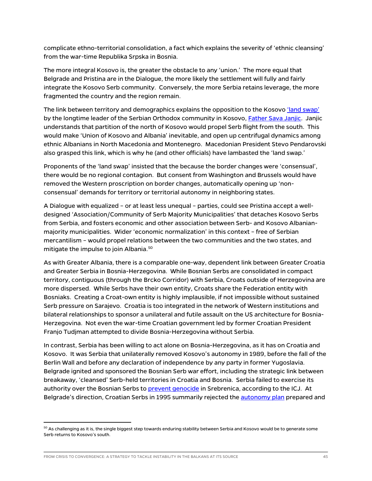complicate ethno-territorial consolidation, a fact which explains the severity of 'ethnic cleansing' from the war-time Republika Srpska in Bosnia.

The more integral Kosovo is, the greater the obstacle to any 'union.' The more equal that Belgrade and Pristina are in the Dialogue, the more likely the settlement will fully and fairly integrate the Kosovo Serb community. Conversely, the more Serbia retains leverage, the more fragmented the country and the region remain.

The link between territory and demographics explains the opposition to the Kosovo *'land swap'* by the longtime leader of the Serbian Orthodox community in Kosovo[, Father Sava Janjic.](https://balkaninsight.com/2018/08/15/kosovo-serb-priest-under-fire-for-opposing-partition-08-14-2018/) Janjic understands that partition of the north of Kosovo would propel Serb flight from the south. This would make 'Union of Kosovo and Albania' inevitable, and open up centrifugal dynamics among ethnic Albanians in North Macedonia and Montenegro. Macedonian President Stevo Pendarovski also grasped this link, which is why he (and other officials) have lambasted the 'land swap.'

Proponents of the 'land swap' insisted that the because the border changes were 'consensual', there would be no regional contagion. But consent from Washington and Brussels would have removed the Western proscription on border changes, automatically opening up 'nonconsensual' demands for territory or territorial autonomy in neighboring states.

A Dialogue with equalized – or at least less unequal – parties, could see Pristina accept a welldesigned 'Association/Community of Serb Majority Municipalities' that detaches Kosovo Serbs from Serbia, and fosters economic and other association between Serb- and Kosovo Albanianmajority municipalities. Wider 'economic normalization' in this context – free of Serbian mercantilism – would propel relations between the two communities and the two states, and mitigate the impulse to join Albania.<sup>[50](#page-45-0)</sup>

As with Greater Albania, there is a comparable one-way, dependent link between Greater Croatia and Greater Serbia in Bosnia-Herzegovina. While Bosnian Serbs are consolidated in compact territory, contiguous (through the Brcko Corridor) with Serbia, Croats outside of Herzegovina are more dispersed. While Serbs have their own entity, Croats share the Federation entity with Bosniaks. Creating a Croat-own entity is highly implausible, if not impossible without sustained Serb pressure on Sarajevo. Croatia is too integrated in the network of Western institutions and bilateral relationships to sponsor a unilateral and futile assault on the US architecture for Bosnia-Herzegovina. Not even the war-time Croatian government led by former Croatian President Franjo Tudjman attempted to divide Bosnia-Herzegovina without Serbia.

In contrast, Serbia has been willing to act alone on Bosnia-Herzegovina, as it has on Croatia and Kosovo. It was Serbia that unilaterally removed Kosovo's autonomy in 1989, before the fall of the Berlin Wall and before any declaration of independence by any party in former Yugoslavia. Belgrade ignited and sponsored the Bosnian Serb war effort, including the strategic link between breakaway, 'cleansed' Serb-held territories in Croatia and Bosnia. Serbia failed to exercise its authority over the Bosnian Serbs to [prevent genocide](https://news.un.org/en/story/2007/02/210142-un-world-court-acquits-serbia-genocide-bosnia-finds-it-guilty-inaction) in Srebrenica, according to the ICJ. At Belgrade's direction, Croatian Serbs in 1995 summarily rejected the **autonomy plan** prepared and

<span id="page-45-0"></span> $^{\rm 50}$  As challenging as it is, the single biggest step towards enduring stability between Serbia and Kosovo would be to generate some Serb returns to Kosovo's south.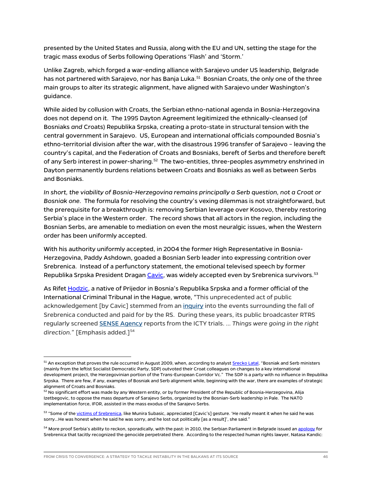presented by the United States and Russia, along with the EU and UN, setting the stage for the tragic mass exodus of Serbs following Operations 'Flash' and 'Storm.'

Unlike Zagreb, which forged a war-ending alliance with Sarajevo under US leadership, Belgrade has not partnered with Sarajevo, nor has Banja Luka.<sup>[51](#page-46-0)</sup> Bosnian Croats, the only one of the three main groups to alter its strategic alignment, have aligned with Sarajevo under Washington's guidance.

While aided by collusion with Croats, the Serbian ethno-national agenda in Bosnia-Herzegovina does not depend on it. The 1995 Dayton Agreement legitimized the ethnically-cleansed (of Bosniaks *and* Croats) Republika Srpska, creating a proto-state in structural tension with the central government in Sarajevo. US, European and international officials compounded Bosnia's ethno-territorial division after the war, with the disastrous 1996 transfer of Sarajevo – leaving the country's capital, and the Federation of Croats and Bosniaks, bereft of Serbs and therefore bereft of any Serb interest in power-sharing.<sup>52</sup> The two-entities, three-peoples asymmetry enshrined in Dayton permanently burdens relations between Croats and Bosniaks as well as between Serbs and Bosniaks.

*In short, the viability of Bosnia-Herzegovina remains principally a Serb question, not a Croat or Bosniak one.* The formula for resolving the country's vexing dilemmas is not straightforward, but the prerequisite for a breakthrough is: removing Serbian leverage over Kosovo, thereby restoring Serbia's place in the Western order. The record shows that all actors in the region, including the Bosnian Serbs, are amenable to mediation on even the most neuralgic issues, when the Western order has been uniformly accepted.

With his authority uniformly accepted, in 2004 the former High Representative in Bosnia-Herzegovina, Paddy Ashdown, goaded a Bosnian Serb leader into expressing contrition over Srebrenica. Instead of a perfunctory statement, the emotional televised speech by former Republika Srpska President Draga[n Cavic,](http://news.bbc.co.uk/2/hi/europe/3831599.stm) was widely accepted even by Srebrenica survivors.<sup>[53](#page-46-2)</sup>

As Rife[t Hodzic,](https://www.ictj.org/news/karadzic-bosnia-herzegovina-criminal-justice) a native of Prijedor in Bosnia's Republika Srpska and a former official of the International Criminal Tribunal in the Hague, wrote, "This unprecedented act of public acknowledgement [by Cavic] stemmed from an [inquiry](http://balkanwitness.glypx.com/srebr_final_e.pdf) into the events surrounding the fall of Srebrenica conducted and paid for by the RS. During these years, its public broadcaster RTRS regularly screened [SENSE Agency](http://www.sense-agency.com/home/home.4.html?verz=2) reports from the ICTY trials. … *Things were going in the right*  direction." [Emphasis added.]<sup>[54](#page-46-3)</sup>

<span id="page-46-0"></span><sup>&</sup>lt;sup>51</sup> An exception that proves the rule occurred in August 2009, when, according to analys[t Srecko Latal,](https://www.pssi.cz/publications/47-bih-s-decisive-electoral-reform-strikes-new-divisions-among-internal-and-external-actors) "Bosniak and Serb ministers (mainly from the leftist Socialist Democratic Party, SDP) outvoted their Croat colleagues on changes to a key international development project, the Herzegovinian portion of the Trans-European Corridor Vc." The SDP is a party with no influence in Republika Srpska. There are few, if any, examples of Bosniak and Serb alignment while, beginning with the war, there are examples of strategic alignment of Croats and Bosniaks.

<span id="page-46-1"></span><sup>&</sup>lt;sup>52</sup> No significant effort was made by any Western entity, or by former President of the Republic of Bosnia-Herzegovina, Alija Izetbegovic, to oppose the mass departure of Sarajevo Serbs, organized by the Bosnian-Serb leadership in Pale. The NATO implementation force, IFOR, assisted in the mass exodus of the Sarajevo Serbs.

<span id="page-46-2"></span><sup>53 &</sup>quot;Some of th[e victims of Srebrenica,](https://balkaninsight.com/2010/01/21/half-hearted-war-crime-apologies-leave-victims-unmoved/) like Munira Subasic, appreciated [Cavic's] gesture. 'He really meant it when he said he was sorry…He was honest when he said he was sorry, and he lost out politically [as a result]', she said."

<span id="page-46-3"></span><sup>&</sup>lt;sup>54</sup> More proof Serbia's ability to reckon, sporadically, with the past: in 2010, the Serbian Parliament in Belgrade issued a[n apology](https://balkaninsight.com/2010/03/31/serbia-adopts-resolution-condemning-srebrenica-massacre/) for Srebrenica that tacitly recognized the genocide perpetrated there. According to the respected human rights lawyer, Natasa Kandic: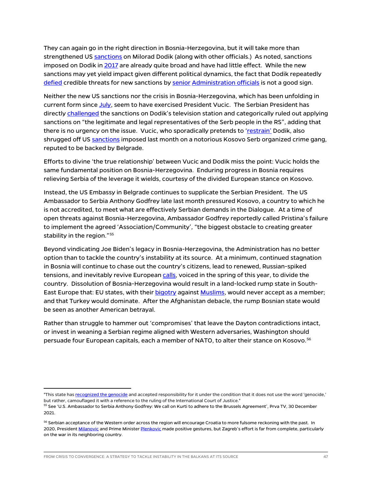They can again go in the right direction in Bosnia-Herzegovina, but it will take more than strengthened US [sanctions](https://home.treasury.gov/news/press-releases/jy0549) on Milorad Dodik (along with other officials.) As noted, sanctions imposed on Dodik i[n 2017](https://www.treasury.gov/press-center/press-releases/Pages/jl0708.aspx) are already quite broad and have had little effect. While the new sanctions may yet yield impact given different political dynamics, the fact that Dodik repeatedly [defied](https://www.theguardian.com/world/2021/nov/29/bosnian-serb-leader-putin-and-china-will-help-if-west-imposes-sanctions) credible threats for new sanctions by [senior](https://www.state.gov/counselor-chollets-travel-to-bosnia-and-herzegovina/) [Administration officials](https://apnews.com/article/europe-united-states-6a816115372b79596c7b1b7c14931c1b) is not a good sign.

Neither the new US sanctions nor the crisis in Bosnia-Herzegovina, which has been unfolding in current form since [July,](https://www.rferl.org/a/bosnia-inzko-genocide-ban-dodik/31378719.html) seem to have exercised President Vucic. The Serbian President has directly [challenged](https://rs.n1info.com/english/news/serbian-president-concerned-over-sanctions-against-bosnian-serb-politician/) the sanctions on Dodik's television station and categorically ruled out applying sanctions on "the legitimate and legal representatives of the Serb people in the RS", adding that there is no urgency on the issue. Vucic, who sporadically pretends to ['restrain'](https://www.intellinews.com/serbia-slaps-down-republika-srpska-s-secessionist-aspirations-190494/) Dodik, also shrugged off US [sanctions](https://home.treasury.gov/news/press-releases/jy0519) imposed last month on a notorious Kosovo Serb organized crime gang, reputed to be backed by Belgrade.

Efforts to divine 'the true relationship' between Vucic and Dodik miss the point: Vucic holds the same fundamental position on Bosnia-Herzegovina. Enduring progress in Bosnia requires relieving Serbia of the leverage it wields, courtesy of the divided European stance on Kosovo.

Instead, the US Embassy in Belgrade continues to supplicate the Serbian President. The US Ambassador to Serbia Anthony Godfrey late last month pressured Kosovo, a country to which he is not accredited, to meet what are effectively Serbian demands in the Dialogue. At a time of open threats against Bosnia-Herzegovina, Ambassador Godfrey reportedly called Pristina's failure to implement the agreed 'Association/Community', "the biggest obstacle to creating greater stability in the region."<sup>55</sup>

Beyond vindicating Joe Biden's legacy in Bosnia-Herzegovina, the Administration has no better option than to tackle the country's instability at its source. At a minimum, continued stagnation in Bosnia will continue to chase out the country's citizens, lead to renewed, Russian-spiked tensions, and inevitably revive European [calls,](https://balkaninsight.com/2021/05/03/slovenias-non-paper-is-no-stunt-but-a-worrying-omen/) voiced in the spring of this year, to divide the country. Dissolution of Bosnia-Herzegovina would result in a land-locked rump state in SouthEast Europe that: EU states, with thei[r bigotry](https://abcnews.go.com/Business/wireStory/hungarys-pm-denounced-bosnia-anti-muslim-rhetoric-81895817) against [Muslims,](https://www.haaretz.com/world-news/.premium-orban-s-sinister-anti-muslim-hatemongering-now-threatens-lives-in-bosnia-1.10504479) would never accept as a member; and that Turkey would dominate. After the Afghanistan debacle, the rump Bosnian state would be seen as another American betrayal.

Rather than struggle to hammer out 'compromises' that leave the Dayton contradictions intact, or invest in weaning a Serbian regime aligned with Western adversaries, Washington should persuade four European capitals, each a member of NATO, to alter their stance on Kosovo.<sup>[56](#page-47-1)</sup>

<sup>&</sup>quot;This state ha[s recognized the genocide](https://www.rferl.org/a/Serbian_Parliaments_Srebrenica_Apology_Hailed_Criticized/1999079.html) and accepted responsibility for it under the condition that it does not use the word 'genocide,' but rather, camouflaged it with a reference to the ruling of the International Court of Justice."

<span id="page-47-0"></span><sup>&</sup>lt;sup>55</sup> See 'U.S. Ambassador to Serbia Anthony Godfrey: We call on Kurti to adhere to the Brussels Agreement', Prva TV, 30 December 2021.

<span id="page-47-1"></span><sup>&</sup>lt;sup>56</sup> Serbian acceptance of the Western order across the region will encourage Croatia to more fulsome reckoning with the past. In 2020, Presiden[t Milanovic](https://www.dw.com/en/croatian-president-milanovic-protests-wwii-ustasha-slogan/a-53305754) and Prime Ministe[r Plenkovic](https://balkaninsight.com/2020/09/28/croatia-commemorates-wartime-massacre-of-serb-civilians-in-varivode/) made positive gestures, but Zagreb's effort is far from complete, particularly on the war in its neighboring country.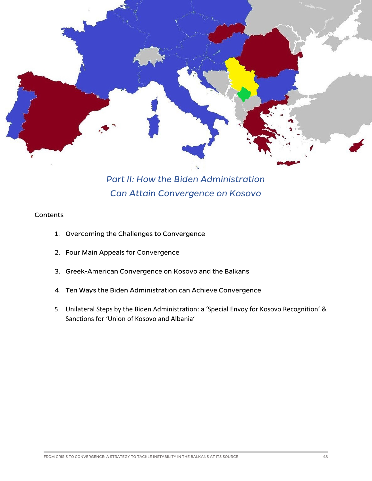

## *Part II: How the Biden Administration Can Attain Convergence on Kosovo*

#### **Contents**

- 1. Overcoming the Challenges to Convergence
- 2. Four Main Appeals for Convergence
- 3. Greek-American Convergence on Kosovo and the Balkans
- 4. Ten Ways the Biden Administration can Achieve Convergence
- 5. Unilateral Steps by the Biden Administration: a 'Special Envoy for Kosovo Recognition' & Sanctions for 'Union of Kosovo and Albania'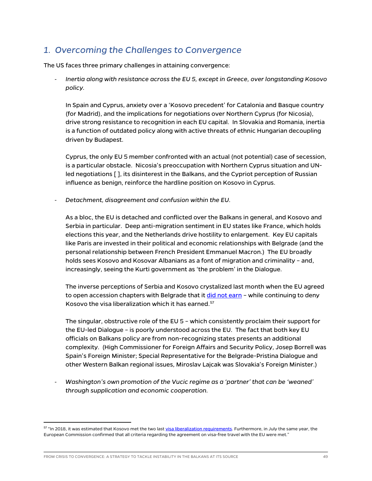## *1. Overcoming the Challenges to Convergence*

The US faces three primary challenges in attaining convergence:

- *Inertia along with resistance across the EU 5, except in Greece, over longstanding Kosovo policy.*

In Spain and Cyprus, anxiety over a 'Kosovo precedent' for Catalonia and Basque country (for Madrid), and the implications for negotiations over Northern Cyprus (for Nicosia), drive strong resistance to recognition in each EU capital. In Slovakia and Romania, inertia is a function of outdated policy along with active threats of ethnic Hungarian decoupling driven by Budapest.

Cyprus, the only EU 5 member confronted with an actual (not potential) case of secession, is a particular obstacle. Nicosia's preoccupation with Northern Cyprus situation and UNled negotiations [ ], its disinterest in the Balkans, and the Cypriot perception of Russian influence as benign, reinforce the hardline position on Kosovo in Cyprus.

- *Detachment, disagreement and confusion within the EU.*

As a bloc, the EU is detached and conflicted over the Balkans in general, and Kosovo and Serbia in particular. Deep anti-migration sentiment in EU states like France, which holds elections this year, and the Netherlands drive hostility to enlargement. Key EU capitals like Paris are invested in their political and economic relationships with Belgrade (and the personal relationship between French President Emmanuel Macron.) The EU broadly holds sees Kosovo and Kosovar Albanians as a font of migration and criminality – and, increasingly, seeing the Kurti government as 'the problem' in the Dialogue.

The inverse perceptions of Serbia and Kosovo crystalized last month when the EU agreed to open accession chapters with Belgrade that it did not earn - while continuing to deny Kosovo the visa liberalization which it has earned. $57$ 

The singular, obstructive role of the EU 5 – which consistently proclaim their support for the EU-led Dialogue – is poorly understood across the EU. The fact that both key EU officials on Balkans policy are from non-recognizing states presents an additional complexity. (High Commissioner for Foreign Affairs and Security Policy, Josep Borrell was Spain's Foreign Minister; Special Representative for the Belgrade-Pristina Dialogue and other Western Balkan regional issues, Miroslav Lajcak was Slovakia's Foreign Minister.)

- *Washington's own promotion of the Vucic regime as a 'partner' that can be 'weaned' through supplication and economic cooperation.*

<span id="page-49-0"></span><sup>57 &</sup>quot;In 2018, it was estimated that Kosovo met the two las[t visa liberalization requirements.](https://www.google.com/search?q=european+commission+kosovo+visa+liberalization&oq=european+commission+kosovo+visa+liberalization&aqs=chrome..69i57.11815j0j4&sourceid=chrome&ie=UTF-8) Furthermore, in July the same year, the European Commission confirmed that all criteria regarding the agreement on visa-free travel with the EU were met."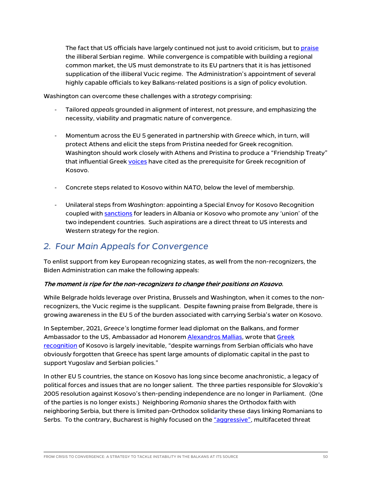The fact that US officials have largely continued not just to avoid criticism, but t[o praise](https://www.rtklive.com/en/news-single.php?ID=19004) the illiberal Serbian regime. While convergence is compatible with building a regional common market, the US must demonstrate to its EU partners that it is has jettisoned supplication of the illiberal Vucic regime. The Administration's appointment of several highly capable officials to key Balkans-related positions is a sign of policy evolution.

Washington can overcome these challenges with a *strategy* comprising:

- Tailored *appeals* grounded in alignment of interest, not pressure, and emphasizing the necessity, viability and pragmatic nature of convergence.
- Momentum across the EU 5 generated in partnership with *Greece* which, in turn, will protect Athens and elicit the steps from Pristina needed for Greek recognition. Washington should work closely with Athens and Pristina to produce a "Friendship Treaty" that influential Gree[k voices](https://www.kathimerini.gr/politics/561506680/i-ellada-pro-ton-pylon-tis-dimokratias-toy-kosovoy/) have cited as the prerequisite for Greek recognition of Kosovo.
- Concrete steps related to Kosovo within *NATO*, below the level of membership.
- Unilateral steps from *Washington*: appointing a Special Envoy for Kosovo Recognition coupled with [sanctions](https://www.whitehouse.gov/briefing-room/presidential-actions/2021/06/08/executive-order-on-blocking-property-and-suspending-entry-into-the-united-states-of-certain-persons-contributing-to-the-destabilizing-situation-in-the-western-balkans/) for leaders in Albania or Kosovo who promote any 'union' of the two independent countries. Such aspirations are a direct threat to US interests and Western strategy for the region.

## *2. Four Main Appeals for Convergence*

To enlist support from key European recognizing states, as well from the non-recognizers, the Biden Administration can make the following appeals:

#### The moment is ripe for the non-recognizers to change their positions on Kosovo.

While Belgrade holds leverage over Pristina, Brussels and Washington, when it comes to the nonrecognizers, the Vucic regime is the supplicant. Despite fawning praise from Belgrade, there is growing awareness in the EU 5 of the burden associated with carrying Serbia's water on Kosovo.

In September, 2021, *Greece's* longtime former lead diplomat on the Balkans, and former Ambassador to the US, Ambassador ad Honorem [Alexandros Mallias,](https://pedis.uop.gr/?teaching=alexandros-mallias) wrote that [Greek](https://www.b92.net/eng/news/politics.php?yyyy=2021&mm=09&dd=24&nav_id=111810)  [recognition](https://www.b92.net/eng/news/politics.php?yyyy=2021&mm=09&dd=24&nav_id=111810) of Kosovo is largely inevitable, "despite warnings from Serbian officials who have obviously forgotten that Greece has spent large amounts of diplomatic capital in the past to support Yugoslav and Serbian policies."

In other EU 5 countries, the stance on Kosovo has long since become anachronistic, a legacy of political forces and issues that are no longer salient. The three parties responsible for *Slovakia's* 2005 resolution against Kosovo's then-pending independence are no longer in Parliament. (One of the parties is no longer exists.) Neighboring *Romania* shares the Orthodox faith with neighboring Serbia, but there is limited pan-Orthodox solidarity these days linking Romanians to Serbs. To the contrary, Bucharest is highly focused on the ["aggressive",](https://balkaninsight.com/2020/06/09/proposed-romanian-defence-strategy-defines-russia-as-aggressive/) multifaceted threat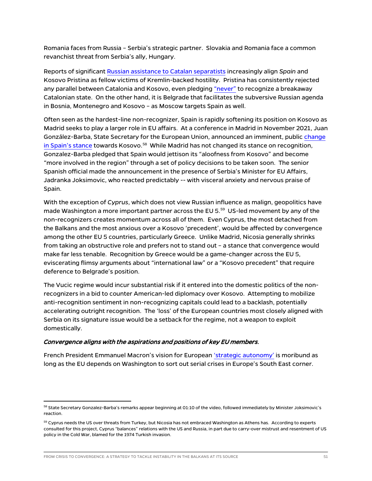Romania faces from Russia – Serbia's strategic partner. Slovakia and Romania face a common revanchist threat from Serbia's ally, Hungary.

Reports of significant [Russian assistance to Catalan separatists](https://www.nytimes.com/2021/09/03/world/europe/spain-catalonia-russia.html) increasingly align *Spain* and Kosovo Pristina as fellow victims of Kremlin-backed hostility. Pristina has consistently rejected any parallel between Catalonia and Kosovo, even pledging ["never"](https://balkaninsight.com/2018/04/30/kosovo-would-never-recognise-the-independence-of-catalonia-pm-says-04-30-2018/) to recognize a breakaway Catalonian state. On the other hand, it is Belgrade that facilitates the subversive Russian agenda in Bosnia, Montenegro and Kosovo – as Moscow targets Spain as well.

Often seen as the hardest-line non-recognizer, Spain is rapidly softening its position on Kosovo as Madrid seeks to play a larger role in EU affairs. At a conference in Madrid in November 2021, Juan González-Barba, State Secretary for the European Union, announced an imminent, public ch[ange](http://www.exteriores.gob.es/Portal/gl/Ministerio/SecretariosDeEstado/SecretarioDeEstadoParaLaUE/Paginas/Inicio.aspx)  [in Spain's stance](http://www.exteriores.gob.es/Portal/gl/Ministerio/SecretariosDeEstado/SecretarioDeEstadoParaLaUE/Paginas/Inicio.aspx) towards Kosovo.<sup>[58](#page-51-0)</sup> While Madrid has not changed its stance on recognit[ion,](http://www.realinstitutoelcano.org/wps/portal/rielcano_en/event?WCM_GLOBAL_CONTEXT=/elcano/elcano_in/calendar/activities/roundtable-the-eus-next-enlargement-propstects-and-pitfalls) [Gonzalez-Barba p](http://www.realinstitutoelcano.org/wps/portal/rielcano_en/event?WCM_GLOBAL_CONTEXT=/elcano/elcano_in/calendar/activities/roundtable-the-eus-next-enlargement-propstects-and-pitfalls)ledged that Spain would jettison its "aloofness from Kosovo" and become "more involved in the region" through a set of policy decisions to be taken soon. The senior Spanish official made the announcement in the presence of Serbia's Minister for EU Affairs, Jadranka Joksimovic, who reacted predictably -- with visceral anxiety and nervous praise of Spain.

With the exception of *Cyprus*, which does not view Russian influence as malign, geopolitics have made Washington a more important partner across the EU 5. [59](#page-51-1) US-led movement by any of the non-recognizers creates momentum across all of them. Even Cyprus, the most detached from the Balkans and the most anxious over a Kosovo 'precedent', would be affected by convergence among the other EU 5 countries, particularly Greece. Unlike Madrid, Nicosia generally shrinks from taking an obstructive role and prefers not to stand out – a stance that convergence would make far less tenable. Recognition by Greece would be a game-changer across the EU 5, eviscerating flimsy arguments about "international law" or a "Kosovo precedent" that require deference to Belgrade's position.

The Vucic regime would incur substantial risk if it entered into the domestic politics of the nonrecognizers in a bid to counter American-led diplomacy over Kosovo. Attempting to mobilize anti-recognition sentiment in non-recognizing capitals could lead to a backlash, potentially accelerating outright recognition. The 'loss' of the European countries most closely aligned with Serbia on its signature issue would be a setback for the regime, not a weapon to exploit domestically.

#### Convergence aligns with the aspirations and positions of key EU members.

French President Emmanuel Macron's vision for Europea[n 'strategic autonomy'](https://www.economist.com/the-world-ahead/2021/11/08/the-eu-will-try-to-work-out-what-strategic-autonomy-means) is moribund as long as the EU depends on Washington to sort out serial crises in Europe's South East corner.

<span id="page-51-0"></span><sup>&</sup>lt;sup>58</sup> State Secretary Gonzalez-Barba's remarks appear beginning at 01:10 of the video, followed immediately by Minister Joksimovic's reaction.

<span id="page-51-1"></span><sup>&</sup>lt;sup>59</sup> Cyprus needs the US over threats from Turkey, but Nicosia has not embraced Washington as Athens has. According to experts consulted for this project, Cyprus "balances" relations with the US and Russia, in part due to carry-over mistrust and resentment of US policy in the Cold War, blamed for the 1974 Turkish invasion.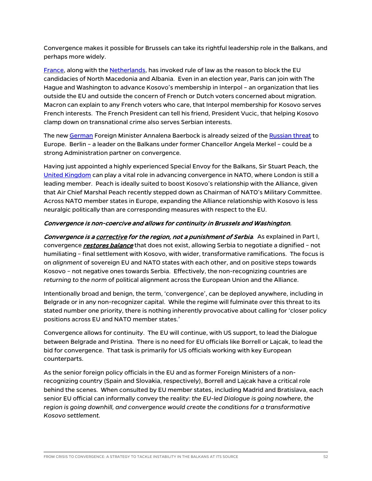Convergence makes it possible for Brussels can take its rightful leadership role in the Balkans, and perhaps more widely.

[France,](https://www.ceps.eu/macrons-non-to-eu-enlargement/) along with th[e Netherlands,](https://www.euractiv.com/section/enlargement/news/netherlands-to-veto-the-opening-of-accession-negotiations-with-albania/) has invoked rule of law as the reason to block the EU candidacies of North Macedonia and Albania. Even in an election year, Paris can join with The Hague and Washington to advance Kosovo's membership in Interpol – an organization that lies outside the EU and outside the concern of French or Dutch voters concerned about migration. Macron can explain to any French voters who care, that Interpol membership for Kosovo serves French interests. The French President can tell his friend, President Vucic, that helping Kosovo clamp down on transnational crime also serves Serbian interests.

The ne[w German](https://www.dw.com/en/who-is-germanys-annalena-baerbock/a-59935970) Foreign Minister Annalena Baerbock is already seized of the [Russian threat](https://www.wsj.com/articles/germanys-greens-get-tougher-on-russia-china-as-they-move-closer-to-power-11628677802) to Europe. Berlin – a leader on the Balkans under former Chancellor Angela Merkel – could be a strong Administration partner on convergence.

Having just appointed a highly experienced Special Envoy for the Balkans, Sir Stuart Peach, the [United Kingdom](https://www.gov.uk/government/news/uk-announces-new-special-envoy-to-the-western-balkans) can play a vital role in advancing convergence in NATO, where London is still a leading member. Peach is ideally suited to boost Kosovo's relationship with the Alliance, given that Air Chief Marshal Peach recently stepped down as Chairman of NATO's Military Committee. Across NATO member states in Europe, expanding the Alliance relationship with Kosovo is less neuralgic politically than are corresponding measures with respect to the EU.

#### Convergence is non-coercive and allows for continuity in Brussels and Washington.

Convergence is a corrective for the region, not a punishment of Serbia. As explained in Part I, convergence *restores balance* that does not exist, allowing Serbia to negotiate a dignified - not humiliating – final settlement with Kosovo, with wider, transformative ramifications. The focus is on *alignment* of sovereign EU and NATO states with each other, and on positive steps towards Kosovo – not negative ones towards Serbia. Effectively, the non-recognizing countries are *returning to the norm* of political alignment across the European Union and the Alliance.

Intentionally broad and benign, the term, 'convergence', can be deployed anywhere, including in Belgrade or in any non-recognizer capital. While the regime will fulminate over this threat to its stated number one priority, there is nothing inherently provocative about calling for 'closer policy positions across EU and NATO member states.'

Convergence allows for continuity. The EU will continue, with US support, to lead the Dialogue between Belgrade and Pristina. There is no need for EU officials like Borrell or Lajcak, to lead the bid for convergence. That task is primarily for US officials working with key European counterparts.

As the senior foreign policy officials in the EU and as former Foreign Ministers of a nonrecognizing country (Spain and Slovakia, respectively), Borrell and Lajcak have a critical role behind the scenes. When consulted by EU member states, including Madrid and Bratislava, each senior EU official can informally convey the reality: *the EU-led Dialogue is going nowhere, the region is going downhill, and convergence would create the conditions for a transformative Kosovo settlement.*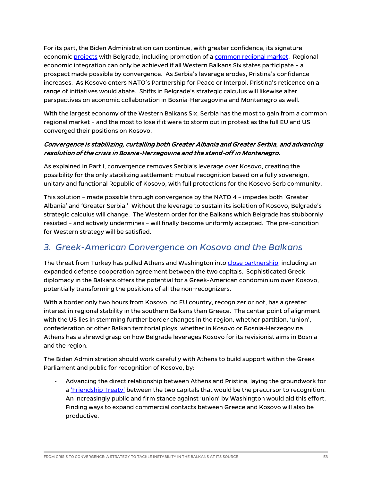For its part, the Biden Administration can continue, with greater confidence, its signature economic [projects](https://seenews.com/news/us-govt-development-finance-institution-opens-office-in-serbia-714487) with Belgrade, including promotion of [a common regional market.](https://europeanwesternbalkans.com/2021/08/13/state-department-us-wholeheartedly-supports-regional-economic-integration-in-the-balkans/) Regional economic integration can only be achieved if all Western Balkans Six states participate – a prospect made possible by convergence. As Serbia's leverage erodes, Pristina's confidence increases. As Kosovo enters NATO's Partnership for Peace or Interpol, Pristina's reticence on a range of initiatives would abate. Shifts in Belgrade's strategic calculus will likewise alter perspectives on economic collaboration in Bosnia-Herzegovina and Montenegro as well.

With the largest economy of the Western Balkans Six, Serbia has the most to gain from a common regional market – and the most to lose if it were to storm out in protest as the full EU and US converged their positions on Kosovo.

#### Convergence is stabilizing, curtailing both Greater Albania and Greater Serbia, and advancing resolution of the crisis in Bosnia-Herzegovina and the stand-off in Montenegro.

As explained in Part I, convergence removes Serbia's leverage over Kosovo, creating the possibility for the only stabilizing settlement: mutual recognition based on a fully sovereign, unitary and functional Republic of Kosovo, with full protections for the Kosovo Serb community.

This solution – made possible through convergence by the NATO 4 – impedes both 'Greater Albania' and 'Greater Serbia.' Without the leverage to sustain its isolation of Kosovo, Belgrade's strategic calculus will change. The Western order for the Balkans which Belgrade has stubbornly resisted – and actively undermines – will finally become uniformly accepted. The pre-condition for Western strategy will be satisfied.

### *3. Greek-American Convergence on Kosovo and the Balkans*

The threat from Turkey has pulled Athens and Washington into [close partnership,](https://foreignpolicy.com/2021/10/26/us-greece-erdogan-turkey-defense-security-nato-russia/) including an expanded defense cooperation agreement between the two capitals. Sophisticated Greek diplomacy in the Balkans offers the potential for a Greek-American condominium over Kosovo, potentially transforming the positions of all the non-recognizers.

With a border only two hours from Kosovo, no EU country, recognizer or not, has a greater interest in regional stability in the southern Balkans than Greece. The center point of alignment with the US lies in stemming further border changes in the region, whether partition, 'union', confederation or other Balkan territorial ploys, whether in Kosovo or Bosnia-Herzegovina. Athens has a shrewd grasp on how Belgrade leverages Kosovo for its revisionist aims in Bosnia and the region.

The Biden Administration should work carefully with Athens to build support within the Greek Parliament and public for recognition of Kosovo, by:

- Advancing the direct relationship between Athens and Pristina, laying the groundwork for a ['Friendship Treaty'](https://www.kathimerini.gr/politics/561506680/i-ellada-pro-ton-pylon-tis-dimokratias-toy-kosovoy/) between the two capitals that would be the precursor to recognition. An increasingly public and firm stance against 'union' by Washington would aid this effort. Finding ways to expand commercial contacts between Greece and Kosovo will also be productive.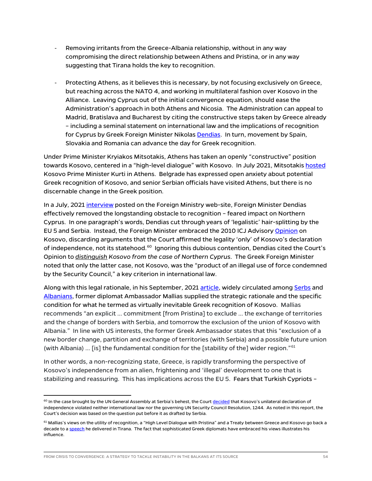- Removing irritants from the Greece-Albania relationship, without in any way compromising the direct relationship between Athens and Pristina, or in any way suggesting that Tirana holds the key to recognition.
- Protecting Athens, as it believes this is necessary, by not focusing exclusively on Greece, but reaching across the NATO 4, and working in multilateral fashion over Kosovo in the Alliance. Leaving Cyprus out of the initial convergence equation, should ease the Administration's approach in both Athens and Nicosia. The Administration can appeal to Madrid, Bratislava and Bucharest by citing the constructive steps taken by Greece already – including a seminal statement on international law and the implications of recognition for Cyprus by Greek Foreign Minister Nikola[s Dendias.](https://www.mfa.gr/en/current-affairs/statements-speeches/interview-of-minister-of-foreign-affairs-nikos-dendias-in-the-newspaper-realnews-with-journalist-giorgos-siadimas-04072021.html) In turn, movement by Spain, Slovakia and Romania can advance the day for Greek recognition.

Under Prime Minister Kryiakos Mitsotakis, Athens has taken an openly "constructive" position towards Kosovo, centered in a "high-level dialogue" with Kosovo. In July 2021, Mitsotakis [hosted](https://euronews.al/en/kosovo/2021/07/09/kosovo-pm-kurti-meets-greek-counterpart-mitsotakis/) Kosovo Prime Minister Kurti in Athens. Belgrade has expressed open anxiety about potential Greek recognition of Kosovo, and senior Serbian officials have visited Athens, but there is no discernable change in the Greek position.

In a July, 2021 [interview](https://www.mfa.gr/en/current-affairs/statements-speeches/interview-of-minister-of-foreign-affairs-nikos-dendias-in-the-newspaper-realnews-with-journalist-giorgos-siadimas-04072021.html) posted on the Foreign Ministry web-site, Foreign Minister Dendias effectively removed the longstanding obstacle to recognition – feared impact on Northern Cyprus. In one paragraph's words, Dendias cut through years of 'legalistic' hair-splitting by the EU 5 and Serbia. Instead, the Foreign Minister embraced the 2010 ICJ Advisory [Opinion](https://www.icj-cij.org/en/case/141) on Kosovo, discarding arguments that the Court affirmed the legality 'only' of Kosovo's declaration of independence, not its statehood. $60$  Ignoring this dubious contention, Dendias cited the Court's Opinion to *distinguish Kosovo from the case of Northern Cyprus*. The Greek Foreign Minister noted that only the latter case, not Kosovo, was the "product of an illegal use of force condemned by the Security Council," a key criterion in international law.

Along with this legal rationale, in his September, 2021 [article,](https://nam02.safelinks.protection.outlook.com/?url=https%3A%2F%2Fwww.kathimerini.gr%2Fpolitics%2F561506680%2Fi-ellada-pro-ton-pylon-tis-dimokratias-toy-kosovoy%2F&data=04%7C01%7Cejoseph%40jhu.edu%7C943f1082ee2d4a9de17e08d9c8a91965%7C9fa4f438b1e6473b803f86f8aedf0dec%7C0%7C0%7C637761450877946447%7CUnknown%7CTWFpbGZsb3d8eyJWIjoiMC4wLjAwMDAiLCJQIjoiV2luMzIiLCJBTiI6Ik1haWwiLCJXVCI6Mn0%3D%7C3000&sdata=6vOfcGIvHVsBw2ymexCpOm1FV4bn3Lou2ivMzCch%2BNE%3D&reserved=0) widely circulated among [Serbs](https://www.b92.net/eng/news/politics.php?yyyy=2021&mm=09&dd=24&nav_id=111810) and [Albanians,](https://politiko.al/english/rajoni/ish-ambasadori-malias-greqia-do-te-njohe-pavaresine-e-kosoves-por-me-disa-i444197) former diplomat Ambassador Mallias supplied the strategic rationale and the specific condition for what he termed as virtually inevitable Greek recognition of Kosovo. Mallias recommends "an explicit … commitment [from Pristina] to exclude … the exchange of territories and the change of borders with Serbia, and tomorrow the exclusion of the union of Kosovo with Albania." In line with US interests, the former Greek Ambassador states that this "exclusion of a new border change, partition and exchange of territories (with Serbia) and a possible future union (with Albania) ... [is] the fundamental condition for the [stability of the] wider region." $61$ 

In other words, a non-recognizing state, Greece, is rapidly transforming the perspective of Kosovo's independence from an alien, frightening and 'illegal' development to one that is stabilizing and reassuring. This has implications across the EU 5. Fears that Turkish Cypriots –

<span id="page-54-0"></span><sup>&</sup>lt;sup>60</sup> In the case brought by the UN General Assembly at Serbia's behest, the Cour[t decided](https://www.icj-cij.org/en/case/141) that Kosovo's unilateral declaration of independence violated neither international law nor the governing UN Security Council Resolution, 1244. As noted in this report, the Court's decision was based on the question put before it as drafted by Serbia.

<span id="page-54-1"></span> $61$  Mallias's views on the utility of recognition, a "High Level Dialogue with Pristina" and a Treaty between Greece and Kosovo go back a decade to [a speech](http://www.eliamep.gr/wp-content/uploads/2012/04/Greece-and-Albania1.pdf) he delivered in Tirana. The fact that sophisticated Greek diplomats have embraced his views illustrates his influence.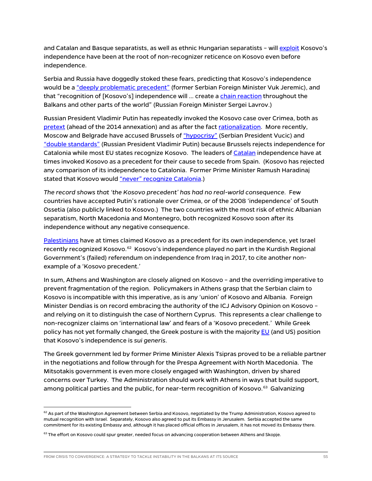and Catalan and Basque separatists, as well as ethnic Hungarian separatists - will [exploit](https://www.nytimes.com/2007/09/24/world/europe/24iht-balkans.4.7622427.html) Kosovo's independence have been at the root of non-recognizer reticence on Kosovo even before independence.

Serbia and Russia have doggedly stoked these fears, predicting that Kosovo's independence would be a ["deeply problematic precedent"](https://www.un.org/press/en/2008/ga10764.doc.htm) (former Serbian Foreign Minister Vuk Jeremic), and that "recognition of [Kosovo's] independence will ... create [a chain reaction](https://www.telegraph.co.uk/news/worldnews/1572126/Russia-warns-of-consequences-for-Kosovo.html) throughout the Balkans and other parts of the world" (Russian Foreign Minister Sergei Lavrov.)

Russian President Vladimir Putin has repeatedly invoked the Kosovo case over Crimea, both as [pretext](https://balkaninsight.com/2014/03/18/crimea-secession-just-like-kosovo-putin/) (ahead of the 2014 annexation) and as after the fact [rationalization.](http://en.kremlin.ru/events/president/news/page/220) More recently, Moscow and Belgrade have accused Brussels o[f "hypocrisy"](https://www.rt.com/news/405452-vucic-kosovo-catalonia-eu-hypocrisy/) (Serbian President Vucic) and ["double standards"](https://www.politico.eu/article/vladimir-putin-catalonia-accuses-eu-of-double-standards-on-catalonia-and-kosovo/) (Russian President Vladimir Putin) because Brussels rejects independence for Catalonia while most EU states recognize Kosovo. The leaders o[f Catalan](https://www.google.com/books/edition/Kosovo_and_the_Collateral_Effects_of_Hum/qCZxDwAAQBAJ?hl=en&gbpv=1&dq=puigdemont+%22kosovo%22&pg=PT196&printsec=frontcover) independence have at times invoked Kosovo as a precedent for their cause to secede from Spain. (Kosovo has rejected any comparison of its independence to Catalonia. Former Prime Minister Ramush Haradinaj stated that Kosovo would ["never" recognize Catalonia.](https://balkaninsight.com/2018/04/30/kosovo-would-never-recognise-the-independence-of-catalonia-pm-says-04-30-2018/))

*The record shows that 'the Kosovo precedent' has had no real-world consequence.* Few countries have accepted Putin's rationale over Crimea, or of the 2008 'independence' of South Ossetia (also publicly linked to Kosovo.) The two countries with the most risk of ethnic Albanian separatism, North Macedonia and Montenegro, both recognized Kosovo soon after its independence without any negative consequence.

[Palestinians](https://www.sfgate.com/news/article/Palestinian-Kosovo-comparison-made-3227283.php) have at times claimed Kosovo as a precedent for its own independence, yet Israel recently recognized Kosovo.<sup>[62](#page-55-0)</sup> Kosovo's independence played no part in the Kurdish Regional Government's (failed) referendum on independence from Iraq in 2017, to cite another nonexample of a 'Kosovo precedent.'

In sum, Athens and Washington are closely aligned on Kosovo – and the overriding imperative to prevent fragmentation of the region. Policymakers in Athens grasp that the Serbian claim to Kosovo is incompatible with this imperative, as is any 'union' of Kosovo and Albania. Foreign Minister Dendias is on record embracing the authority of the ICJ Advisory Opinion on Kosovo – and relying on it to distinguish the case of Northern Cyprus. This represents a clear challenge to non-recognizer claims on 'international law' and fears of a 'Kosovo precedent.' While Greek policy has not yet formally changed, the Greek posture is with the majority [EU](https://europeanwesternbalkans.com/2017/10/03/eu-kosovo-sui-generis-case-no-double-standards/) (and US) position that Kosovo's independence is *sui generis*.

The Greek government led by former Prime Minister Alexis Tsipras proved to be a reliable partner in the negotiations and follow through for the Prespa Agreement with North Macedonia. The Mitsotakis government is even more closely engaged with Washington, driven by shared concerns over Turkey. The Administration should work with Athens in ways that build support, among political parties and the public, for near-term recognition of Kosovo.<sup>63</sup> Galvanizing

<span id="page-55-0"></span> $62$  As part of the Washington Agreement between Serbia and Kosovo, negotiated by the Trump Administration, Kosovo agreed to mutual recognition with Israel. Separately, Kosovo also agreed to put its Embassy in Jerusalem. Serbia accepted the same commitment for its existing Embassy and, although it has placed official offices in Jerusalem, it has not moved its Embassy there.

<span id="page-55-1"></span> $63$  The effort on Kosovo could spur greater, needed focus on advancing cooperation between Athens and Skopje.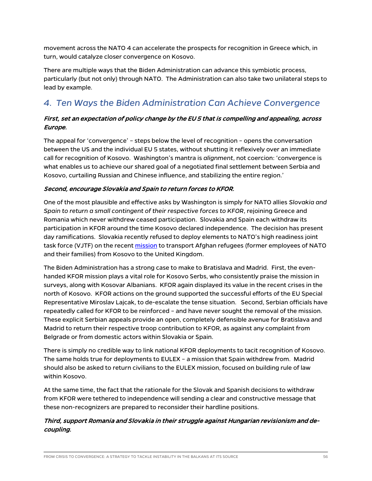movement across the NATO 4 can accelerate the prospects for recognition in Greece which, in turn, would catalyze closer convergence on Kosovo.

There are multiple ways that the Biden Administration can advance this symbiotic process, particularly (but not only) through NATO. The Administration can also take two unilateral steps to lead by example.

## *4. Ten Ways the Biden Administration Can Achieve Convergence*

#### First, set an expectation of policy change by the EU 5 that is compelling and appealing, across Europe.

The appeal for 'convergence' – steps below the level of recognition – opens the conversation between the US and the individual EU 5 states, without shutting it reflexively over an immediate call for recognition of Kosovo. Washington's mantra is *alignment*, not coercion: 'convergence is what enables us to achieve our shared goal of a negotiated final settlement between Serbia and Kosovo, curtailing Russian and Chinese influence, and stabilizing the entire region.'

#### Second, encourage Slovakia and Spain to return forces to KFOR.

One of the most plausible and effective asks by Washington is simply for NATO allies *Slovakia and Spain to return a small contingent of their respective forces to KFOR*, rejoining Greece and Romania which never withdrew ceased participation. Slovakia and Spain each withdraw its participation in KFOR around the time Kosovo declared independence. The decision has present day ramifications. Slovakia recently refused to deploy elements to NATO's high readiness joint task force (VJTF) on the recent [mission](https://jfcnaples.nato.int/newsroom/our-afghan-evacuation-mission/nato-afghan-evacuees-begin-journey-to-resettlement) to transport Afghan refugees (former employees of NATO and their families) from Kosovo to the United Kingdom.

The Biden Administration has a strong case to make to Bratislava and Madrid. First, the evenhanded KFOR mission plays a vital role for Kosovo Serbs, who consistently praise the mission in surveys, along with Kosovar Albanians. KFOR again displayed its value in the recent crises in the north of Kosovo. KFOR actions on the ground supported the successful efforts of the EU Special Representative Miroslav Lajcak, to de-escalate the tense situation. Second, Serbian officials have repeatedly called for KFOR to be reinforced – and have never sought the removal of the mission. These explicit Serbian appeals provide an open, completely defensible avenue for Bratislava and Madrid to return their respective troop contribution to KFOR, as against any complaint from Belgrade or from domestic actors within Slovakia or Spain.

There is simply no credible way to link national KFOR deployments to tacit recognition of Kosovo. The same holds true for deployments to EULEX – a mission that Spain withdrew from. Madrid should also be asked to return civilians to the EULEX mission, focused on building rule of law within Kosovo.

At the same time, the fact that the rationale for the Slovak and Spanish decisions to withdraw from KFOR were tethered to independence will sending a clear and constructive message that these non-recognizers are prepared to reconsider their hardline positions.

#### Third, support Romania and Slovakia in their struggle against Hungarian revisionism and decoupling.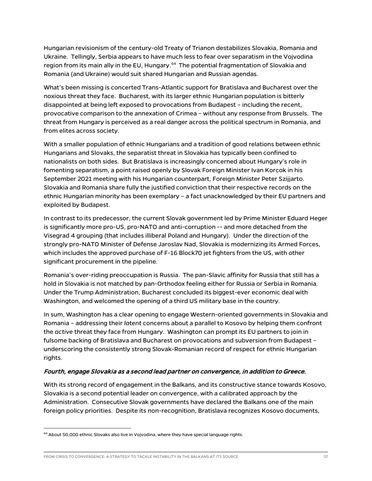Hungarian revisionism of the century-old Treaty of Trianon destabilizes Slovakia, Romania and Ukraine. Tellingly, Serbia appears to have much less to fear over separatism in the Vojvodina region from its main ally in the EU, Hungary.<sup>64</sup> The potential fragmentation of Slovakia and Romania (and Ukraine) would suit shared Hungarian and Russian agendas.

What's been missing is concerted Trans-Atlantic support for Bratislava and Bucharest over the noxious threat they face. Bucharest, with its larger ethnic Hungarian population is bitterly disappointed at being left exposed to provocations from Budapest – including the recent, provocative comparison to the annexation of Crimea – without any response from Brussels. The threat from Hungary is perceived as a real danger across the political spectrum in Romania, and from elites across society.

With a smaller population of ethnic Hungarians and a tradition of good relations between ethnic Hungarians and Slovaks, the separatist threat in Slovakia has typically been confined to nationalists on both sides. But Bratislava is increasingly concerned about Hungary's role in fomenting separatism, a point raised openly by Slovak Foreign Minister Ivan Korcok in his September 2021 meeting with his Hungarian counterpart, Foreign Minister Peter Szijjarto. Slovakia and Romania share fully the justified conviction that their respective records on the ethnic Hungarian minority has been exemplary – a fact unacknowledged by their EU partners and exploited by Budapest.

In contrast to its predecessor, the current Slovak government led by Prime Minister Eduard Heger is significantly more pro-US, pro-NATO and anti-corruption -- and more detached from the Visegrad 4 grouping (that includes illiberal Poland and Hungary). Under the direction of the strongly pro-NATO Minister of Defense Jaroslav Nad, Slovakia is modernizing its Armed Forces, which includes the approved purchase of F-16 Block70 jet fighters from the US, with other significant procurement in the pipeline.

Romania's over-riding preoccupation is Russia. The pan-Slavic affinity for Russia that still has a hold in Slovakia is not matched by pan-Orthodox feeling either for Russia or Serbia in Romania. Under the Trump Administration, Bucharest concluded its biggest-ever economic deal with Washington, and welcomed the opening of a third US military base in the country.

In sum, Washington has a clear opening to engage Western-oriented governments in Slovakia and Romania – addressing their *latent* concerns about a parallel to Kosovo by helping them confront the *active* threat they face from Hungary. Washington can prompt its EU partners to join in fulsome backing of Bratislava and Bucharest on provocations and subversion from Budapest – underscoring the consistently strong Slovak-Romanian record of respect for ethnic Hungarian rights.

#### Fourth, engage Slovakia as a second lead partner on convergence, in addition to Greece.

With its strong record of engagement in the Balkans, and its constructive stance towards Kosovo, Slovakia is a second potential leader on convergence, with a calibrated approach by the Administration. Consecutive Slovak governments have declared the Balkans one of the main foreign policy priorities. Despite its non-recognition, Bratislava recognizes Kosovo documents,

<span id="page-57-0"></span> $<sup>64</sup>$  About 50,000 ethnic Slovaks also live in Vojvodina, where they have special language rights.</sup>

FROM CRISIS TO CONVERGENCE: A STRATEGY TO TACKLE INSTABILITY IN THE BALKANS AT ITS SOURCE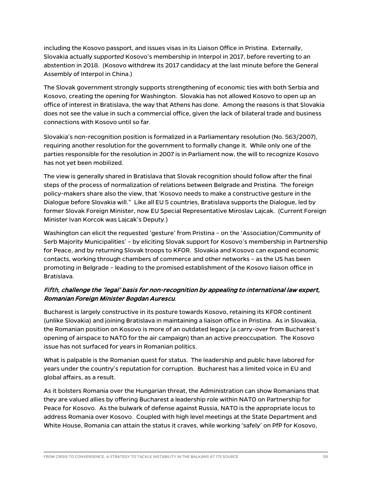including the Kosovo passport, and issues visas in its Liaison Office in Pristina. Externally, Slovakia actually *supported* Kosovo's membership in Interpol in 2017, before reverting to an abstention in 2018. (Kosovo withdrew its 2017 candidacy at the last minute before the General Assembly of Interpol in China.)

The Slovak government strongly supports strengthening of economic ties with both Serbia and Kosovo, creating the opening for Washington. Slovakia has not allowed Kosovo to open up an office of interest in Bratislava, the way that Athens has done. Among the reasons is that Slovakia does not see the value in such a commercial office, given the lack of bilateral trade and business connections with Kosovo until so far.

Slovakia's non-recognition position is formalized in a Parliamentary resolution (No. 563/2007), requiring another resolution for the government to formally change it. While only one of the parties responsible for the resolution in 2007 is in Parliament now, the will to recognize Kosovo has not yet been mobilized.

The view is generally shared in Bratislava that Slovak recognition should follow after the final steps of the process of normalization of relations between Belgrade and Pristina. The foreign policy-makers share also the view, that 'Kosovo needs to make a constructive gesture in the Dialogue before Slovakia will." Like all EU 5 countries, Bratislava supports the Dialogue, led by former Slovak Foreign Minister, now EU Special Representative Miroslav Lajcak. (Current Foreign Minister Ivan Korcok was Lajcak's Deputy.)

Washington can elicit the requested 'gesture' from Pristina – on the 'Association/Community of Serb Majority Municipalities' – by eliciting Slovak support for Kosovo's membership in Partnership for Peace, and by returning Slovak troops to KFOR. Slovakia and Kosovo can expand economic contacts, working through chambers of commerce and other networks – as the US has been promoting in Belgrade – leading to the promised establishment of the Kosovo liaison office in Bratislava.

#### Fifth, challenge the 'legal' basis for non-recognition by appealing to international law expert, Romanian Foreign Minister Bogdan Aurescu.

Bucharest is largely constructive in its posture towards Kosovo, retaining its KFOR continent (unlike Slovakia) and joining Bratislava in maintaining a liaison office in Pristina. As in Slovakia, the Romanian position on Kosovo is more of an outdated legacy (a carry-over from Bucharest's opening of airspace to NATO for the air campaign) than an active preoccupation. The Kosovo issue has not surfaced for years in Romanian politics.

What is palpable is the Romanian quest for status. The leadership and public have labored for years under the country's reputation for corruption. Bucharest has a limited voice in EU and global affairs, as a result.

As it bolsters Romania over the Hungarian threat, the Administration can show Romanians that they are valued allies by offering Bucharest a leadership role within NATO on Partnership for Peace for Kosovo. As the bulwark of defense against Russia, NATO is the appropriate locus to address Romania over Kosovo. Coupled with high level meetings at the State Department and White House, Romania can attain the status it craves, while working 'safely' on PfP for Kosovo,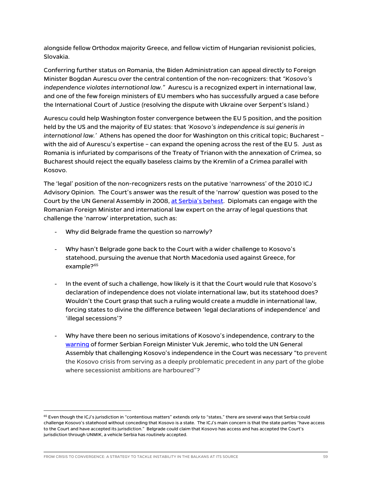alongside fellow Orthodox majority Greece, and fellow victim of Hungarian revisionist policies, Slovakia.

Conferring further status on Romania, the Biden Administration can appeal directly to Foreign Minister Bogdan Aurescu over the central contention of the non-recognizers: that *"Kosovo's independence violates international law."* Aurescu is a recognized expert in international law, and one of the few foreign ministers of EU members who has successfully argued a case before the International Court of Justice (resolving the dispute with Ukraine over Serpent's Island.)

Aurescu could help Washington foster convergence between the EU 5 position, and the position held by the US and the majority of EU states: that *'Kosovo's independence is sui generis in international law.'* Athens has opened the door for Washington on this critical topic; Bucharest – with the aid of Aurescu's expertise – can expand the opening across the rest of the EU 5. Just as Romania is infuriated by comparisons of the Treaty of Trianon with the annexation of Crimea, so Bucharest should reject the equally baseless claims by the Kremlin of a Crimea parallel with Kosovo.

The 'legal' position of the non-recognizers rests on the putative 'narrowness' of the 2010 ICJ Advisory Opinion. The Court's answer was the result of the 'narrow' question was posed to the Court by the UN General Assembly in 2008, [at Serbia's behest.](https://www.un.org/press/en/2008/ga10764.doc.htm) Diplomats can engage with the Romanian Foreign Minister and international law expert on the array of legal questions that challenge the 'narrow' interpretation, such as:

- Why did Belgrade frame the question so narrowly?
- Why hasn't Belgrade gone back to the Court with a wider challenge to Kosovo's statehood, pursuing the avenue that North Macedonia used against Greece, for example?<sup>[65](#page-59-0)</sup>
- In the event of such a challenge, how likely is it that the Court would rule that Kosovo's declaration of independence does not violate international law, but its statehood does? Wouldn't the Court grasp that such a ruling would create a muddle in international law, forcing states to divine the difference between 'legal declarations of independence' and 'illegal secessions'?
- Why have there been no serious imitations of Kosovo's independence, contrary to the [warning](https://www.un.org/press/en/2008/ga10764.doc.htm) of former Serbian Foreign Minister Vuk Jeremic, who told the UN General Assembly that challenging Kosovo's independence in the Court was necessary "to prevent the Kosovo crisis from serving as a deeply problematic precedent in any part of the globe where secessionist ambitions are harboured"?

<span id="page-59-0"></span> $65$  Even though the ICJ's jurisdiction in "contentious matters" extends only to "states," there are several ways that Serbia could challenge Kosovo's statehood without conceding that Kosovo is a state. The ICJ's main concern is that the state parties "have access to the Court and have accepted its jurisdiction." Belgrade could claim that Kosovo has access and has accepted the Court's jurisdiction through UNMIK, a vehicle Serbia has routinely accepted.

FROM CRISIS TO CONVERGENCE: A STRATEGY TO TACKLE INSTABILITY IN THE BALKANS AT ITS SOURCE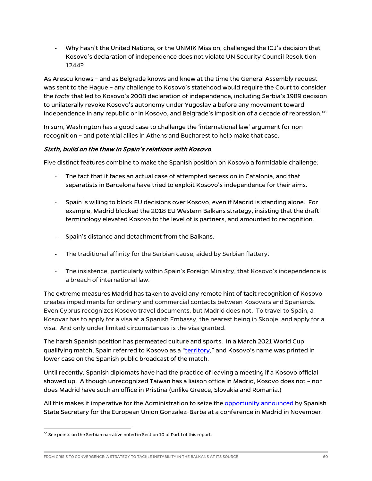- Why hasn't the United Nations, or the UNMIK Mission, challenged the ICJ's decision that Kosovo's declaration of independence does not violate UN Security Council Resolution 1244?

As Arescu knows – and as Belgrade knows and knew at the time the General Assembly request was sent to the Hague – any challenge to Kosovo's statehood would require the Court to consider the *facts* that led to Kosovo's 2008 declaration of independence, including Serbia's 1989 decision to unilaterally revoke Kosovo's autonomy under Yugoslavia before any movement toward independence in any republic or in Kosovo, and Belgrade's imposition of a decade of repression.<sup>[66](#page-60-0)</sup>

In sum, Washington has a good case to challenge the 'international law' argument for nonrecognition – and potential allies in Athens and Bucharest to help make that case.

#### Sixth, build on the thaw in Spain's relations with Kosovo.

Five distinct features combine to make the Spanish position on Kosovo a formidable challenge:

- The fact that it faces an actual case of attempted secession in Catalonia, and that separatists in Barcelona have tried to exploit Kosovo's independence for their aims.
- Spain is willing to block EU decisions over Kosovo, even if Madrid is standing alone. For example, Madrid blocked the 2018 EU Western Balkans strategy, insisting that the draft terminology elevated Kosovo to the level of is partners, and amounted to recognition.
- Spain's distance and detachment from the Balkans.
- The traditional affinity for the Serbian cause, aided by Serbian flattery.
- The insistence, particularly within Spain's Foreign Ministry, that Kosovo's independence is a breach of international law.

The extreme measures Madrid has taken to avoid any remote hint of tacit recognition of Kosovo creates impediments for ordinary and commercial contacts between Kosovars and Spaniards. Even Cyprus recognizes Kosovo travel documents, but Madrid does not. To travel to Spain, a Kosovar has to apply for a visa at a Spanish Embassy, the nearest being in Skopje, and apply for a visa. And only under limited circumstances is the visa granted.

The harsh Spanish position has permeated culture and sports. In a March 2021 World Cup qualifying match, Spain referred to Kosovo as a ["territory,](https://www.france24.com/en/live-news/20210331-spain-world-cup-qualifier-against-kosovo-overshadowed-by-diplomatic-row)" and Kosovo's name was printed in lower case on the Spanish public broadcast of the match.

Until recently, Spanish diplomats have had the practice of leaving a meeting if a Kosovo official showed up. Although unrecognized Taiwan has a liaison office in Madrid, Kosovo does not – nor does Madrid have such an office in Pristina (unlike Greece, Slovakia and Romania.)

All this makes it imperative for the Administration to seize the [opportunity announced](http://www.realinstitutoelcano.org/wps/portal/rielcano_en/event?WCM_GLOBAL_CONTEXT=/elcano/elcano_in/calendar/activities/roundtable-the-eus-next-enlargement-propstects-and-pitfalls) by Spanish State Secretary for the European Union Gonzalez-Barba at a conference in Madrid in November.

<span id="page-60-0"></span><sup>&</sup>lt;sup>66</sup> See points on the Serbian narrative noted in Section 10 of Part I of this report.

FROM CRISIS TO CONVERGENCE: A STRATEGY TO TACKLE INSTABILITY IN THE BALKANS AT ITS SOURCE 60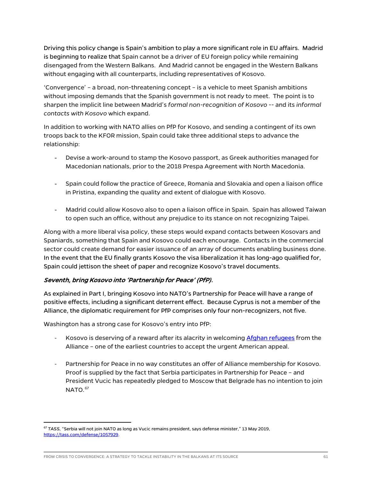Driving this policy change is Spain's ambition to play a more significant role in EU affairs. Madrid is beginning to realize that Spain cannot be a driver of EU foreign policy while remaining disengaged from the Western Balkans. And Madrid cannot be engaged in the Western Balkans without engaging with all counterparts, including representatives of Kosovo.

'Convergence' – a broad, non-threatening concept – is a vehicle to meet Spanish ambitions without imposing demands that the Spanish government is not ready to meet. The point is to sharpen the implicit line between Madrid's *formal non-recognition of Kosovo* -- and its *informal contacts with Kosovo* which expand.

In addition to working with NATO allies on PfP for Kosovo, and sending a contingent of its own troops back to the KFOR mission, Spain could take three additional steps to advance the relationship:

- Devise a work-around to stamp the Kosovo passport, as Greek authorities managed for Macedonian nationals, prior to the 2018 Prespa Agreement with North Macedonia.
- Spain could follow the practice of Greece, Romania and Slovakia and open a liaison office in Pristina, expanding the quality and extent of dialogue with Kosovo.
- Madrid could allow Kosovo also to open a liaison office in Spain. Spain has allowed Taiwan to open such an office, without any prejudice to its stance on not recognizing Taipei.

Along with a more liberal visa policy, these steps would expand contacts between Kosovars and Spaniards, something that Spain and Kosovo could each encourage. Contacts in the commercial sector could create demand for easier issuance of an array of documents enabling business done. In the event that the EU finally grants Kosovo the visa liberalization it has long-ago qualified for, Spain could jettison the sheet of paper and recognize Kosovo's travel documents.

#### Seventh, bring Kosovo into 'Partnership for Peace' (PfP).

As explained in Part I, bringing Kosovo into NATO's Partnership for Peace will have a range of positive effects, including a significant deterrent effect. Because Cyprus is not a member of the Alliance, the diplomatic requirement for PfP comprises only four non-recognizers, not five.

Washington has a strong case for Kosovo's entry into PfP:

- Kosovo is deserving of a reward after its alacrity in welcomin[g Afghan refugees](https://balkaninsight.com/2021/08/30/kosovo-leaders-welcome-first-afghan-refugees-fleeing-taliban/) from the Alliance – one of the earliest countries to accept the urgent American appeal.
- Partnership for Peace in no way constitutes an offer of Alliance membership for Kosovo. Proof is supplied by the fact that Serbia participates in Partnership for Peace – and President Vucic has repeatedly pledged to Moscow that Belgrade has no intention to join  $NATO<sup>67</sup>$  $NATO<sup>67</sup>$  $NATO<sup>67</sup>$

<span id="page-61-0"></span><sup>67</sup> *TASS,* "Serbia will not join NATO as long as Vucic remains president, says defense minister," 13 May 2019, [https://tass.com/defense/1057929.](https://tass.com/defense/1057929)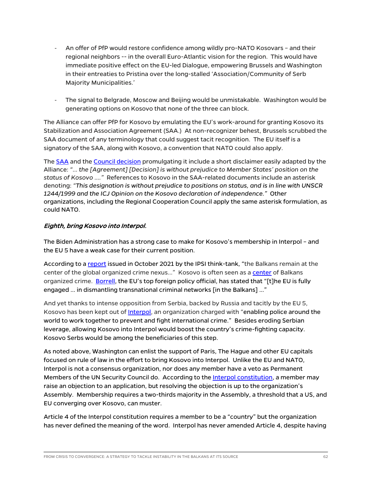- An offer of PfP would restore confidence among wildly pro-NATO Kosovars and their regional neighbors -- in the overall Euro-Atlantic vision for the region. This would have immediate positive effect on the EU-led Dialogue, empowering Brussels and Washington in their entreaties to Pristina over the long-stalled 'Association/Community of Serb Majority Municipalities.'
- The signal to Belgrade, Moscow and Beijing would be unmistakable. Washington would be generating options on Kosovo that none of the three can block.

The Alliance can offer PfP for Kosovo by emulating the EU's work-around for granting Kosovo its Stabilization and Association Agreement (SAA.) At non-recognizer behest, Brussels scrubbed the SAA document of any terminology that could suggest tacit recognition. The EU itself is a signatory of the SAA, along with Kosovo, a convention that NATO could also apply.

The [SAA](https://eur-lex.europa.eu/legal-content/EN/TXT/PDF/?uri=CELEX:22016A0316(01)&from=EN) and the [Council decision](https://eur-lex.europa.eu/legal-content/EN/TXT/HTML/?uri=CELEX:32016D0342&from=EN) promulgating it include a short disclaimer easily adapted by the Alliance: *"… the [Agreement] [Decision] is without prejudice to Member States' position on the status of Kosovo …."* References to Kosovo in the SAA-related documents include an asterisk denoting: *"This designation is without prejudice to positions on status, and is in line with UNSCR 1244/1999 and the ICJ Opinion on the Kosovo declaration of independence."* Other organizations, including the Regional Cooperation Council apply the same asterisk formulation, as could NATO.

#### Eighth, bring Kosovo into Interpol.

The Biden Administration has a strong case to make for Kosovo's membership in Interpol – and the EU 5 have a weak case for their current position.

According to [a report](https://www.ispionline.it/en/pubblicazione/fight-against-organized-crime-balkans-eus-push-and-pull-31875) issued in October 2021 by the IPSI think-tank, "the Balkans remain at the center of the global organized crime nexus..." Kosovo is often seen as a [center](https://exit.al/en/2020/12/28/organized-crime-emerged-in-kosovo-after-the-war-global-initiative-finds/) of Balkans organized crime. [Borrell,](https://twitter.com/JosepBorrellF/status/1468869857219383310?ref_src=twsrc%5Etfw) the EU's top foreign policy official, has stated that "[t]he EU is fully engaged … in dismantling transnational criminal networks [in the Balkans] …"

And yet thanks to intense opposition from Serbia, backed by Russia and tacitly by the EU 5, Kosovo has been kept out of Interpol, an organization charged with "enabling police around the world to work together to prevent and fight international crime." Besides eroding Serbian leverage, allowing Kosovo into Interpol would boost the country's crime-fighting capacity. Kosovo Serbs would be among the beneficiaries of this step.

As noted above, Washington can enlist the support of Paris, The Hague and other EU capitals focused on rule of law in the effort to bring Kosovo into Interpol. Unlike the EU and NATO, Interpol is not a consensus organization, nor does any member have a veto as Permanent Members of the UN Security Council do. According to the Interpol constitution, a member may raise an objection to an application, but resolving the objection is up to the organization's Assembly. Membership requires a two-thirds majority in the Assembly, a threshold that a US, and EU converging over Kosovo, can muster.

Article 4 of the Interpol constitution requires a member to be a "country" but the organization has never defined the meaning of the word. Interpol has never amended Article 4, despite having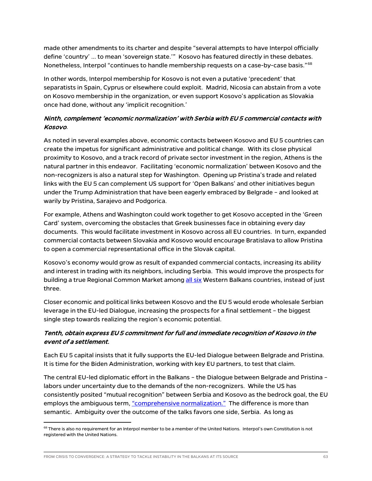made other amendments to its charter and despite "several attempts to have Interpol officially define 'country' … to mean 'sovereign state.'" Kosovo has featured directly in these debates. Nonetheless, Interpol "continues to handle membership requests on a case-by-case basis."<sup>68</sup>

In other words, Interpol membership for Kosovo is not even a putative 'precedent' that separatists in Spain, Cyprus or elsewhere could exploit. Madrid, Nicosia can abstain from a vote on Kosovo membership in the organization, or even support Kosovo's application as Slovakia once had done, without any 'implicit recognition.'

#### Ninth, complement 'economic normalization' with Serbia with EU 5 commercial contacts with Kosovo.

As noted in several examples above, economic contacts between Kosovo and EU 5 countries can create the impetus for significant administrative and political change. With its close physical proximity to Kosovo, and a track record of private sector investment in the region, Athens is the natural partner in this endeavor. Facilitating 'economic normalization' between Kosovo and the non-recognizers is also a natural step for Washington. Opening up Pristina's trade and related links with the EU 5 can complement US support for 'Open Balkans' and other initiatives begun under the Trump Administration that have been eagerly embraced by Belgrade – and looked at warily by Pristina, Sarajevo and Podgorica.

For example, Athens and Washington could work together to get Kosovo accepted in the 'Green Card' system, overcoming the obstacles that Greek businesses face in obtaining every day documents. This would facilitate investment in Kosovo across all EU countries. In turn, expanded commercial contacts between Slovakia and Kosovo would encourage Bratislava to allow Pristina to open a commercial representational office in the Slovak capital.

Kosovo's economy would grow as result of expanded commercial contacts, increasing its ability and interest in trading with its neighbors, including Serbia. This would improve the prospects for building a true Regional Common Market among [all six](https://www.euractiv.com/section/politics/short_news/north-macedonias-president-warns-open-balkans-cannot-survive-without-other-members/) Western Balkans countries, instead of just three.

Closer economic and political links between Kosovo and the EU 5 would erode wholesale Serbian leverage in the EU-led Dialogue, increasing the prospects for a final settlement – the biggest single step towards realizing the region's economic potential.

#### Tenth, obtain express EU 5 commitment for full and immediate recognition of Kosovo in the event of a settlement.

Each EU 5 capital insists that it fully supports the EU-led Dialogue between Belgrade and Pristina. It is time for the Biden Administration, working with key EU partners, to test that claim.

The central EU-led diplomatic effort in the Balkans – the Dialogue between Belgrade and Pristina – labors under uncertainty due to the demands of the non-recognizers. While the US has consistently posited "mutual recognition" between Serbia and Kosovo as the bedrock goal, the EU employs the ambiguous term, ["comprehensive normalization."](https://eur-lex.europa.eu/legal-content/EN/TXT/PDF/?uri=CELEX:32020D0489&from=EN) The difference is more than semantic. Ambiguity over the outcome of the talks favors one side, Serbia. As long as

<span id="page-63-0"></span><sup>68</sup> There is also no requirement for an Interpol member to be a member of the United Nations. Interpol's own Constitution is not registered with the United Nations.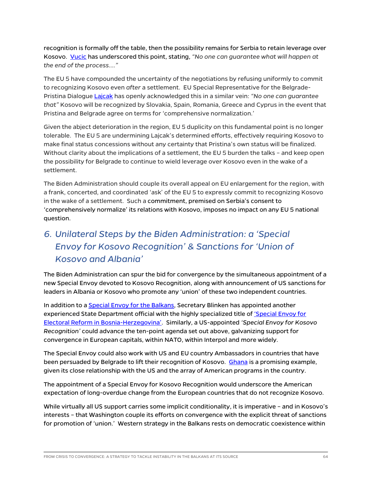recognition is formally off the table, then the possibility remains for Serbia to retain leverage over Kosovo. [Vucic](https://www.reuters.com/article/us-kosovo-serbia-france/serbia-kosovo-peace-deal-is-possible-vucic-says-idUSKBN24B1DQ) has underscored this point, stating, *"No one can guarantee what will happen at the end of the process…."*

The EU 5 have compounded the uncertainty of the negotiations by refusing uniformly to commit to recognizing Kosovo even *after* a settlement. EU Special Representative for the Belgrade-Pristina Dialogue [Lajcak](http://www.dtt-net.com/en/news/2770/15/No-one-can-guarantee-to-Kosovo-that-it-will-be-recognized-by-5-EU-non-recognizers-if-there-is-a-deal-with-Serbia-according-to-EU-envoy/) has openly acknowledged this in a similar vein: *"No one can guarantee that"* Kosovo will be recognized by Slovakia, Spain, Romania, Greece and Cyprus in the event that Pristina and Belgrade agree on terms for 'comprehensive normalization.'

Given the abject deterioration in the region, EU 5 duplicity on this fundamental point is no longer tolerable. The EU 5 are undermining Lajcak's determined efforts, effectively requiring Kosovo to make final status concessions without any certainty that Pristina's own status will be finalized. Without clarity about the implications of a settlement, the EU 5 burden the talks – and keep open the possibility for Belgrade to continue to wield leverage over Kosovo even in the wake of a settlement.

The Biden Administration should couple its overall appeal on EU enlargement for the region, with a frank, concerted, and coordinated 'ask' of the EU 5 to expressly commit to recognizing Kosovo in the wake of a settlement. Such a commitment, premised on Serbia's consent to 'comprehensively normalize' its relations with Kosovo, imposes no impact on any EU 5 national question.

## *6. Unilateral Steps by the Biden Administration: a 'Special Envoy for Kosovo Recognition' & Sanctions for 'Union of Kosovo and Albania'*

The Biden Administration can spur the bid for convergence by the simultaneous appointment of a new Special Envoy devoted to Kosovo Recognition, along with announcement of US sanctions for leaders in Albania or Kosovo who promote any 'union' of these two independent countries.

In addition to a [Special Envoy for the Balkans,](https://www.state.gov/biographies/gabriel-escobar/) Secretary Blinken has appointed another experienced State Department official with the highly specialized title of 'Special Envoy for [Electoral Reform in Bosnia-Herzegovina'.](https://www.rferl.org/a/bosnia-election-reform-palmer/31581890.html) Similarly, a US-appointed *'Special Envoy for Kosovo Recognition'* could advance the ten-point agenda set out above, galvanizing support for convergence in European capitals, within NATO, within Interpol and more widely.

The Special Envoy could also work with US and EU country Ambassadors in countries that have been persuaded by Belgrade to lift their recognition of Kosovo. [Ghana](https://www.aa.com.tr/en/africa/ghana-withdraws-recognition-of-kosovo-report/1643753) is a promising example, given its close relationship with the US and the array of American programs in the country.

The appointment of a Special Envoy for Kosovo Recognition would underscore the American expectation of long-overdue change from the European countries that do not recognize Kosovo.

While virtually all US support carries some implicit conditionality, it is imperative – and in Kosovo's interests – that Washington couple its efforts on convergence with the explicit threat of sanctions for promotion of 'union.' Western strategy in the Balkans rests on democratic coexistence within